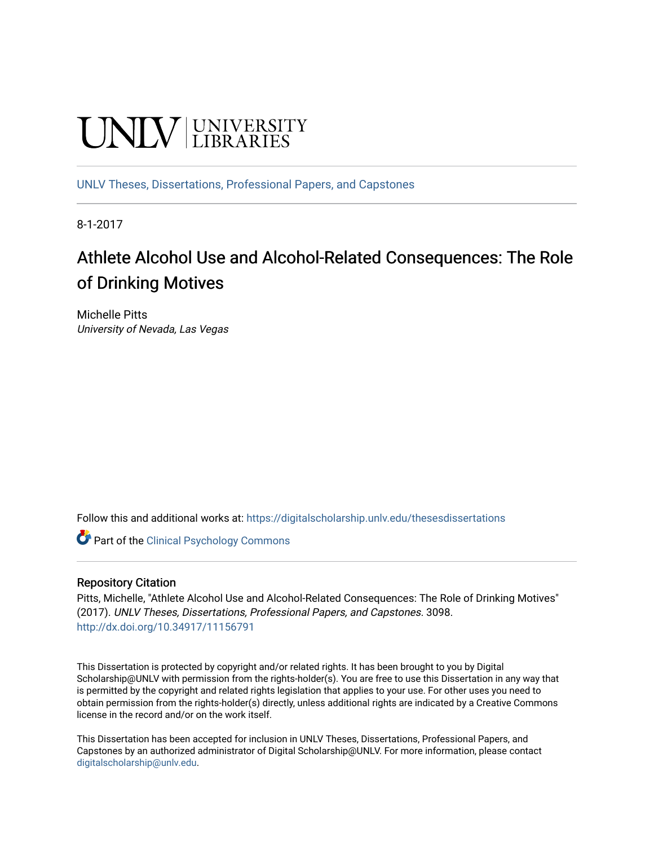# **UNIVERSITY**

[UNLV Theses, Dissertations, Professional Papers, and Capstones](https://digitalscholarship.unlv.edu/thesesdissertations)

8-1-2017

# Athlete Alcohol Use and Alcohol-Related Consequences: The Role of Drinking Motives

Michelle Pitts University of Nevada, Las Vegas

Follow this and additional works at: [https://digitalscholarship.unlv.edu/thesesdissertations](https://digitalscholarship.unlv.edu/thesesdissertations?utm_source=digitalscholarship.unlv.edu%2Fthesesdissertations%2F3098&utm_medium=PDF&utm_campaign=PDFCoverPages)

**C** Part of the Clinical Psychology Commons

#### Repository Citation

Pitts, Michelle, "Athlete Alcohol Use and Alcohol-Related Consequences: The Role of Drinking Motives" (2017). UNLV Theses, Dissertations, Professional Papers, and Capstones. 3098. <http://dx.doi.org/10.34917/11156791>

This Dissertation is protected by copyright and/or related rights. It has been brought to you by Digital Scholarship@UNLV with permission from the rights-holder(s). You are free to use this Dissertation in any way that is permitted by the copyright and related rights legislation that applies to your use. For other uses you need to obtain permission from the rights-holder(s) directly, unless additional rights are indicated by a Creative Commons license in the record and/or on the work itself.

This Dissertation has been accepted for inclusion in UNLV Theses, Dissertations, Professional Papers, and Capstones by an authorized administrator of Digital Scholarship@UNLV. For more information, please contact [digitalscholarship@unlv.edu](mailto:digitalscholarship@unlv.edu).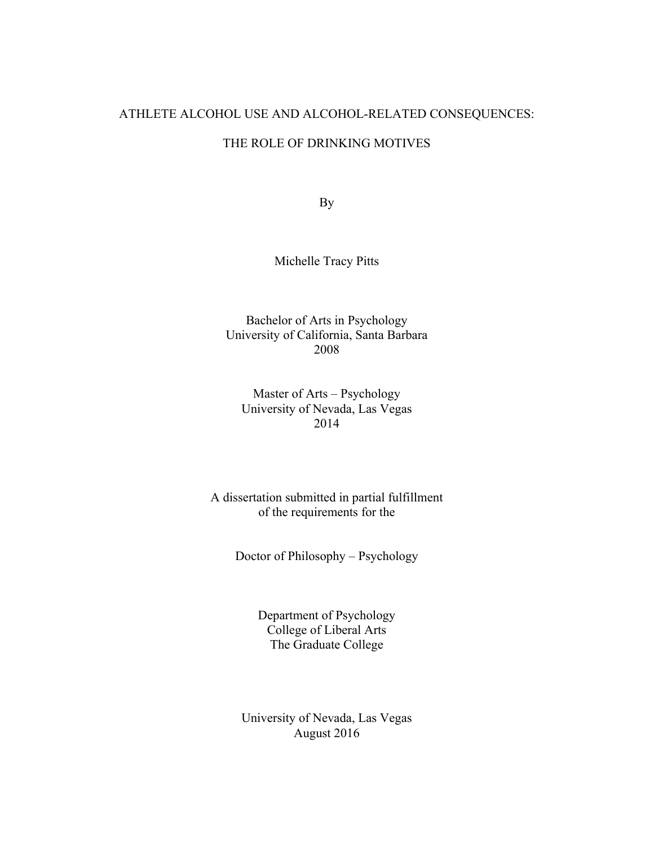# ATHLETE ALCOHOL USE AND ALCOHOL-RELATED CONSEQUENCES:

# THE ROLE OF DRINKING MOTIVES

By

Michelle Tracy Pitts

Bachelor of Arts in Psychology University of California, Santa Barbara 2008

Master of Arts – Psychology University of Nevada, Las Vegas 2014

A dissertation submitted in partial fulfillment of the requirements for the

Doctor of Philosophy – Psychology

Department of Psychology College of Liberal Arts The Graduate College

University of Nevada, Las Vegas August 2016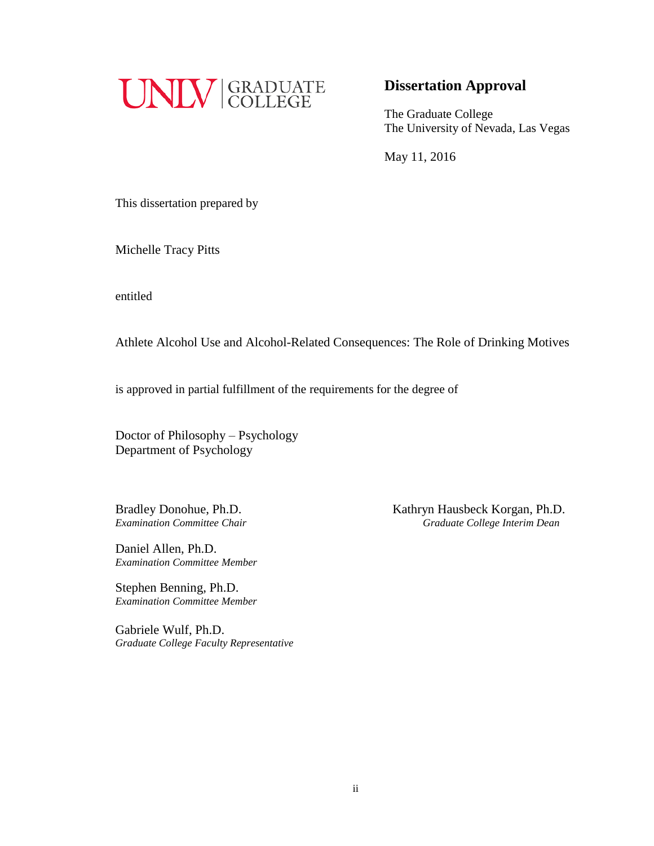

# **Dissertation Approval**

The Graduate College The University of Nevada, Las Vegas

May 11, 2016

This dissertation prepared by

Michelle Tracy Pitts

entitled

Athlete Alcohol Use and Alcohol-Related Consequences: The Role of Drinking Motives

is approved in partial fulfillment of the requirements for the degree of

Doctor of Philosophy – Psychology Department of Psychology

Daniel Allen, Ph.D. *Examination Committee Member*

Stephen Benning, Ph.D. *Examination Committee Member*

Gabriele Wulf, Ph.D. *Graduate College Faculty Representative*

Bradley Donohue, Ph.D.<br> *Examination Committee Chair*<br> *Examination Committee Chair*<br> *Craduate College Interim Dean Examination Committee Chair Graduate College Interim Dean*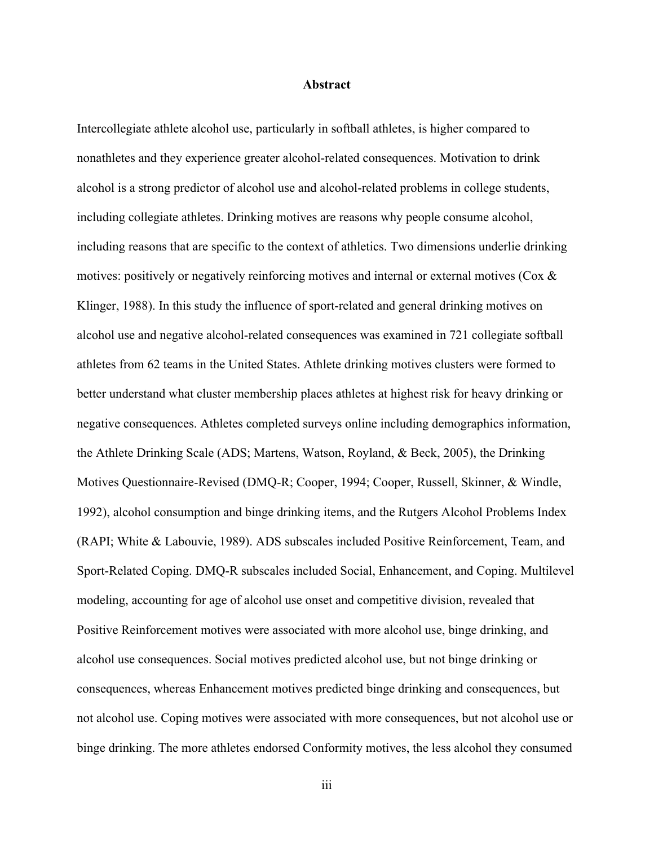#### **Abstract**

Intercollegiate athlete alcohol use, particularly in softball athletes, is higher compared to nonathletes and they experience greater alcohol-related consequences. Motivation to drink alcohol is a strong predictor of alcohol use and alcohol-related problems in college students, including collegiate athletes. Drinking motives are reasons why people consume alcohol, including reasons that are specific to the context of athletics. Two dimensions underlie drinking motives: positively or negatively reinforcing motives and internal or external motives (Cox & Klinger, 1988). In this study the influence of sport-related and general drinking motives on alcohol use and negative alcohol-related consequences was examined in 721 collegiate softball athletes from 62 teams in the United States. Athlete drinking motives clusters were formed to better understand what cluster membership places athletes at highest risk for heavy drinking or negative consequences. Athletes completed surveys online including demographics information, the Athlete Drinking Scale (ADS; Martens, Watson, Royland, & Beck, 2005), the Drinking Motives Questionnaire-Revised (DMQ-R; Cooper, 1994; Cooper, Russell, Skinner, & Windle, 1992), alcohol consumption and binge drinking items, and the Rutgers Alcohol Problems Index (RAPI; White & Labouvie, 1989). ADS subscales included Positive Reinforcement, Team, and Sport-Related Coping. DMQ-R subscales included Social, Enhancement, and Coping. Multilevel modeling, accounting for age of alcohol use onset and competitive division, revealed that Positive Reinforcement motives were associated with more alcohol use, binge drinking, and alcohol use consequences. Social motives predicted alcohol use, but not binge drinking or consequences, whereas Enhancement motives predicted binge drinking and consequences, but not alcohol use. Coping motives were associated with more consequences, but not alcohol use or binge drinking. The more athletes endorsed Conformity motives, the less alcohol they consumed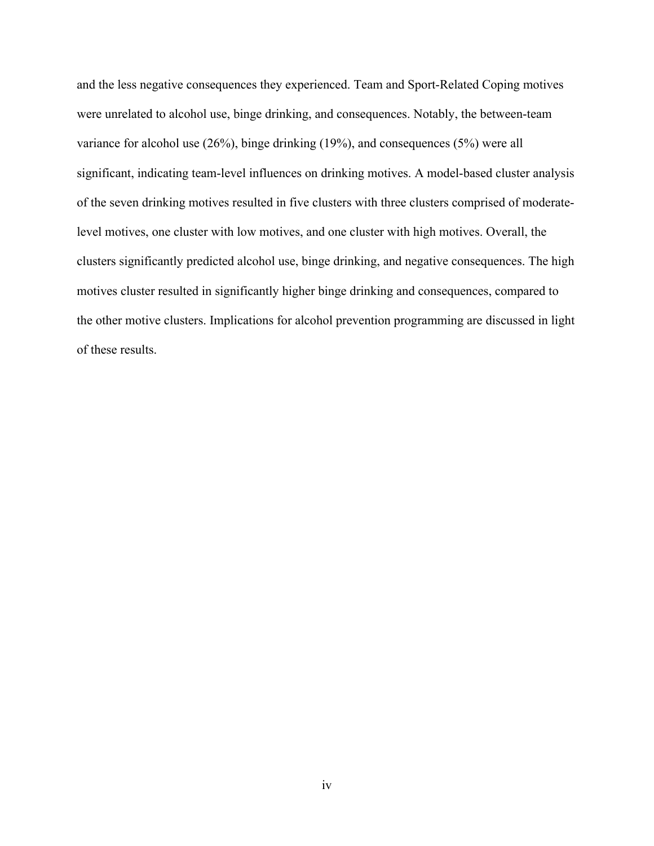and the less negative consequences they experienced. Team and Sport-Related Coping motives were unrelated to alcohol use, binge drinking, and consequences. Notably, the between-team variance for alcohol use (26%), binge drinking (19%), and consequences (5%) were all significant, indicating team-level influences on drinking motives. A model-based cluster analysis of the seven drinking motives resulted in five clusters with three clusters comprised of moderatelevel motives, one cluster with low motives, and one cluster with high motives. Overall, the clusters significantly predicted alcohol use, binge drinking, and negative consequences. The high motives cluster resulted in significantly higher binge drinking and consequences, compared to the other motive clusters. Implications for alcohol prevention programming are discussed in light of these results.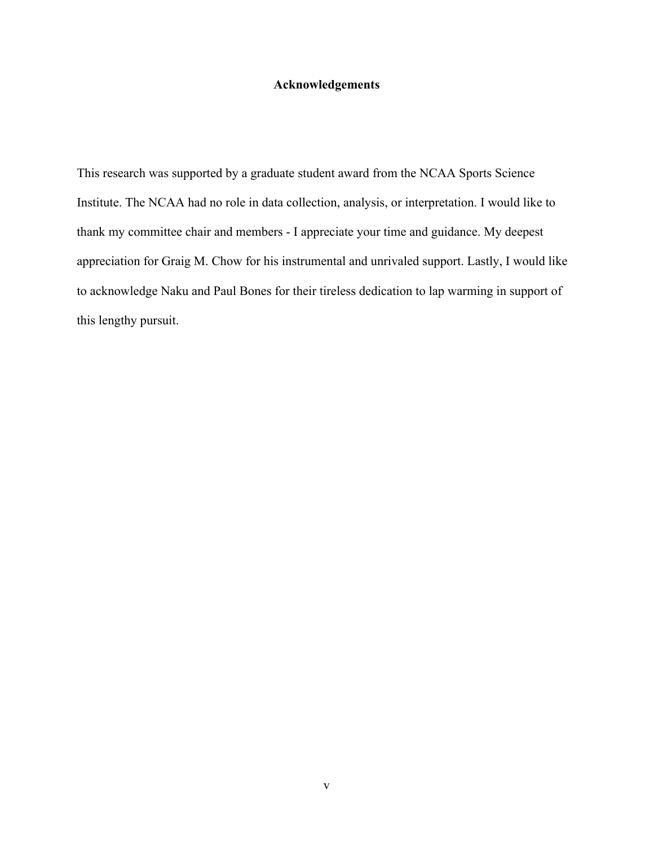# **Acknowledgements**

This research was supported by a graduate student award from the NCAA Sports Science Institute. The NCAA had no role in data collection, analysis, or interpretation. I would like to thank my committee chair and members - I appreciate your time and guidance. My deepest appreciation for Graig M. Chow for his instrumental and unrivaled support. Lastly, I would like to acknowledge Naku and Paul Bones for their tireless dedication to lap warming in support of this lengthy pursuit.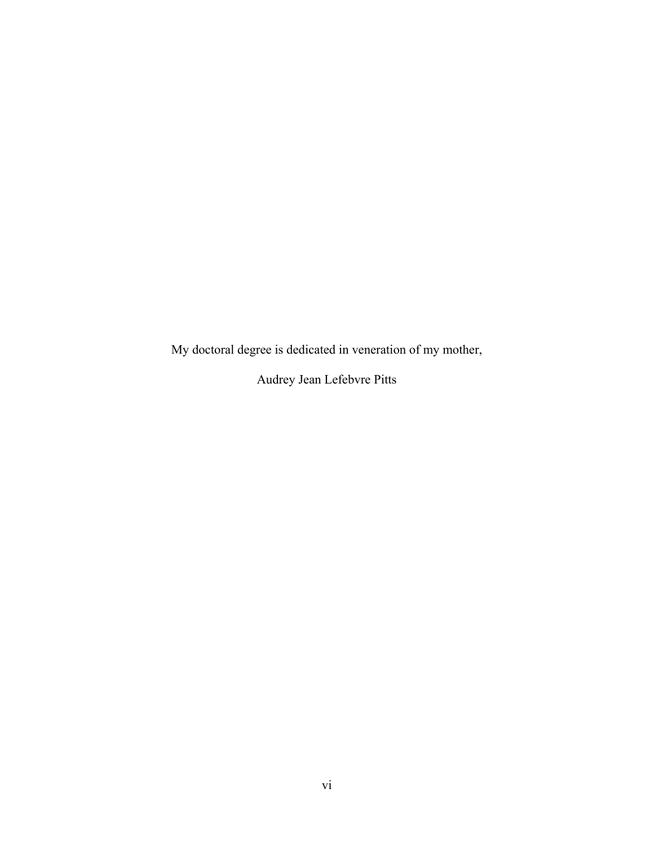My doctoral degree is dedicated in veneration of my mother,

Audrey Jean Lefebvre Pitts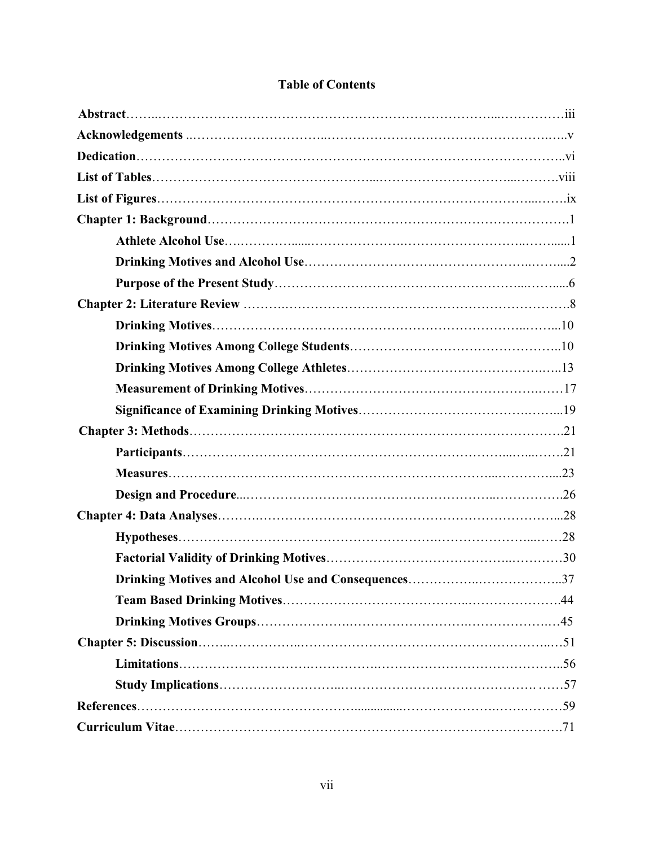|  | <b>Table of Contents</b> |  |
|--|--------------------------|--|
|  |                          |  |

| .44 |  |
|-----|--|
|     |  |
|     |  |
|     |  |
|     |  |
|     |  |
|     |  |
|     |  |
|     |  |
|     |  |
|     |  |
|     |  |
|     |  |
|     |  |
|     |  |
|     |  |
|     |  |
|     |  |
|     |  |
|     |  |
|     |  |
|     |  |
|     |  |
|     |  |
|     |  |
|     |  |
|     |  |
|     |  |
|     |  |
|     |  |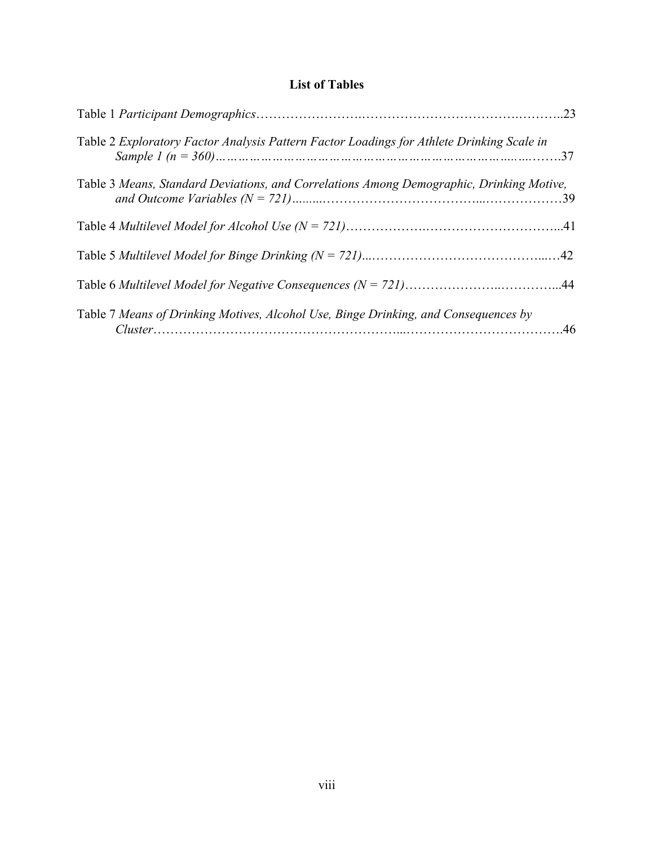# **List of Tables**

| Table 2 Exploratory Factor Analysis Pattern Factor Loadings for Athlete Drinking Scale in |  |
|-------------------------------------------------------------------------------------------|--|
| Table 3 Means, Standard Deviations, and Correlations Among Demographic, Drinking Motive,  |  |
|                                                                                           |  |
|                                                                                           |  |
|                                                                                           |  |
| Table 7 Means of Drinking Motives, Alcohol Use, Binge Drinking, and Consequences by       |  |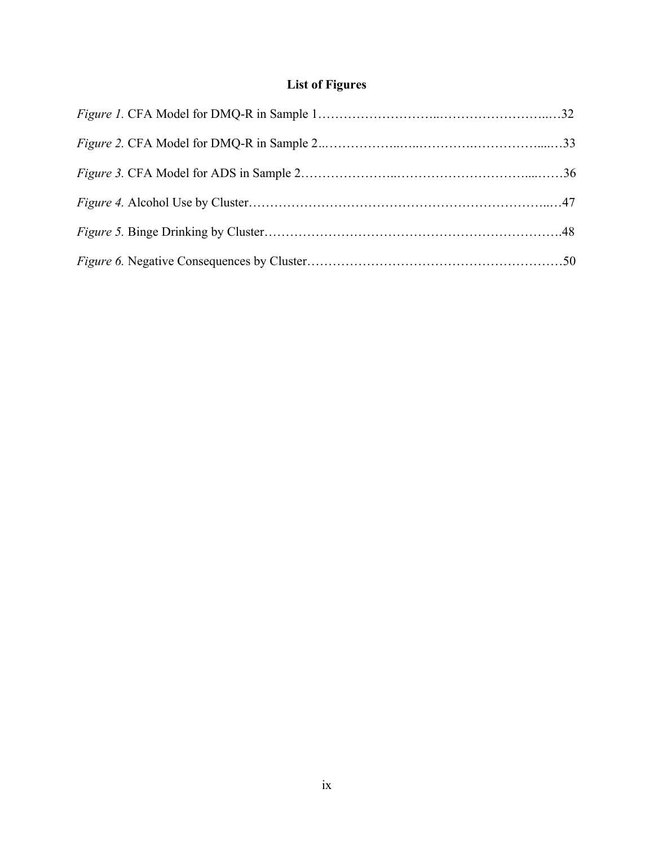# **List of Figures**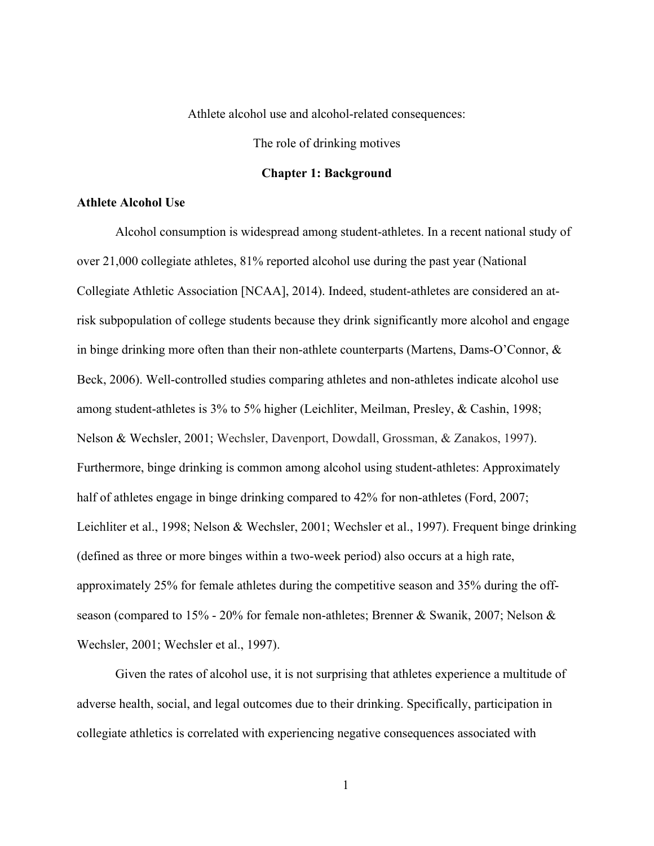Athlete alcohol use and alcohol-related consequences:

The role of drinking motives

### **Chapter 1: Background**

#### **Athlete Alcohol Use**

Alcohol consumption is widespread among student-athletes. In a recent national study of over 21,000 collegiate athletes, 81% reported alcohol use during the past year (National Collegiate Athletic Association [NCAA], 2014). Indeed, student-athletes are considered an atrisk subpopulation of college students because they drink significantly more alcohol and engage in binge drinking more often than their non-athlete counterparts (Martens, Dams-O'Connor, & Beck, 2006). Well-controlled studies comparing athletes and non-athletes indicate alcohol use among student-athletes is 3% to 5% higher (Leichliter, Meilman, Presley, & Cashin, 1998; Nelson & Wechsler, 2001; Wechsler, Davenport, Dowdall, Grossman, & Zanakos, 1997). Furthermore, binge drinking is common among alcohol using student-athletes: Approximately half of athletes engage in binge drinking compared to 42% for non-athletes (Ford, 2007; Leichliter et al., 1998; Nelson & Wechsler, 2001; Wechsler et al., 1997). Frequent binge drinking (defined as three or more binges within a two-week period) also occurs at a high rate, approximately 25% for female athletes during the competitive season and 35% during the offseason (compared to 15% - 20% for female non-athletes; Brenner & Swanik, 2007; Nelson & Wechsler, 2001; Wechsler et al., 1997).

Given the rates of alcohol use, it is not surprising that athletes experience a multitude of adverse health, social, and legal outcomes due to their drinking. Specifically, participation in collegiate athletics is correlated with experiencing negative consequences associated with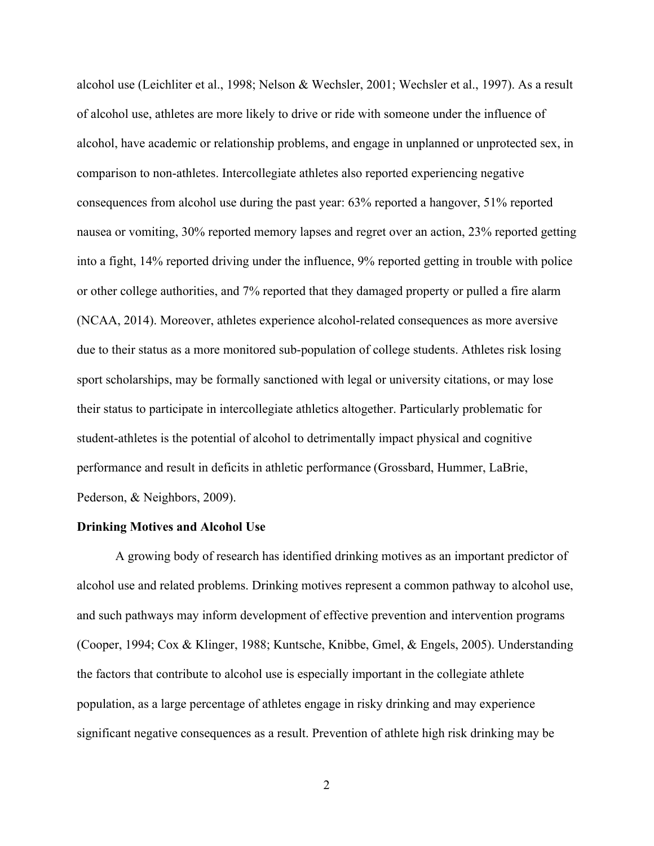alcohol use (Leichliter et al., 1998; Nelson & Wechsler, 2001; Wechsler et al., 1997). As a result of alcohol use, athletes are more likely to drive or ride with someone under the influence of alcohol, have academic or relationship problems, and engage in unplanned or unprotected sex, in comparison to non-athletes. Intercollegiate athletes also reported experiencing negative consequences from alcohol use during the past year: 63% reported a hangover, 51% reported nausea or vomiting, 30% reported memory lapses and regret over an action, 23% reported getting into a fight, 14% reported driving under the influence, 9% reported getting in trouble with police or other college authorities, and 7% reported that they damaged property or pulled a fire alarm (NCAA, 2014). Moreover, athletes experience alcohol-related consequences as more aversive due to their status as a more monitored sub-population of college students. Athletes risk losing sport scholarships, may be formally sanctioned with legal or university citations, or may lose their status to participate in intercollegiate athletics altogether. Particularly problematic for student-athletes is the potential of alcohol to detrimentally impact physical and cognitive performance and result in deficits in athletic performance (Grossbard, Hummer, LaBrie, Pederson, & Neighbors, 2009).

#### **Drinking Motives and Alcohol Use**

A growing body of research has identified drinking motives as an important predictor of alcohol use and related problems. Drinking motives represent a common pathway to alcohol use, and such pathways may inform development of effective prevention and intervention programs (Cooper, 1994; Cox & Klinger, 1988; Kuntsche, Knibbe, Gmel, & Engels, 2005). Understanding the factors that contribute to alcohol use is especially important in the collegiate athlete population, as a large percentage of athletes engage in risky drinking and may experience significant negative consequences as a result. Prevention of athlete high risk drinking may be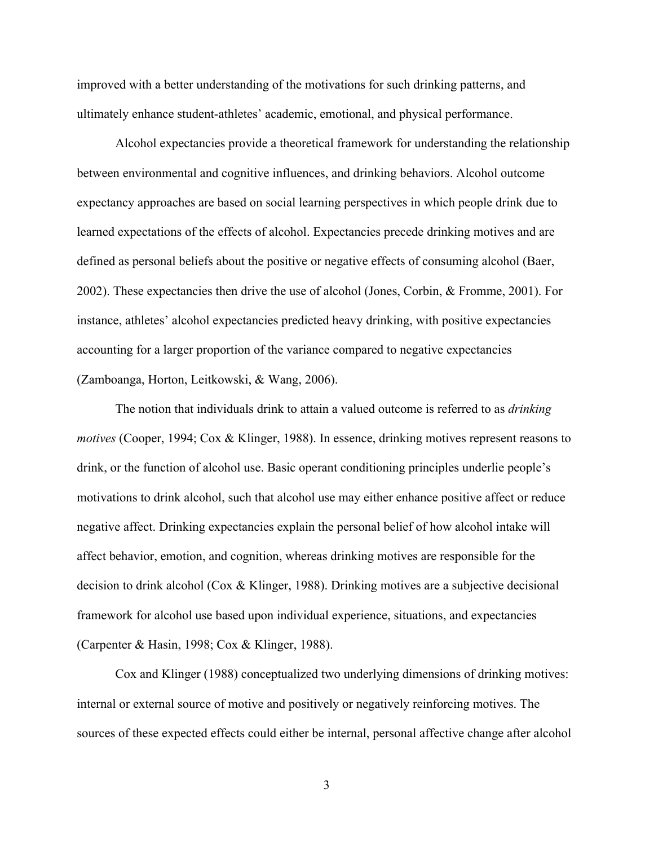improved with a better understanding of the motivations for such drinking patterns, and ultimately enhance student-athletes' academic, emotional, and physical performance.

Alcohol expectancies provide a theoretical framework for understanding the relationship between environmental and cognitive influences, and drinking behaviors. Alcohol outcome expectancy approaches are based on social learning perspectives in which people drink due to learned expectations of the effects of alcohol. Expectancies precede drinking motives and are defined as personal beliefs about the positive or negative effects of consuming alcohol (Baer, 2002). These expectancies then drive the use of alcohol (Jones, Corbin, & Fromme, 2001). For instance, athletes' alcohol expectancies predicted heavy drinking, with positive expectancies accounting for a larger proportion of the variance compared to negative expectancies (Zamboanga, Horton, Leitkowski, & Wang, 2006).

The notion that individuals drink to attain a valued outcome is referred to as *drinking motives* (Cooper, 1994; Cox & Klinger, 1988). In essence, drinking motives represent reasons to drink, or the function of alcohol use. Basic operant conditioning principles underlie people's motivations to drink alcohol, such that alcohol use may either enhance positive affect or reduce negative affect. Drinking expectancies explain the personal belief of how alcohol intake will affect behavior, emotion, and cognition, whereas drinking motives are responsible for the decision to drink alcohol (Cox & Klinger, 1988). Drinking motives are a subjective decisional framework for alcohol use based upon individual experience, situations, and expectancies (Carpenter & Hasin, 1998; Cox & Klinger, 1988).

Cox and Klinger (1988) conceptualized two underlying dimensions of drinking motives: internal or external source of motive and positively or negatively reinforcing motives. The sources of these expected effects could either be internal, personal affective change after alcohol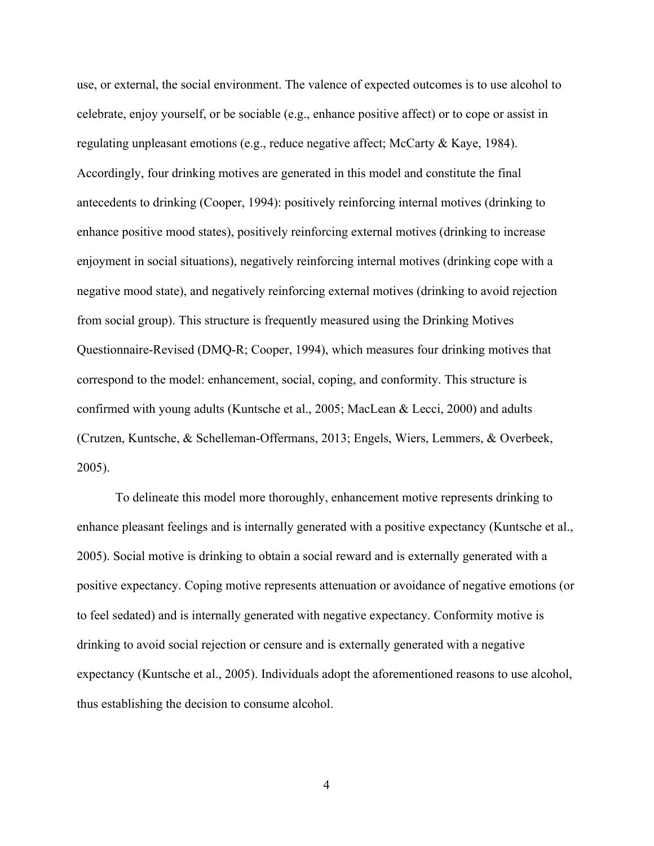use, or external, the social environment. The valence of expected outcomes is to use alcohol to celebrate, enjoy yourself, or be sociable (e.g., enhance positive affect) or to cope or assist in regulating unpleasant emotions (e.g., reduce negative affect; McCarty & Kaye, 1984). Accordingly, four drinking motives are generated in this model and constitute the final antecedents to drinking (Cooper, 1994): positively reinforcing internal motives (drinking to enhance positive mood states), positively reinforcing external motives (drinking to increase enjoyment in social situations), negatively reinforcing internal motives (drinking cope with a negative mood state), and negatively reinforcing external motives (drinking to avoid rejection from social group). This structure is frequently measured using the Drinking Motives Questionnaire-Revised (DMQ-R; Cooper, 1994), which measures four drinking motives that correspond to the model: enhancement, social, coping, and conformity. This structure is confirmed with young adults (Kuntsche et al., 2005; MacLean & Lecci, 2000) and adults (Crutzen, Kuntsche, & Schelleman-Offermans, 2013; Engels, Wiers, Lemmers, & Overbeek, 2005).

To delineate this model more thoroughly, enhancement motive represents drinking to enhance pleasant feelings and is internally generated with a positive expectancy (Kuntsche et al., 2005). Social motive is drinking to obtain a social reward and is externally generated with a positive expectancy. Coping motive represents attenuation or avoidance of negative emotions (or to feel sedated) and is internally generated with negative expectancy. Conformity motive is drinking to avoid social rejection or censure and is externally generated with a negative expectancy (Kuntsche et al., 2005). Individuals adopt the aforementioned reasons to use alcohol, thus establishing the decision to consume alcohol.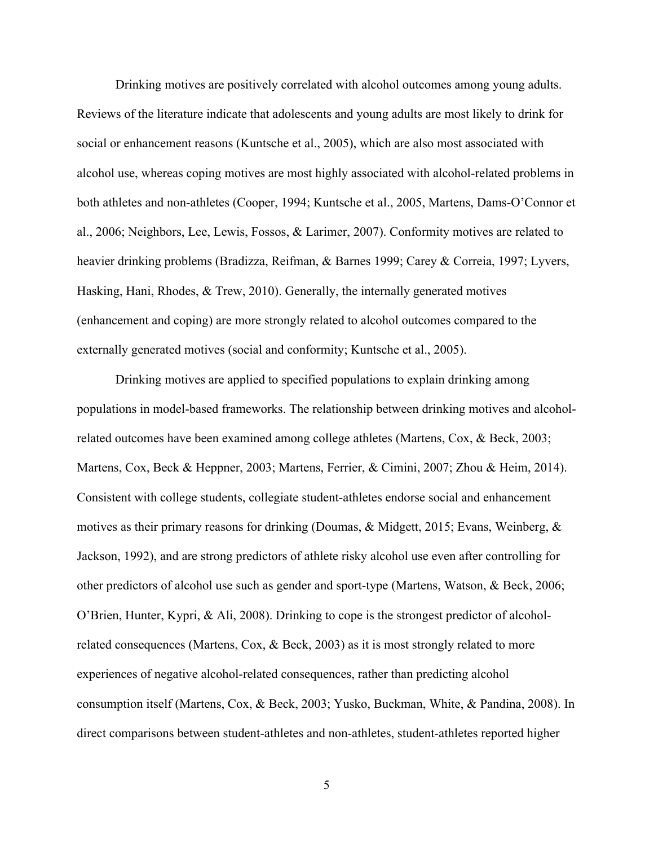Drinking motives are positively correlated with alcohol outcomes among young adults. Reviews of the literature indicate that adolescents and young adults are most likely to drink for social or enhancement reasons (Kuntsche et al., 2005), which are also most associated with alcohol use, whereas coping motives are most highly associated with alcohol-related problems in both athletes and non-athletes (Cooper, 1994; Kuntsche et al., 2005, Martens, Dams-O'Connor et al., 2006; Neighbors, Lee, Lewis, Fossos, & Larimer, 2007). Conformity motives are related to heavier drinking problems (Bradizza, Reifman, & Barnes 1999; Carey & Correia, 1997; Lyvers, Hasking, Hani, Rhodes, & Trew, 2010). Generally, the internally generated motives (enhancement and coping) are more strongly related to alcohol outcomes compared to the externally generated motives (social and conformity; Kuntsche et al., 2005).

Drinking motives are applied to specified populations to explain drinking among populations in model-based frameworks. The relationship between drinking motives and alcoholrelated outcomes have been examined among college athletes (Martens, Cox, & Beck, 2003; Martens, Cox, Beck & Heppner, 2003; Martens, Ferrier, & Cimini, 2007; Zhou & Heim, 2014). Consistent with college students, collegiate student-athletes endorse social and enhancement motives as their primary reasons for drinking (Doumas, & Midgett, 2015; Evans, Weinberg, & Jackson, 1992), and are strong predictors of athlete risky alcohol use even after controlling for other predictors of alcohol use such as gender and sport-type (Martens, Watson, & Beck, 2006; O'Brien, Hunter, Kypri, & Ali, 2008). Drinking to cope is the strongest predictor of alcoholrelated consequences (Martens, Cox, & Beck, 2003) as it is most strongly related to more experiences of negative alcohol-related consequences, rather than predicting alcohol consumption itself (Martens, Cox, & Beck, 2003; Yusko, Buckman, White, & Pandina, 2008). In direct comparisons between student-athletes and non-athletes, student-athletes reported higher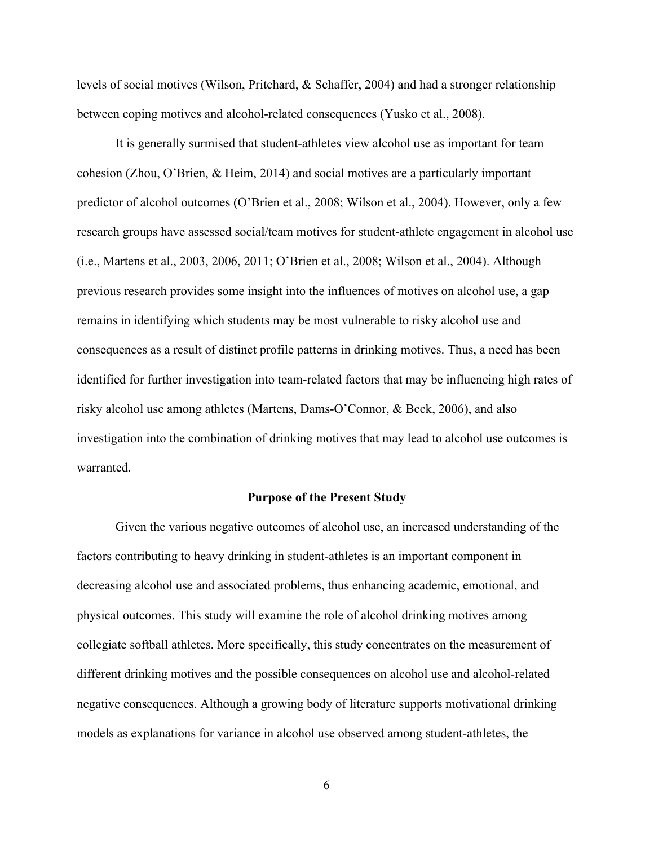levels of social motives (Wilson, Pritchard, & Schaffer, 2004) and had a stronger relationship between coping motives and alcohol-related consequences (Yusko et al., 2008).

It is generally surmised that student-athletes view alcohol use as important for team cohesion (Zhou, O'Brien, & Heim, 2014) and social motives are a particularly important predictor of alcohol outcomes (O'Brien et al., 2008; Wilson et al., 2004). However, only a few research groups have assessed social/team motives for student-athlete engagement in alcohol use (i.e., Martens et al., 2003, 2006, 2011; O'Brien et al., 2008; Wilson et al., 2004). Although previous research provides some insight into the influences of motives on alcohol use, a gap remains in identifying which students may be most vulnerable to risky alcohol use and consequences as a result of distinct profile patterns in drinking motives. Thus, a need has been identified for further investigation into team-related factors that may be influencing high rates of risky alcohol use among athletes (Martens, Dams-O'Connor, & Beck, 2006), and also investigation into the combination of drinking motives that may lead to alcohol use outcomes is warranted.

#### **Purpose of the Present Study**

Given the various negative outcomes of alcohol use, an increased understanding of the factors contributing to heavy drinking in student-athletes is an important component in decreasing alcohol use and associated problems, thus enhancing academic, emotional, and physical outcomes. This study will examine the role of alcohol drinking motives among collegiate softball athletes. More specifically, this study concentrates on the measurement of different drinking motives and the possible consequences on alcohol use and alcohol-related negative consequences. Although a growing body of literature supports motivational drinking models as explanations for variance in alcohol use observed among student-athletes, the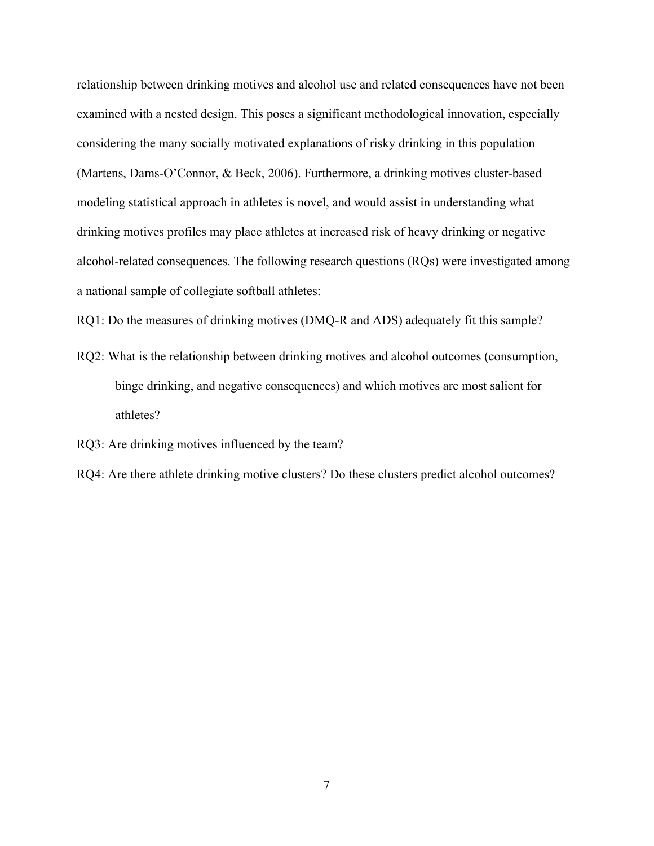relationship between drinking motives and alcohol use and related consequences have not been examined with a nested design. This poses a significant methodological innovation, especially considering the many socially motivated explanations of risky drinking in this population (Martens, Dams-O'Connor, & Beck, 2006). Furthermore, a drinking motives cluster-based modeling statistical approach in athletes is novel, and would assist in understanding what drinking motives profiles may place athletes at increased risk of heavy drinking or negative alcohol-related consequences. The following research questions (RQs) were investigated among a national sample of collegiate softball athletes:

RQ1: Do the measures of drinking motives (DMQ-R and ADS) adequately fit this sample?

RQ2: What is the relationship between drinking motives and alcohol outcomes (consumption, binge drinking, and negative consequences) and which motives are most salient for athletes?

RQ3: Are drinking motives influenced by the team?

RQ4: Are there athlete drinking motive clusters? Do these clusters predict alcohol outcomes?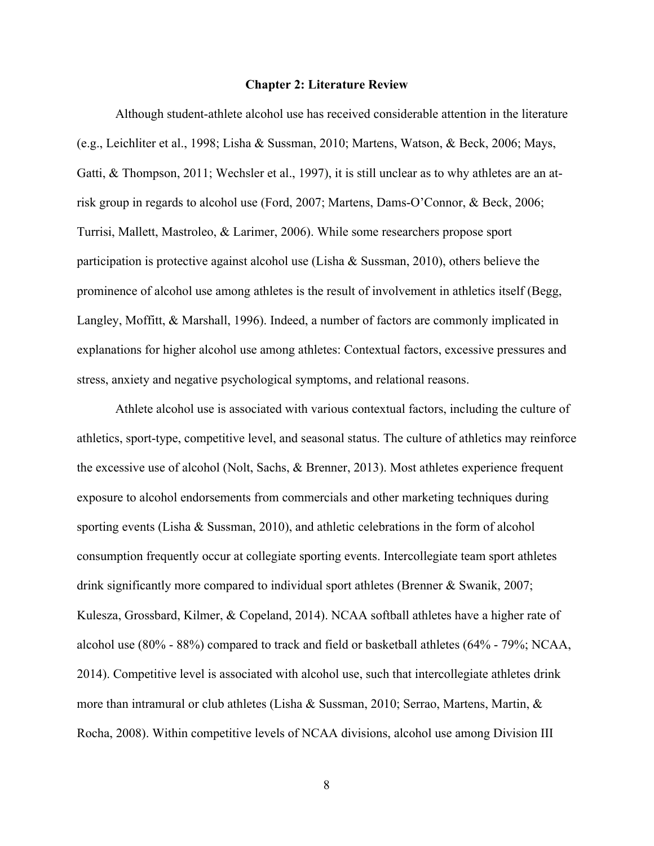#### **Chapter 2: Literature Review**

Although student-athlete alcohol use has received considerable attention in the literature (e.g., Leichliter et al., 1998; Lisha & Sussman, 2010; Martens, Watson, & Beck, 2006; Mays, Gatti, & Thompson, 2011; Wechsler et al., 1997), it is still unclear as to why athletes are an atrisk group in regards to alcohol use (Ford, 2007; Martens, Dams-O'Connor, & Beck, 2006; Turrisi, Mallett, Mastroleo, & Larimer, 2006). While some researchers propose sport participation is protective against alcohol use (Lisha & Sussman, 2010), others believe the prominence of alcohol use among athletes is the result of involvement in athletics itself (Begg, Langley, Moffitt, & Marshall, 1996). Indeed, a number of factors are commonly implicated in explanations for higher alcohol use among athletes: Contextual factors, excessive pressures and stress, anxiety and negative psychological symptoms, and relational reasons.

Athlete alcohol use is associated with various contextual factors, including the culture of athletics, sport-type, competitive level, and seasonal status. The culture of athletics may reinforce the excessive use of alcohol (Nolt, Sachs, & Brenner, 2013). Most athletes experience frequent exposure to alcohol endorsements from commercials and other marketing techniques during sporting events (Lisha & Sussman, 2010), and athletic celebrations in the form of alcohol consumption frequently occur at collegiate sporting events. Intercollegiate team sport athletes drink significantly more compared to individual sport athletes (Brenner & Swanik, 2007; Kulesza, Grossbard, Kilmer, & Copeland, 2014). NCAA softball athletes have a higher rate of alcohol use (80% - 88%) compared to track and field or basketball athletes (64% - 79%; NCAA, 2014). Competitive level is associated with alcohol use, such that intercollegiate athletes drink more than intramural or club athletes (Lisha & Sussman, 2010; Serrao, Martens, Martin, & Rocha, 2008). Within competitive levels of NCAA divisions, alcohol use among Division III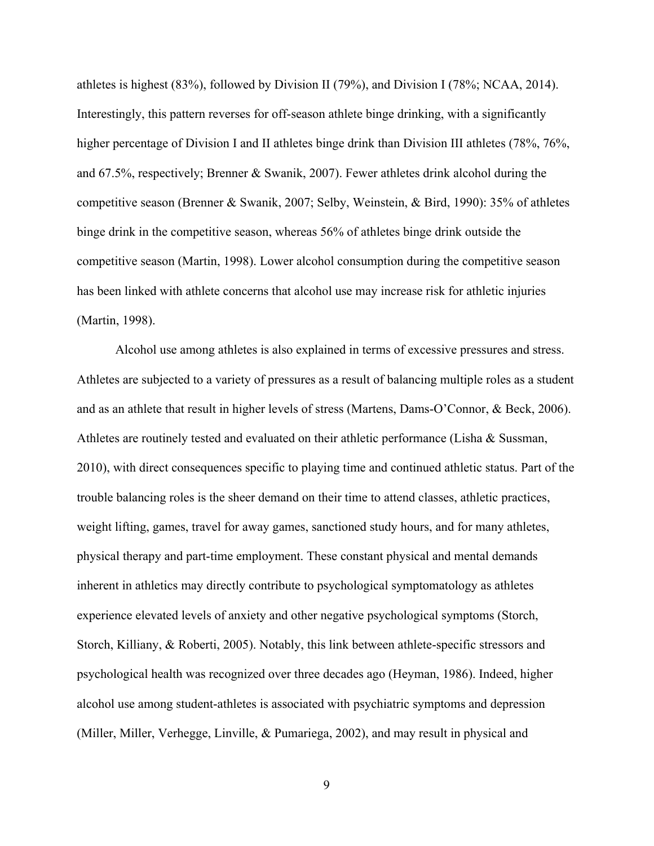athletes is highest (83%), followed by Division II (79%), and Division I (78%; NCAA, 2014). Interestingly, this pattern reverses for off-season athlete binge drinking, with a significantly higher percentage of Division I and II athletes binge drink than Division III athletes (78%, 76%, and 67.5%, respectively; Brenner & Swanik, 2007). Fewer athletes drink alcohol during the competitive season (Brenner & Swanik, 2007; Selby, Weinstein, & Bird, 1990): 35% of athletes binge drink in the competitive season, whereas 56% of athletes binge drink outside the competitive season (Martin, 1998). Lower alcohol consumption during the competitive season has been linked with athlete concerns that alcohol use may increase risk for athletic injuries (Martin, 1998).

Alcohol use among athletes is also explained in terms of excessive pressures and stress. Athletes are subjected to a variety of pressures as a result of balancing multiple roles as a student and as an athlete that result in higher levels of stress (Martens, Dams-O'Connor, & Beck, 2006). Athletes are routinely tested and evaluated on their athletic performance (Lisha & Sussman, 2010), with direct consequences specific to playing time and continued athletic status. Part of the trouble balancing roles is the sheer demand on their time to attend classes, athletic practices, weight lifting, games, travel for away games, sanctioned study hours, and for many athletes, physical therapy and part-time employment. These constant physical and mental demands inherent in athletics may directly contribute to psychological symptomatology as athletes experience elevated levels of anxiety and other negative psychological symptoms (Storch, Storch, Killiany, & Roberti, 2005). Notably, this link between athlete-specific stressors and psychological health was recognized over three decades ago (Heyman, 1986). Indeed, higher alcohol use among student-athletes is associated with psychiatric symptoms and depression (Miller, Miller, Verhegge, Linville, & Pumariega, 2002), and may result in physical and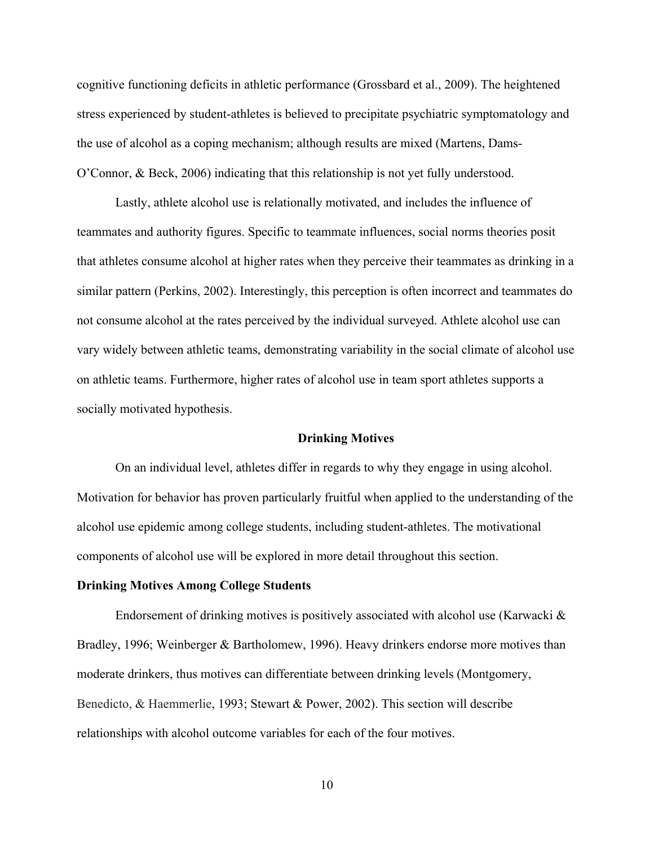cognitive functioning deficits in athletic performance (Grossbard et al., 2009). The heightened stress experienced by student-athletes is believed to precipitate psychiatric symptomatology and the use of alcohol as a coping mechanism; although results are mixed (Martens, Dams-O'Connor, & Beck, 2006) indicating that this relationship is not yet fully understood.

Lastly, athlete alcohol use is relationally motivated, and includes the influence of teammates and authority figures. Specific to teammate influences, social norms theories posit that athletes consume alcohol at higher rates when they perceive their teammates as drinking in a similar pattern (Perkins, 2002). Interestingly, this perception is often incorrect and teammates do not consume alcohol at the rates perceived by the individual surveyed. Athlete alcohol use can vary widely between athletic teams, demonstrating variability in the social climate of alcohol use on athletic teams. Furthermore, higher rates of alcohol use in team sport athletes supports a socially motivated hypothesis.

#### **Drinking Motives**

On an individual level, athletes differ in regards to why they engage in using alcohol. Motivation for behavior has proven particularly fruitful when applied to the understanding of the alcohol use epidemic among college students, including student-athletes. The motivational components of alcohol use will be explored in more detail throughout this section.

#### **Drinking Motives Among College Students**

Endorsement of drinking motives is positively associated with alcohol use (Karwacki  $\&$ Bradley, 1996; Weinberger & Bartholomew, 1996). Heavy drinkers endorse more motives than moderate drinkers, thus motives can differentiate between drinking levels (Montgomery, Benedicto, & Haemmerlie, 1993; Stewart & Power, 2002). This section will describe relationships with alcohol outcome variables for each of the four motives.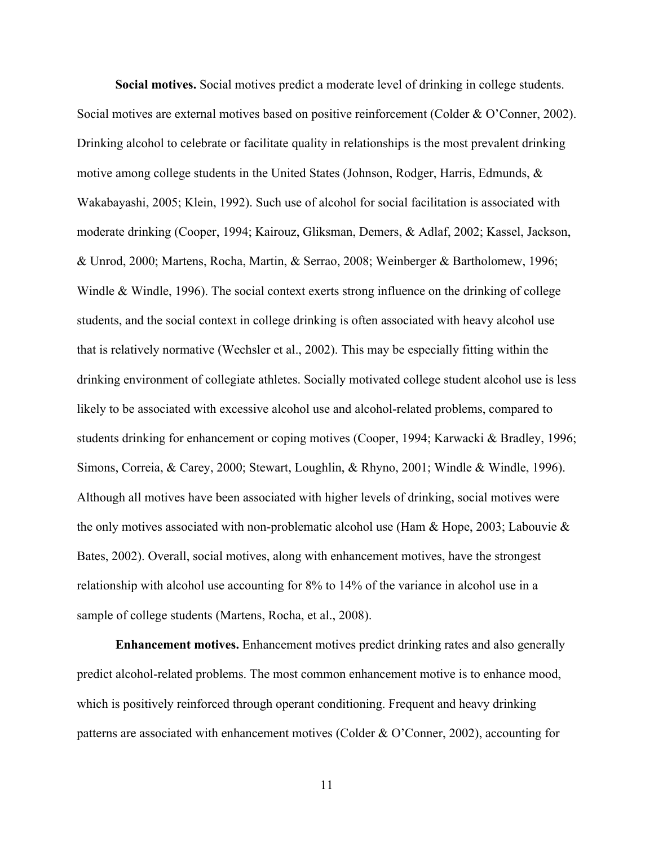**Social motives.** Social motives predict a moderate level of drinking in college students. Social motives are external motives based on positive reinforcement (Colder & O'Conner, 2002). Drinking alcohol to celebrate or facilitate quality in relationships is the most prevalent drinking motive among college students in the United States (Johnson, Rodger, Harris, Edmunds, & Wakabayashi, 2005; Klein, 1992). Such use of alcohol for social facilitation is associated with moderate drinking (Cooper, 1994; Kairouz, Gliksman, Demers, & Adlaf, 2002; Kassel, Jackson, & Unrod, 2000; Martens, Rocha, Martin, & Serrao, 2008; Weinberger & Bartholomew, 1996; Windle & Windle, 1996). The social context exerts strong influence on the drinking of college students, and the social context in college drinking is often associated with heavy alcohol use that is relatively normative (Wechsler et al., 2002). This may be especially fitting within the drinking environment of collegiate athletes. Socially motivated college student alcohol use is less likely to be associated with excessive alcohol use and alcohol-related problems, compared to students drinking for enhancement or coping motives (Cooper, 1994; Karwacki & Bradley, 1996; Simons, Correia, & Carey, 2000; Stewart, Loughlin, & Rhyno, 2001; Windle & Windle, 1996). Although all motives have been associated with higher levels of drinking, social motives were the only motives associated with non-problematic alcohol use (Ham & Hope, 2003; Labouvie & Bates, 2002). Overall, social motives, along with enhancement motives, have the strongest relationship with alcohol use accounting for 8% to 14% of the variance in alcohol use in a sample of college students (Martens, Rocha, et al., 2008).

**Enhancement motives.** Enhancement motives predict drinking rates and also generally predict alcohol-related problems. The most common enhancement motive is to enhance mood, which is positively reinforced through operant conditioning. Frequent and heavy drinking patterns are associated with enhancement motives (Colder & O'Conner, 2002), accounting for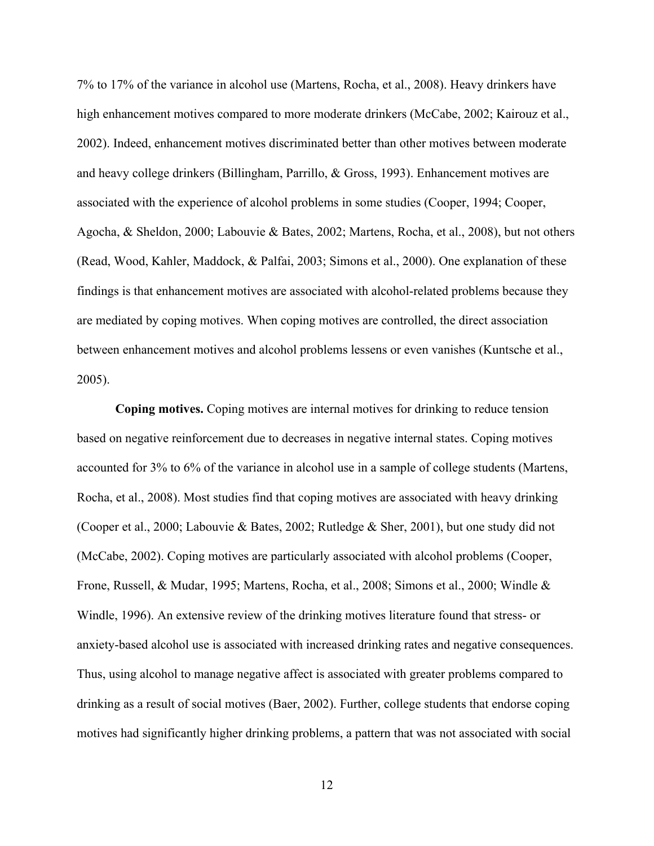7% to 17% of the variance in alcohol use (Martens, Rocha, et al., 2008). Heavy drinkers have high enhancement motives compared to more moderate drinkers (McCabe, 2002; Kairouz et al., 2002). Indeed, enhancement motives discriminated better than other motives between moderate and heavy college drinkers (Billingham, Parrillo, & Gross, 1993). Enhancement motives are associated with the experience of alcohol problems in some studies (Cooper, 1994; Cooper, Agocha, & Sheldon, 2000; Labouvie & Bates, 2002; Martens, Rocha, et al., 2008), but not others (Read, Wood, Kahler, Maddock, & Palfai, 2003; Simons et al., 2000). One explanation of these findings is that enhancement motives are associated with alcohol-related problems because they are mediated by coping motives. When coping motives are controlled, the direct association between enhancement motives and alcohol problems lessens or even vanishes (Kuntsche et al., 2005).

**Coping motives.** Coping motives are internal motives for drinking to reduce tension based on negative reinforcement due to decreases in negative internal states. Coping motives accounted for 3% to 6% of the variance in alcohol use in a sample of college students (Martens, Rocha, et al., 2008). Most studies find that coping motives are associated with heavy drinking (Cooper et al., 2000; Labouvie & Bates, 2002; Rutledge & Sher, 2001), but one study did not (McCabe, 2002). Coping motives are particularly associated with alcohol problems (Cooper, Frone, Russell, & Mudar, 1995; Martens, Rocha, et al., 2008; Simons et al., 2000; Windle & Windle, 1996). An extensive review of the drinking motives literature found that stress- or anxiety-based alcohol use is associated with increased drinking rates and negative consequences. Thus, using alcohol to manage negative affect is associated with greater problems compared to drinking as a result of social motives (Baer, 2002). Further, college students that endorse coping motives had significantly higher drinking problems, a pattern that was not associated with social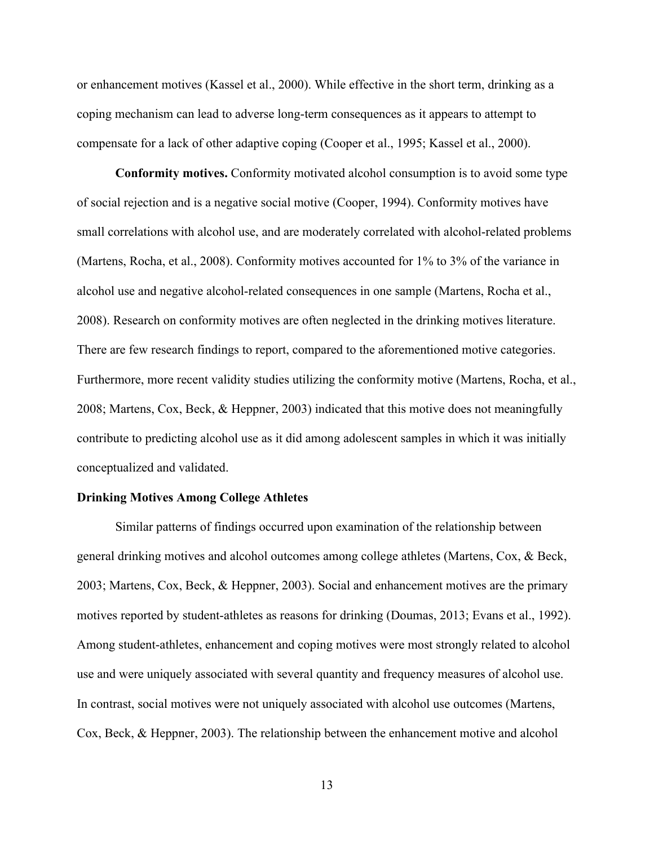or enhancement motives (Kassel et al., 2000). While effective in the short term, drinking as a coping mechanism can lead to adverse long-term consequences as it appears to attempt to compensate for a lack of other adaptive coping (Cooper et al., 1995; Kassel et al., 2000).

**Conformity motives.** Conformity motivated alcohol consumption is to avoid some type of social rejection and is a negative social motive (Cooper, 1994). Conformity motives have small correlations with alcohol use, and are moderately correlated with alcohol-related problems (Martens, Rocha, et al., 2008). Conformity motives accounted for 1% to 3% of the variance in alcohol use and negative alcohol-related consequences in one sample (Martens, Rocha et al., 2008). Research on conformity motives are often neglected in the drinking motives literature. There are few research findings to report, compared to the aforementioned motive categories. Furthermore, more recent validity studies utilizing the conformity motive (Martens, Rocha, et al., 2008; Martens, Cox, Beck, & Heppner, 2003) indicated that this motive does not meaningfully contribute to predicting alcohol use as it did among adolescent samples in which it was initially conceptualized and validated.

#### **Drinking Motives Among College Athletes**

Similar patterns of findings occurred upon examination of the relationship between general drinking motives and alcohol outcomes among college athletes (Martens, Cox, & Beck, 2003; Martens, Cox, Beck, & Heppner, 2003). Social and enhancement motives are the primary motives reported by student-athletes as reasons for drinking (Doumas, 2013; Evans et al., 1992). Among student-athletes, enhancement and coping motives were most strongly related to alcohol use and were uniquely associated with several quantity and frequency measures of alcohol use. In contrast, social motives were not uniquely associated with alcohol use outcomes (Martens, Cox, Beck, & Heppner, 2003). The relationship between the enhancement motive and alcohol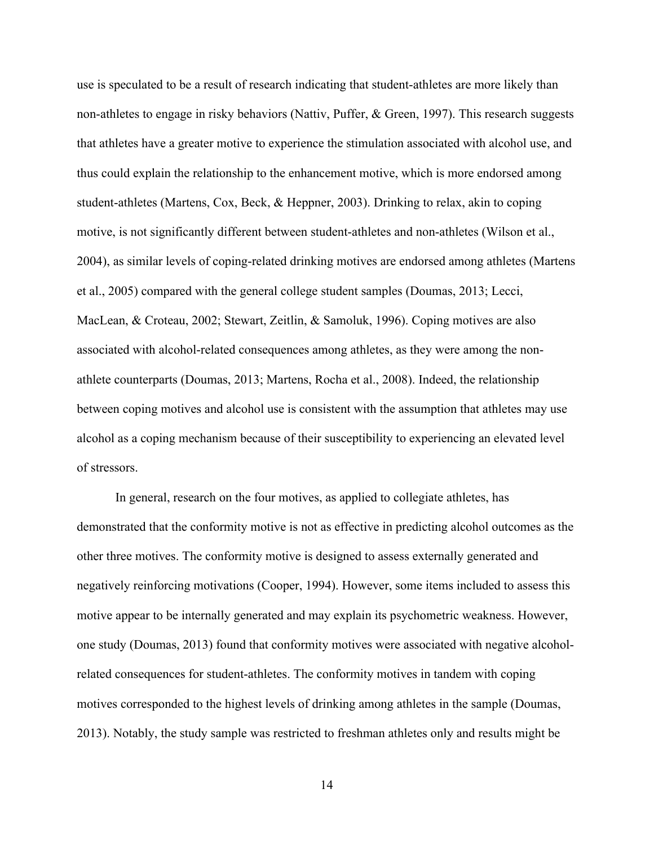use is speculated to be a result of research indicating that student-athletes are more likely than non-athletes to engage in risky behaviors (Nattiv, Puffer, & Green, 1997). This research suggests that athletes have a greater motive to experience the stimulation associated with alcohol use, and thus could explain the relationship to the enhancement motive, which is more endorsed among student-athletes (Martens, Cox, Beck, & Heppner, 2003). Drinking to relax, akin to coping motive, is not significantly different between student-athletes and non-athletes (Wilson et al., 2004), as similar levels of coping-related drinking motives are endorsed among athletes (Martens et al., 2005) compared with the general college student samples (Doumas, 2013; Lecci, MacLean, & Croteau, 2002; Stewart, Zeitlin, & Samoluk, 1996). Coping motives are also associated with alcohol-related consequences among athletes, as they were among the nonathlete counterparts (Doumas, 2013; Martens, Rocha et al., 2008). Indeed, the relationship between coping motives and alcohol use is consistent with the assumption that athletes may use alcohol as a coping mechanism because of their susceptibility to experiencing an elevated level of stressors.

In general, research on the four motives, as applied to collegiate athletes, has demonstrated that the conformity motive is not as effective in predicting alcohol outcomes as the other three motives. The conformity motive is designed to assess externally generated and negatively reinforcing motivations (Cooper, 1994). However, some items included to assess this motive appear to be internally generated and may explain its psychometric weakness. However, one study (Doumas, 2013) found that conformity motives were associated with negative alcoholrelated consequences for student-athletes. The conformity motives in tandem with coping motives corresponded to the highest levels of drinking among athletes in the sample (Doumas, 2013). Notably, the study sample was restricted to freshman athletes only and results might be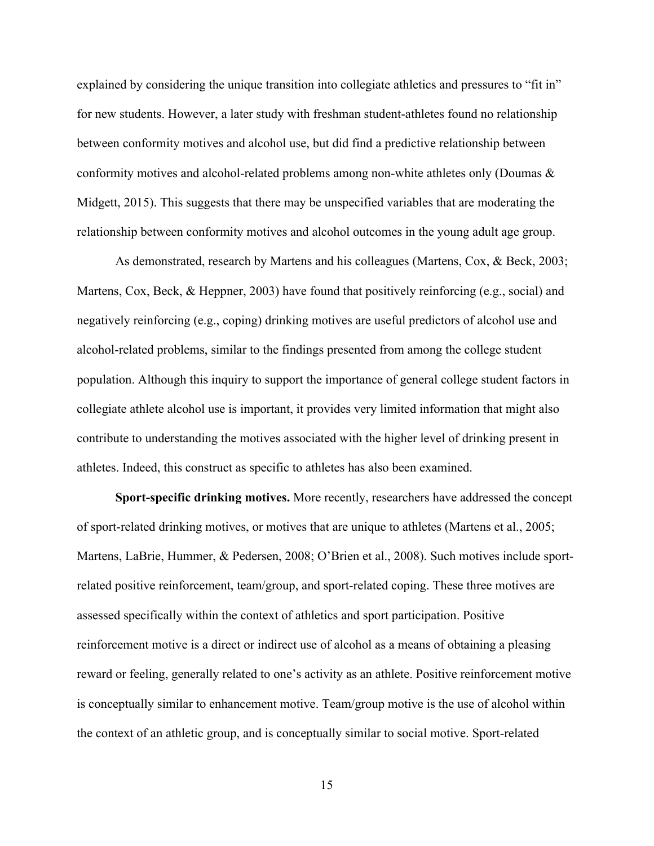explained by considering the unique transition into collegiate athletics and pressures to "fit in" for new students. However, a later study with freshman student-athletes found no relationship between conformity motives and alcohol use, but did find a predictive relationship between conformity motives and alcohol-related problems among non-white athletes only (Doumas & Midgett, 2015). This suggests that there may be unspecified variables that are moderating the relationship between conformity motives and alcohol outcomes in the young adult age group.

As demonstrated, research by Martens and his colleagues (Martens, Cox, & Beck, 2003; Martens, Cox, Beck, & Heppner, 2003) have found that positively reinforcing (e.g., social) and negatively reinforcing (e.g., coping) drinking motives are useful predictors of alcohol use and alcohol-related problems, similar to the findings presented from among the college student population. Although this inquiry to support the importance of general college student factors in collegiate athlete alcohol use is important, it provides very limited information that might also contribute to understanding the motives associated with the higher level of drinking present in athletes. Indeed, this construct as specific to athletes has also been examined.

**Sport-specific drinking motives.** More recently, researchers have addressed the concept of sport-related drinking motives, or motives that are unique to athletes (Martens et al., 2005; Martens, LaBrie, Hummer, & Pedersen, 2008; O'Brien et al., 2008). Such motives include sportrelated positive reinforcement, team/group, and sport-related coping. These three motives are assessed specifically within the context of athletics and sport participation. Positive reinforcement motive is a direct or indirect use of alcohol as a means of obtaining a pleasing reward or feeling, generally related to one's activity as an athlete. Positive reinforcement motive is conceptually similar to enhancement motive. Team/group motive is the use of alcohol within the context of an athletic group, and is conceptually similar to social motive. Sport-related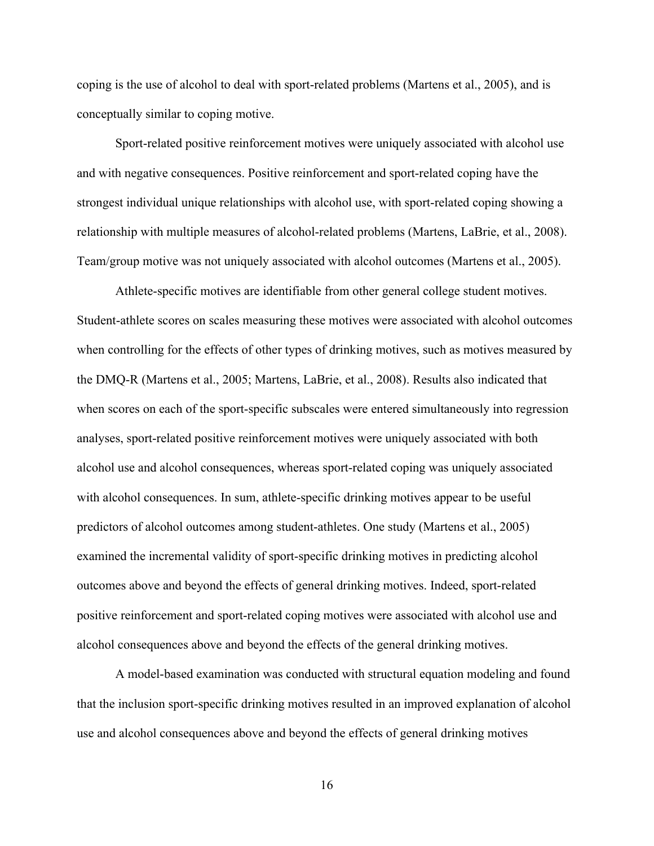coping is the use of alcohol to deal with sport-related problems (Martens et al., 2005), and is conceptually similar to coping motive.

Sport-related positive reinforcement motives were uniquely associated with alcohol use and with negative consequences. Positive reinforcement and sport-related coping have the strongest individual unique relationships with alcohol use, with sport-related coping showing a relationship with multiple measures of alcohol-related problems (Martens, LaBrie, et al., 2008). Team/group motive was not uniquely associated with alcohol outcomes (Martens et al., 2005).

Athlete-specific motives are identifiable from other general college student motives. Student-athlete scores on scales measuring these motives were associated with alcohol outcomes when controlling for the effects of other types of drinking motives, such as motives measured by the DMQ-R (Martens et al., 2005; Martens, LaBrie, et al., 2008). Results also indicated that when scores on each of the sport-specific subscales were entered simultaneously into regression analyses, sport-related positive reinforcement motives were uniquely associated with both alcohol use and alcohol consequences, whereas sport-related coping was uniquely associated with alcohol consequences. In sum, athlete-specific drinking motives appear to be useful predictors of alcohol outcomes among student-athletes. One study (Martens et al., 2005) examined the incremental validity of sport-specific drinking motives in predicting alcohol outcomes above and beyond the effects of general drinking motives. Indeed, sport-related positive reinforcement and sport-related coping motives were associated with alcohol use and alcohol consequences above and beyond the effects of the general drinking motives.

A model-based examination was conducted with structural equation modeling and found that the inclusion sport-specific drinking motives resulted in an improved explanation of alcohol use and alcohol consequences above and beyond the effects of general drinking motives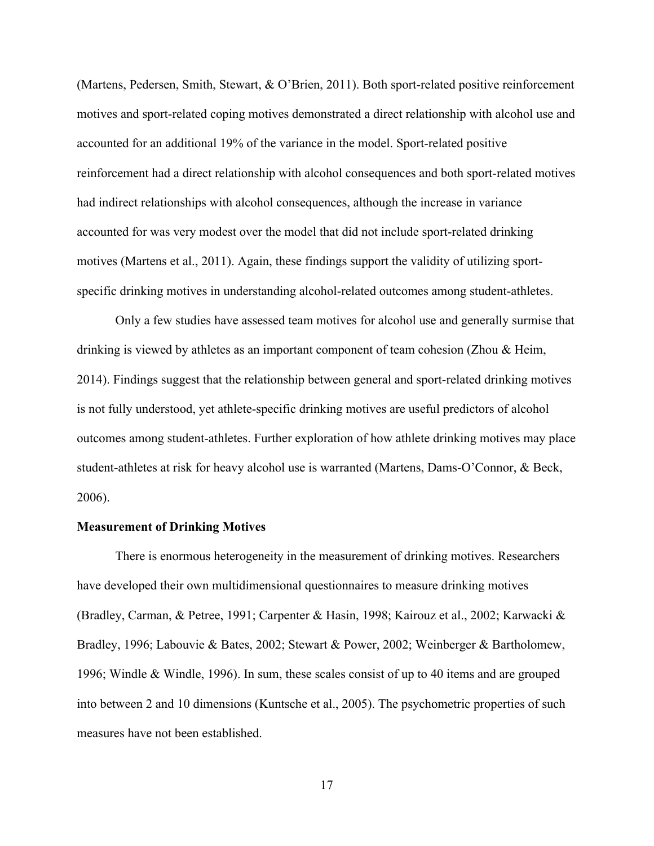(Martens, Pedersen, Smith, Stewart, & O'Brien, 2011). Both sport-related positive reinforcement motives and sport-related coping motives demonstrated a direct relationship with alcohol use and accounted for an additional 19% of the variance in the model. Sport-related positive reinforcement had a direct relationship with alcohol consequences and both sport-related motives had indirect relationships with alcohol consequences, although the increase in variance accounted for was very modest over the model that did not include sport-related drinking motives (Martens et al., 2011). Again, these findings support the validity of utilizing sportspecific drinking motives in understanding alcohol-related outcomes among student-athletes.

Only a few studies have assessed team motives for alcohol use and generally surmise that drinking is viewed by athletes as an important component of team cohesion (Zhou & Heim, 2014). Findings suggest that the relationship between general and sport-related drinking motives is not fully understood, yet athlete-specific drinking motives are useful predictors of alcohol outcomes among student-athletes. Further exploration of how athlete drinking motives may place student-athletes at risk for heavy alcohol use is warranted (Martens, Dams-O'Connor, & Beck, 2006).

#### **Measurement of Drinking Motives**

There is enormous heterogeneity in the measurement of drinking motives. Researchers have developed their own multidimensional questionnaires to measure drinking motives (Bradley, Carman, & Petree, 1991; Carpenter & Hasin, 1998; Kairouz et al., 2002; Karwacki & Bradley, 1996; Labouvie & Bates, 2002; Stewart & Power, 2002; Weinberger & Bartholomew, 1996; Windle & Windle, 1996). In sum, these scales consist of up to 40 items and are grouped into between 2 and 10 dimensions (Kuntsche et al., 2005). The psychometric properties of such measures have not been established.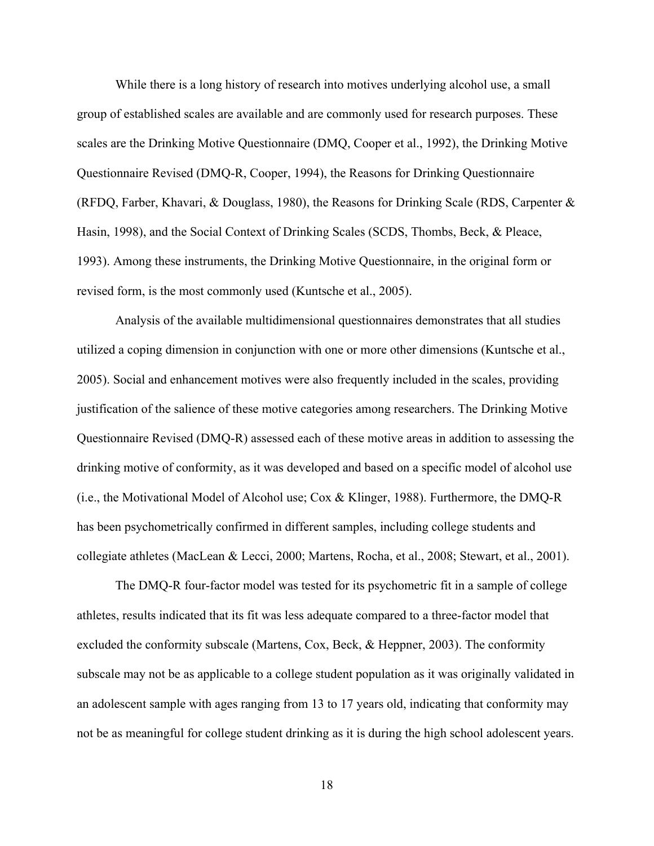While there is a long history of research into motives underlying alcohol use, a small group of established scales are available and are commonly used for research purposes. These scales are the Drinking Motive Questionnaire (DMQ, Cooper et al., 1992), the Drinking Motive Questionnaire Revised (DMQ-R, Cooper, 1994), the Reasons for Drinking Questionnaire (RFDQ, Farber, Khavari, & Douglass, 1980), the Reasons for Drinking Scale (RDS, Carpenter & Hasin, 1998), and the Social Context of Drinking Scales (SCDS, Thombs, Beck, & Pleace, 1993). Among these instruments, the Drinking Motive Questionnaire, in the original form or revised form, is the most commonly used (Kuntsche et al., 2005).

Analysis of the available multidimensional questionnaires demonstrates that all studies utilized a coping dimension in conjunction with one or more other dimensions (Kuntsche et al., 2005). Social and enhancement motives were also frequently included in the scales, providing justification of the salience of these motive categories among researchers. The Drinking Motive Questionnaire Revised (DMQ-R) assessed each of these motive areas in addition to assessing the drinking motive of conformity, as it was developed and based on a specific model of alcohol use (i.e., the Motivational Model of Alcohol use; Cox & Klinger, 1988). Furthermore, the DMQ-R has been psychometrically confirmed in different samples, including college students and collegiate athletes (MacLean & Lecci, 2000; Martens, Rocha, et al., 2008; Stewart, et al., 2001).

The DMQ-R four-factor model was tested for its psychometric fit in a sample of college athletes, results indicated that its fit was less adequate compared to a three-factor model that excluded the conformity subscale (Martens, Cox, Beck, & Heppner, 2003). The conformity subscale may not be as applicable to a college student population as it was originally validated in an adolescent sample with ages ranging from 13 to 17 years old, indicating that conformity may not be as meaningful for college student drinking as it is during the high school adolescent years.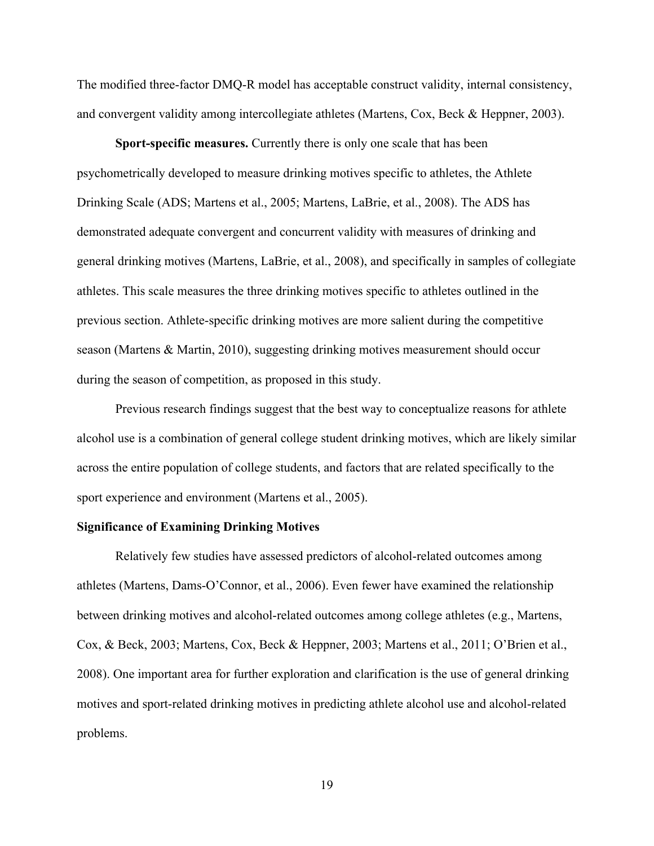The modified three-factor DMQ-R model has acceptable construct validity, internal consistency, and convergent validity among intercollegiate athletes (Martens, Cox, Beck & Heppner, 2003).

**Sport-specific measures.** Currently there is only one scale that has been psychometrically developed to measure drinking motives specific to athletes, the Athlete Drinking Scale (ADS; Martens et al., 2005; Martens, LaBrie, et al., 2008). The ADS has demonstrated adequate convergent and concurrent validity with measures of drinking and general drinking motives (Martens, LaBrie, et al., 2008), and specifically in samples of collegiate athletes. This scale measures the three drinking motives specific to athletes outlined in the previous section. Athlete-specific drinking motives are more salient during the competitive season (Martens & Martin, 2010), suggesting drinking motives measurement should occur during the season of competition, as proposed in this study.

Previous research findings suggest that the best way to conceptualize reasons for athlete alcohol use is a combination of general college student drinking motives, which are likely similar across the entire population of college students, and factors that are related specifically to the sport experience and environment (Martens et al., 2005).

#### **Significance of Examining Drinking Motives**

Relatively few studies have assessed predictors of alcohol-related outcomes among athletes (Martens, Dams-O'Connor, et al., 2006). Even fewer have examined the relationship between drinking motives and alcohol-related outcomes among college athletes (e.g., Martens, Cox, & Beck, 2003; Martens, Cox, Beck & Heppner, 2003; Martens et al., 2011; O'Brien et al., 2008). One important area for further exploration and clarification is the use of general drinking motives and sport-related drinking motives in predicting athlete alcohol use and alcohol-related problems.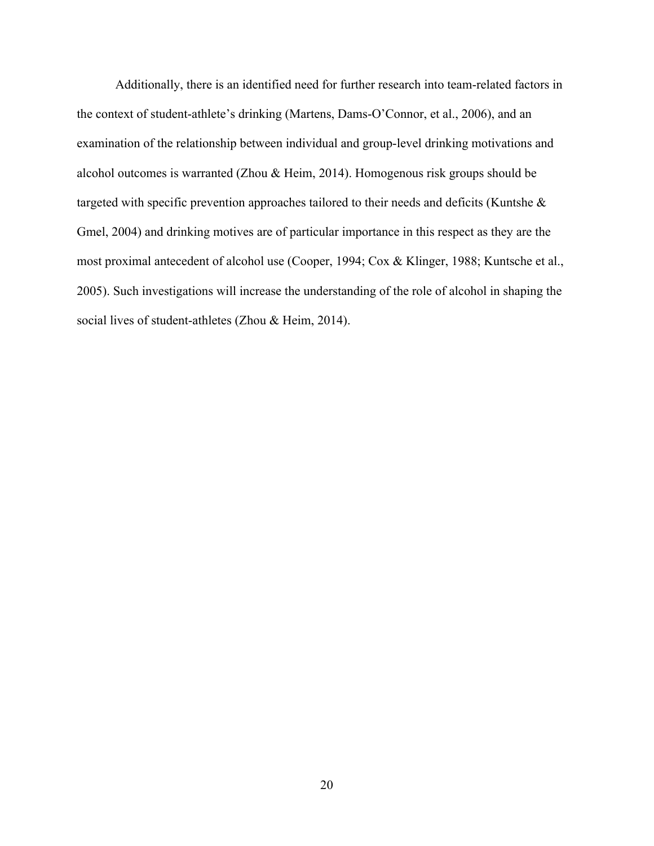Additionally, there is an identified need for further research into team-related factors in the context of student-athlete's drinking (Martens, Dams-O'Connor, et al., 2006), and an examination of the relationship between individual and group-level drinking motivations and alcohol outcomes is warranted (Zhou & Heim, 2014). Homogenous risk groups should be targeted with specific prevention approaches tailored to their needs and deficits (Kuntshe & Gmel, 2004) and drinking motives are of particular importance in this respect as they are the most proximal antecedent of alcohol use (Cooper, 1994; Cox & Klinger, 1988; Kuntsche et al., 2005). Such investigations will increase the understanding of the role of alcohol in shaping the social lives of student-athletes (Zhou & Heim, 2014).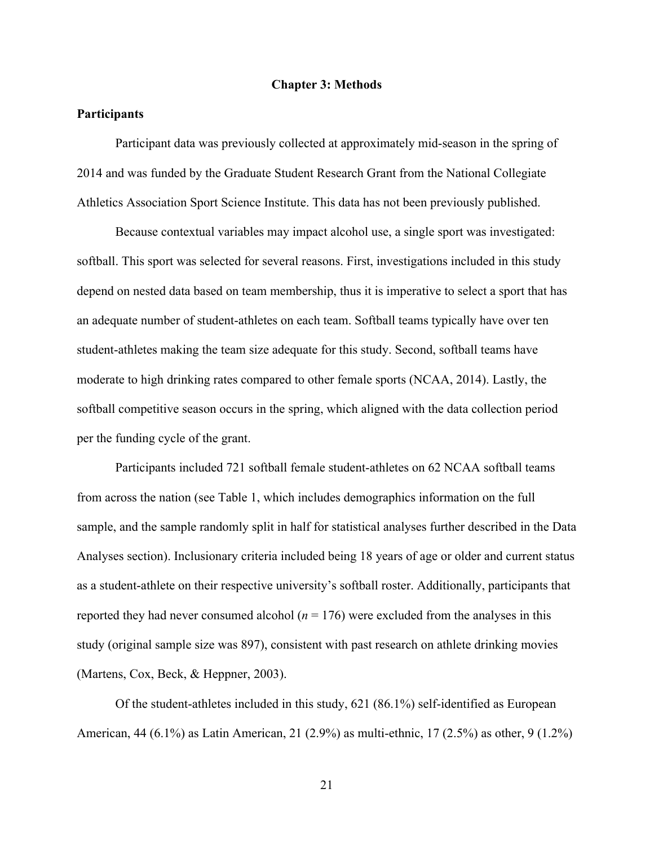#### **Chapter 3: Methods**

#### **Participants**

Participant data was previously collected at approximately mid-season in the spring of 2014 and was funded by the Graduate Student Research Grant from the National Collegiate Athletics Association Sport Science Institute. This data has not been previously published.

Because contextual variables may impact alcohol use, a single sport was investigated: softball. This sport was selected for several reasons. First, investigations included in this study depend on nested data based on team membership, thus it is imperative to select a sport that has an adequate number of student-athletes on each team. Softball teams typically have over ten student-athletes making the team size adequate for this study. Second, softball teams have moderate to high drinking rates compared to other female sports (NCAA, 2014). Lastly, the softball competitive season occurs in the spring, which aligned with the data collection period per the funding cycle of the grant.

Participants included 721 softball female student-athletes on 62 NCAA softball teams from across the nation (see Table 1, which includes demographics information on the full sample, and the sample randomly split in half for statistical analyses further described in the Data Analyses section). Inclusionary criteria included being 18 years of age or older and current status as a student-athlete on their respective university's softball roster. Additionally, participants that reported they had never consumed alcohol  $(n = 176)$  were excluded from the analyses in this study (original sample size was 897), consistent with past research on athlete drinking movies (Martens, Cox, Beck, & Heppner, 2003).

Of the student-athletes included in this study, 621 (86.1%) self-identified as European American, 44 (6.1%) as Latin American, 21 (2.9%) as multi-ethnic, 17 (2.5%) as other, 9 (1.2%)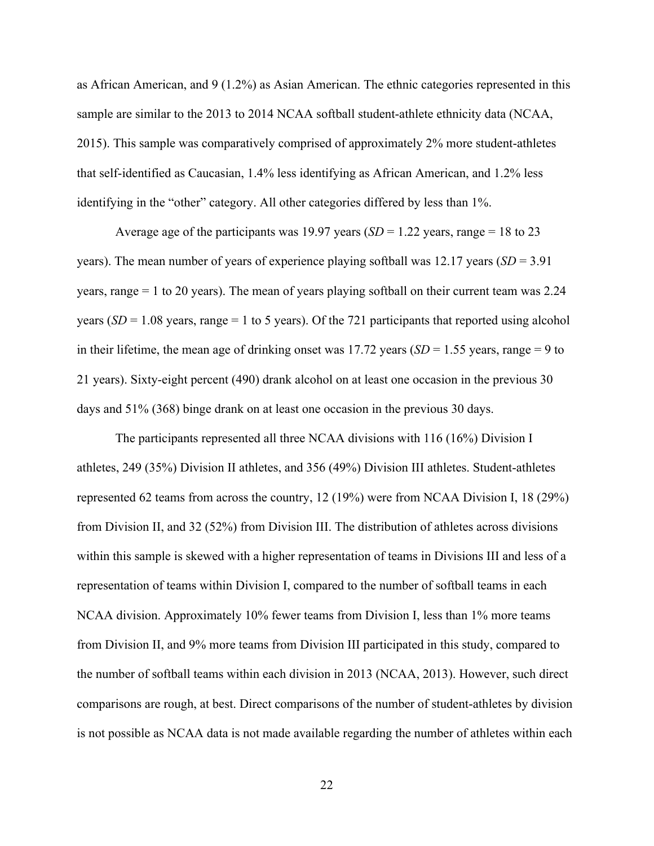as African American, and 9 (1.2%) as Asian American. The ethnic categories represented in this sample are similar to the 2013 to 2014 NCAA softball student-athlete ethnicity data (NCAA, 2015). This sample was comparatively comprised of approximately 2% more student-athletes that self-identified as Caucasian, 1.4% less identifying as African American, and 1.2% less identifying in the "other" category. All other categories differed by less than 1%.

Average age of the participants was 19.97 years ( $SD = 1.22$  years, range = 18 to 23 years). The mean number of years of experience playing softball was 12.17 years (*SD* = 3.91 years, range = 1 to 20 years). The mean of years playing softball on their current team was 2.24 years  $(SD = 1.08$  years, range = 1 to 5 years). Of the 721 participants that reported using alcohol in their lifetime, the mean age of drinking onset was  $17.72$  years (*SD* = 1.55 years, range = 9 to 21 years). Sixty-eight percent (490) drank alcohol on at least one occasion in the previous 30 days and 51% (368) binge drank on at least one occasion in the previous 30 days.

The participants represented all three NCAA divisions with 116 (16%) Division I athletes, 249 (35%) Division II athletes, and 356 (49%) Division III athletes. Student-athletes represented 62 teams from across the country, 12 (19%) were from NCAA Division I, 18 (29%) from Division II, and 32 (52%) from Division III. The distribution of athletes across divisions within this sample is skewed with a higher representation of teams in Divisions III and less of a representation of teams within Division I, compared to the number of softball teams in each NCAA division. Approximately 10% fewer teams from Division I, less than 1% more teams from Division II, and 9% more teams from Division III participated in this study, compared to the number of softball teams within each division in 2013 (NCAA, 2013). However, such direct comparisons are rough, at best. Direct comparisons of the number of student-athletes by division is not possible as NCAA data is not made available regarding the number of athletes within each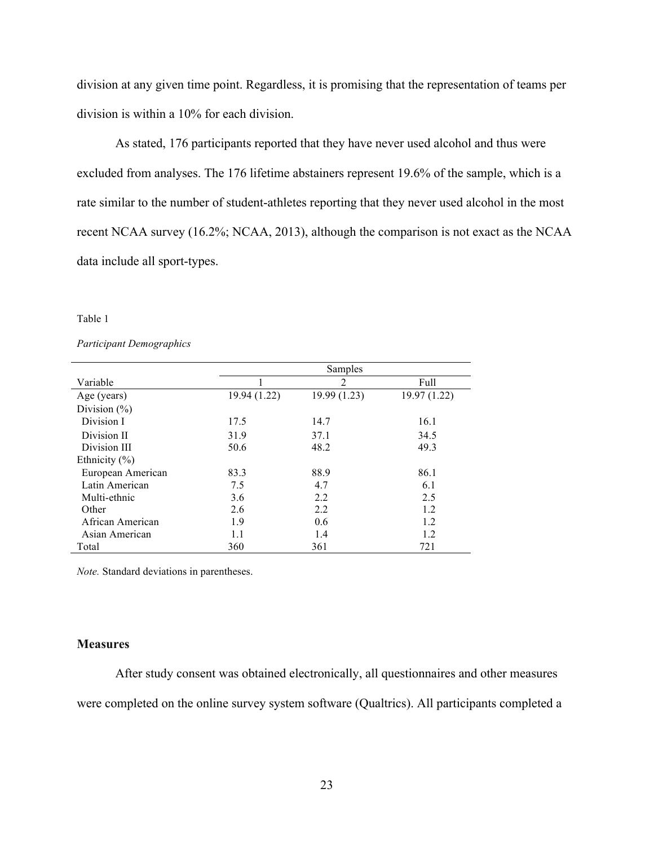division at any given time point. Regardless, it is promising that the representation of teams per division is within a 10% for each division.

As stated, 176 participants reported that they have never used alcohol and thus were excluded from analyses. The 176 lifetime abstainers represent 19.6% of the sample, which is a rate similar to the number of student-athletes reporting that they never used alcohol in the most recent NCAA survey (16.2%; NCAA, 2013), although the comparison is not exact as the NCAA data include all sport-types.

#### Table 1

#### *Participant Demographics*

|                   |              | Samples        |              |
|-------------------|--------------|----------------|--------------|
| Variable          |              | $\overline{2}$ | Full         |
| Age (years)       | 19.94 (1.22) | 19.99 (1.23)   | 19.97 (1.22) |
| Division $(\% )$  |              |                |              |
| Division I        | 17.5         | 14.7           | 16.1         |
| Division II       | 31.9         | 37.1           | 34.5         |
| Division III      | 50.6         | 48.2           | 49.3         |
| Ethnicity $(\% )$ |              |                |              |
| European American | 83.3         | 88.9           | 86.1         |
| Latin American    | 7.5          | 4.7            | 6.1          |
| Multi-ethnic      | 3.6          | 2.2            | 2.5          |
| Other             | 2.6          | 2.2            | 1.2          |
| African American  | 1.9          | 0.6            | 1.2          |
| Asian American    | 1.1          | 1.4            | 1.2          |
| Total             | 360          | 361            | 721          |

*Note.* Standard deviations in parentheses.

#### **Measures**

After study consent was obtained electronically, all questionnaires and other measures were completed on the online survey system software (Qualtrics). All participants completed a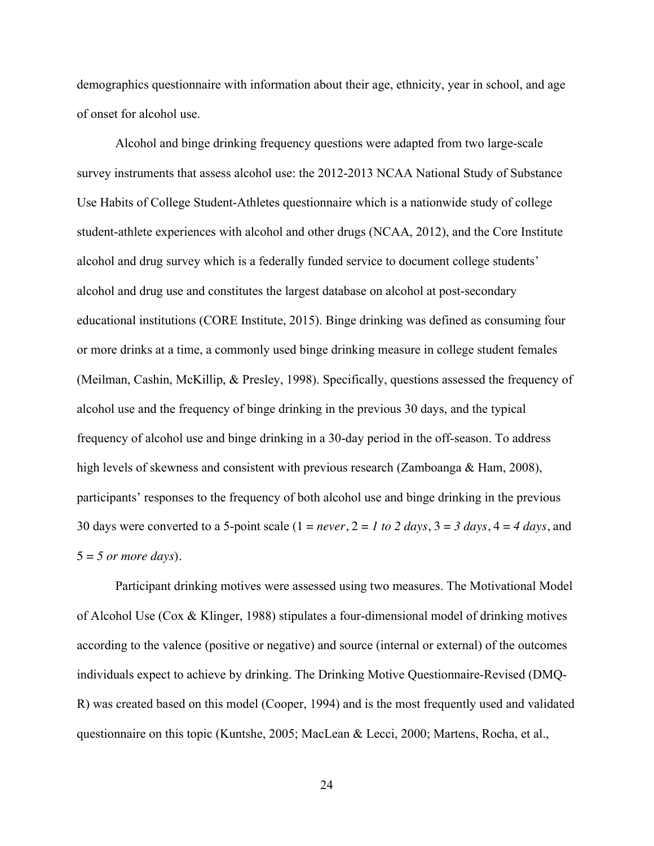demographics questionnaire with information about their age, ethnicity, year in school, and age of onset for alcohol use.

Alcohol and binge drinking frequency questions were adapted from two large-scale survey instruments that assess alcohol use: the 2012-2013 NCAA National Study of Substance Use Habits of College Student-Athletes questionnaire which is a nationwide study of college student-athlete experiences with alcohol and other drugs (NCAA, 2012), and the Core Institute alcohol and drug survey which is a federally funded service to document college students' alcohol and drug use and constitutes the largest database on alcohol at post-secondary educational institutions (CORE Institute, 2015). Binge drinking was defined as consuming four or more drinks at a time, a commonly used binge drinking measure in college student females (Meilman, Cashin, McKillip, & Presley, 1998). Specifically, questions assessed the frequency of alcohol use and the frequency of binge drinking in the previous 30 days, and the typical frequency of alcohol use and binge drinking in a 30-day period in the off-season. To address high levels of skewness and consistent with previous research (Zamboanga & Ham, 2008), participants' responses to the frequency of both alcohol use and binge drinking in the previous 30 days were converted to a 5-point scale ( $1 = never$ ,  $2 = 1$  to  $2$  days,  $3 = 3$  days,  $4 = 4$  days, and 5 = *5 or more days*).

Participant drinking motives were assessed using two measures. The Motivational Model of Alcohol Use (Cox & Klinger, 1988) stipulates a four-dimensional model of drinking motives according to the valence (positive or negative) and source (internal or external) of the outcomes individuals expect to achieve by drinking. The Drinking Motive Questionnaire-Revised (DMQ-R) was created based on this model (Cooper, 1994) and is the most frequently used and validated questionnaire on this topic (Kuntshe, 2005; MacLean & Lecci, 2000; Martens, Rocha, et al.,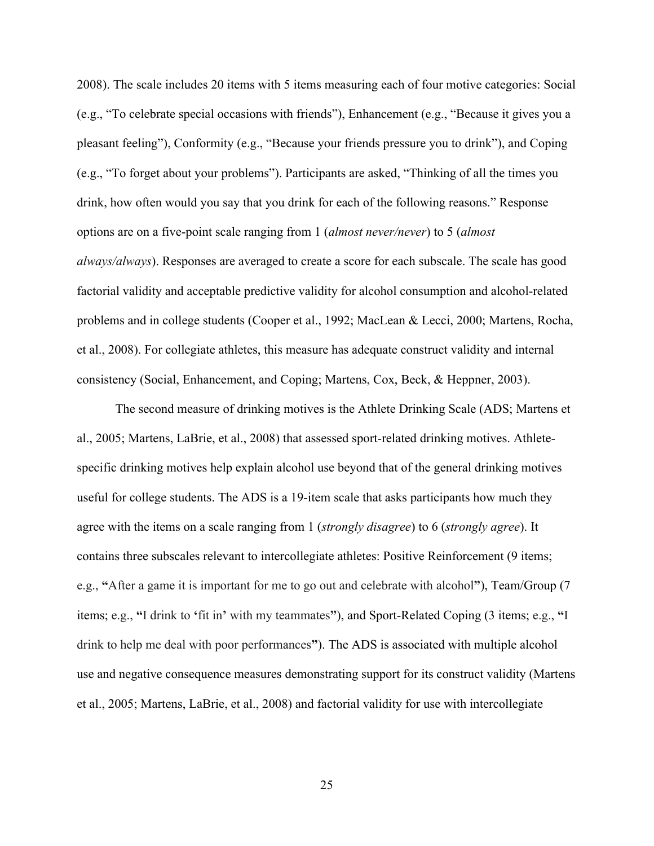2008). The scale includes 20 items with 5 items measuring each of four motive categories: Social (e.g., "To celebrate special occasions with friends"), Enhancement (e.g., "Because it gives you a pleasant feeling"), Conformity (e.g., "Because your friends pressure you to drink"), and Coping (e.g., "To forget about your problems"). Participants are asked, "Thinking of all the times you drink, how often would you say that you drink for each of the following reasons." Response options are on a five-point scale ranging from 1 (*almost never/never*) to 5 (*almost always/always*). Responses are averaged to create a score for each subscale. The scale has good factorial validity and acceptable predictive validity for alcohol consumption and alcohol-related problems and in college students (Cooper et al., 1992; MacLean & Lecci, 2000; Martens, Rocha, et al., 2008). For collegiate athletes, this measure has adequate construct validity and internal consistency (Social, Enhancement, and Coping; Martens, Cox, Beck, & Heppner, 2003).

The second measure of drinking motives is the Athlete Drinking Scale (ADS; Martens et al., 2005; Martens, LaBrie, et al., 2008) that assessed sport-related drinking motives. Athletespecific drinking motives help explain alcohol use beyond that of the general drinking motives useful for college students. The ADS is a 19-item scale that asks participants how much they agree with the items on a scale ranging from 1 (*strongly disagree*) to 6 (*strongly agree*). It contains three subscales relevant to intercollegiate athletes: Positive Reinforcement (9 items; e.g., **"**After a game it is important for me to go out and celebrate with alcohol**"**), Team/Group (7 items; e.g., **"**I drink to **'**fit in**'** with my teammates**"**), and Sport-Related Coping (3 items; e.g., **"**I drink to help me deal with poor performances**"**). The ADS is associated with multiple alcohol use and negative consequence measures demonstrating support for its construct validity (Martens et al., 2005; Martens, LaBrie, et al., 2008) and factorial validity for use with intercollegiate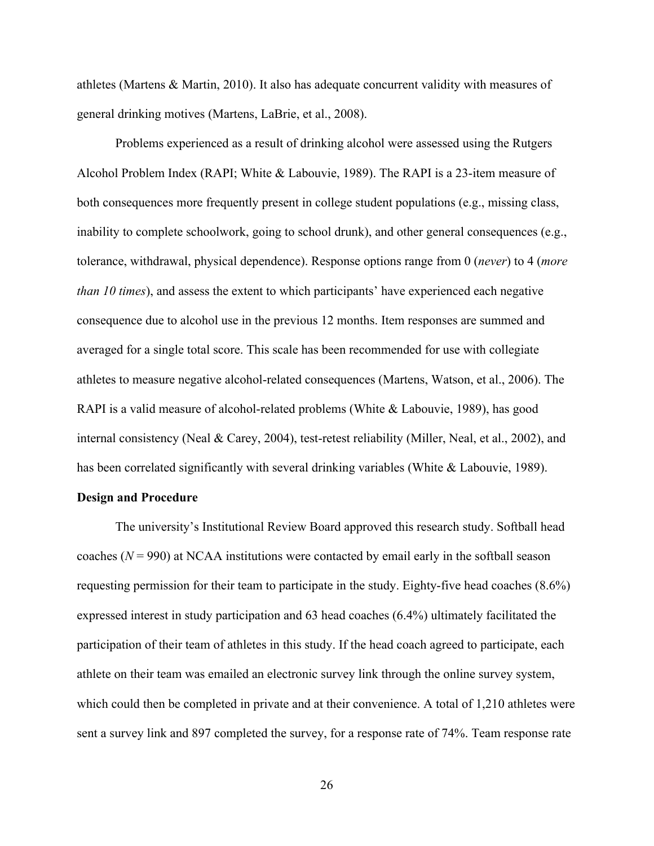athletes (Martens & Martin, 2010). It also has adequate concurrent validity with measures of general drinking motives (Martens, LaBrie, et al., 2008).

Problems experienced as a result of drinking alcohol were assessed using the Rutgers Alcohol Problem Index (RAPI; White & Labouvie, 1989). The RAPI is a 23-item measure of both consequences more frequently present in college student populations (e.g., missing class, inability to complete schoolwork, going to school drunk), and other general consequences (e.g., tolerance, withdrawal, physical dependence). Response options range from 0 (*never*) to 4 (*more than 10 times*), and assess the extent to which participants' have experienced each negative consequence due to alcohol use in the previous 12 months. Item responses are summed and averaged for a single total score. This scale has been recommended for use with collegiate athletes to measure negative alcohol-related consequences (Martens, Watson, et al., 2006). The RAPI is a valid measure of alcohol-related problems (White & Labouvie, 1989), has good internal consistency (Neal & Carey, 2004), test-retest reliability (Miller, Neal, et al., 2002), and has been correlated significantly with several drinking variables (White & Labouvie, 1989).

#### **Design and Procedure**

The university's Institutional Review Board approved this research study. Softball head coaches  $(N = 990)$  at NCAA institutions were contacted by email early in the softball season requesting permission for their team to participate in the study. Eighty-five head coaches (8.6%) expressed interest in study participation and 63 head coaches (6.4%) ultimately facilitated the participation of their team of athletes in this study. If the head coach agreed to participate, each athlete on their team was emailed an electronic survey link through the online survey system, which could then be completed in private and at their convenience. A total of 1,210 athletes were sent a survey link and 897 completed the survey, for a response rate of 74%. Team response rate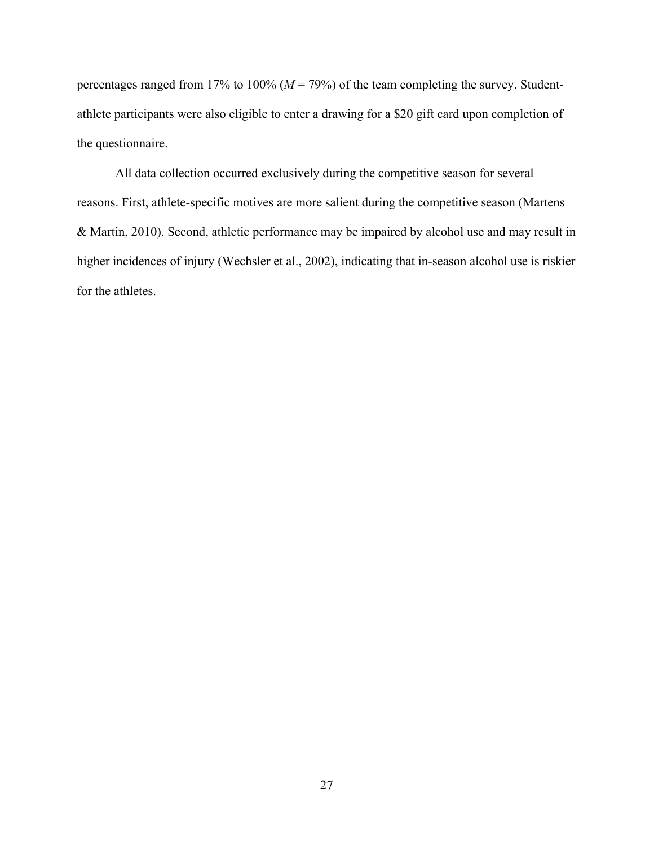percentages ranged from 17% to 100% (*M* = 79%) of the team completing the survey. Studentathlete participants were also eligible to enter a drawing for a \$20 gift card upon completion of the questionnaire.

All data collection occurred exclusively during the competitive season for several reasons. First, athlete-specific motives are more salient during the competitive season (Martens & Martin, 2010). Second, athletic performance may be impaired by alcohol use and may result in higher incidences of injury (Wechsler et al., 2002), indicating that in-season alcohol use is riskier for the athletes.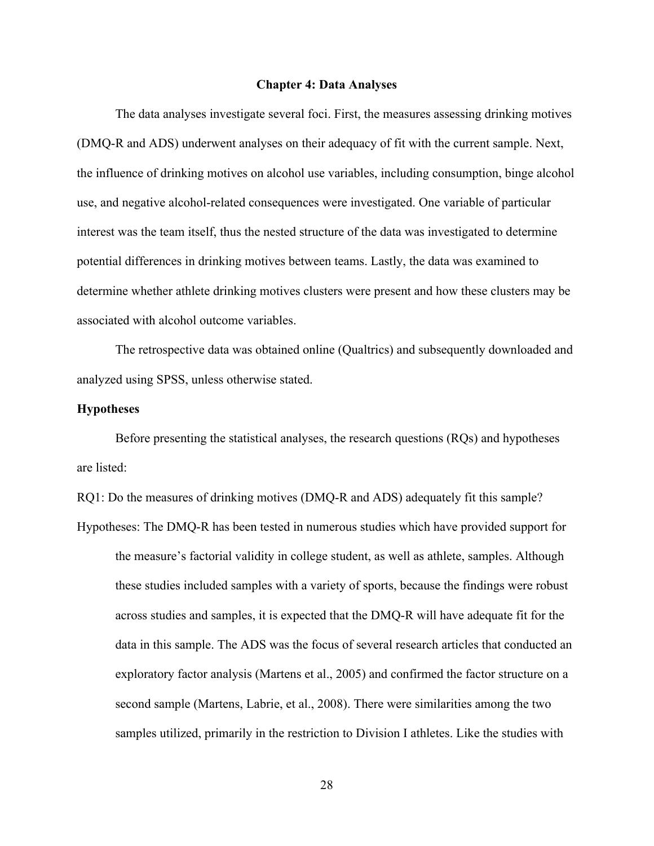#### **Chapter 4: Data Analyses**

The data analyses investigate several foci. First, the measures assessing drinking motives (DMQ-R and ADS) underwent analyses on their adequacy of fit with the current sample. Next, the influence of drinking motives on alcohol use variables, including consumption, binge alcohol use, and negative alcohol-related consequences were investigated. One variable of particular interest was the team itself, thus the nested structure of the data was investigated to determine potential differences in drinking motives between teams. Lastly, the data was examined to determine whether athlete drinking motives clusters were present and how these clusters may be associated with alcohol outcome variables.

The retrospective data was obtained online (Qualtrics) and subsequently downloaded and analyzed using SPSS, unless otherwise stated.

# **Hypotheses**

Before presenting the statistical analyses, the research questions (RQs) and hypotheses are listed:

RQ1: Do the measures of drinking motives (DMQ-R and ADS) adequately fit this sample? Hypotheses: The DMQ-R has been tested in numerous studies which have provided support for the measure's factorial validity in college student, as well as athlete, samples. Although these studies included samples with a variety of sports, because the findings were robust across studies and samples, it is expected that the DMQ-R will have adequate fit for the data in this sample. The ADS was the focus of several research articles that conducted an exploratory factor analysis (Martens et al., 2005) and confirmed the factor structure on a second sample (Martens, Labrie, et al., 2008). There were similarities among the two samples utilized, primarily in the restriction to Division I athletes. Like the studies with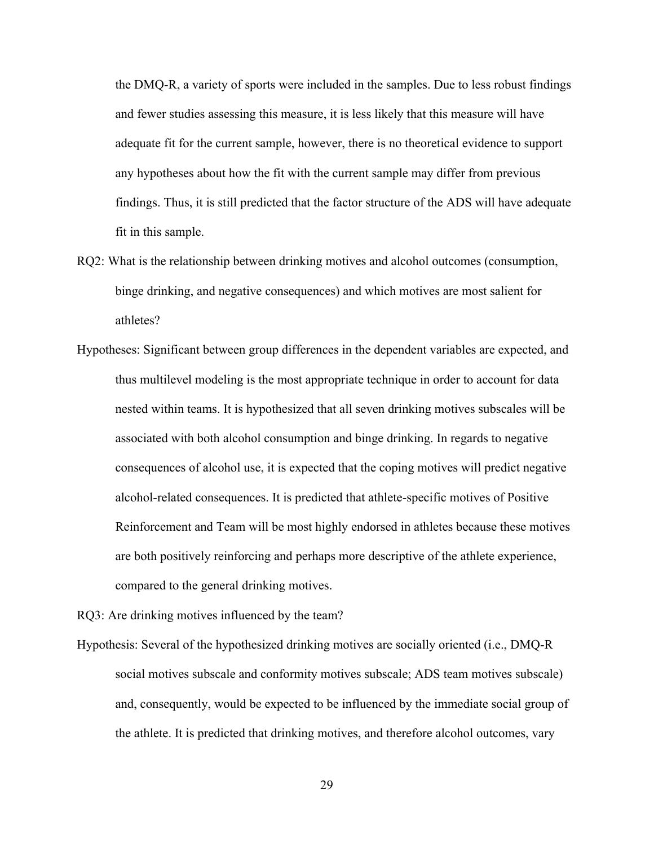the DMQ-R, a variety of sports were included in the samples. Due to less robust findings and fewer studies assessing this measure, it is less likely that this measure will have adequate fit for the current sample, however, there is no theoretical evidence to support any hypotheses about how the fit with the current sample may differ from previous findings. Thus, it is still predicted that the factor structure of the ADS will have adequate fit in this sample.

- RQ2: What is the relationship between drinking motives and alcohol outcomes (consumption, binge drinking, and negative consequences) and which motives are most salient for athletes?
- Hypotheses: Significant between group differences in the dependent variables are expected, and thus multilevel modeling is the most appropriate technique in order to account for data nested within teams. It is hypothesized that all seven drinking motives subscales will be associated with both alcohol consumption and binge drinking. In regards to negative consequences of alcohol use, it is expected that the coping motives will predict negative alcohol-related consequences. It is predicted that athlete-specific motives of Positive Reinforcement and Team will be most highly endorsed in athletes because these motives are both positively reinforcing and perhaps more descriptive of the athlete experience, compared to the general drinking motives.

RQ3: Are drinking motives influenced by the team?

Hypothesis: Several of the hypothesized drinking motives are socially oriented (i.e., DMQ-R social motives subscale and conformity motives subscale; ADS team motives subscale) and, consequently, would be expected to be influenced by the immediate social group of the athlete. It is predicted that drinking motives, and therefore alcohol outcomes, vary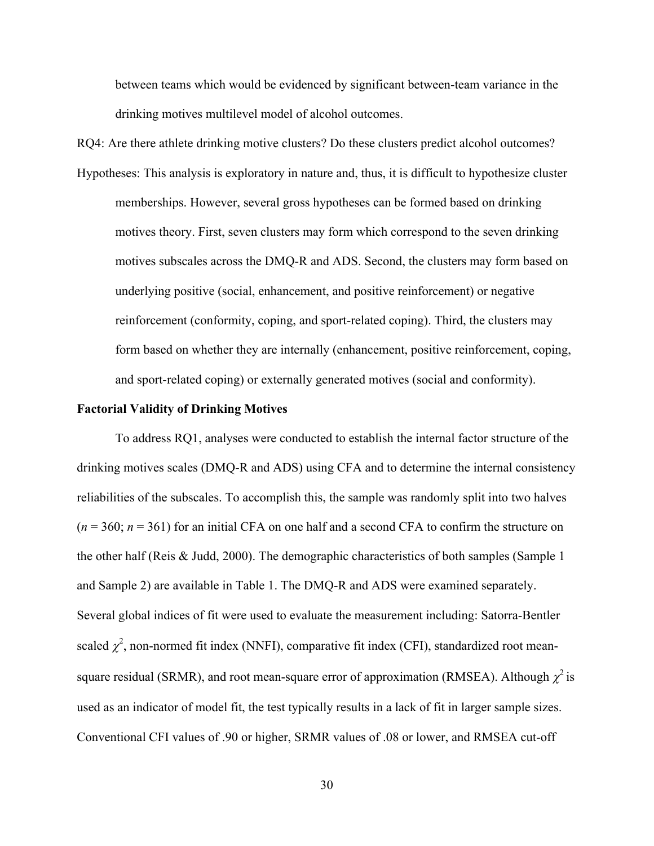between teams which would be evidenced by significant between-team variance in the drinking motives multilevel model of alcohol outcomes.

RQ4: Are there athlete drinking motive clusters? Do these clusters predict alcohol outcomes? Hypotheses: This analysis is exploratory in nature and, thus, it is difficult to hypothesize cluster memberships. However, several gross hypotheses can be formed based on drinking motives theory. First, seven clusters may form which correspond to the seven drinking motives subscales across the DMQ-R and ADS. Second, the clusters may form based on underlying positive (social, enhancement, and positive reinforcement) or negative reinforcement (conformity, coping, and sport-related coping). Third, the clusters may form based on whether they are internally (enhancement, positive reinforcement, coping, and sport-related coping) or externally generated motives (social and conformity).

#### **Factorial Validity of Drinking Motives**

To address RQ1, analyses were conducted to establish the internal factor structure of the drinking motives scales (DMQ-R and ADS) using CFA and to determine the internal consistency reliabilities of the subscales. To accomplish this, the sample was randomly split into two halves  $(n = 360; n = 361)$  for an initial CFA on one half and a second CFA to confirm the structure on the other half (Reis & Judd, 2000). The demographic characteristics of both samples (Sample 1 and Sample 2) are available in Table 1. The DMQ-R and ADS were examined separately. Several global indices of fit were used to evaluate the measurement including: Satorra-Bentler scaled  $\chi^2$ , non-normed fit index (NNFI), comparative fit index (CFI), standardized root meansquare residual (SRMR), and root mean-square error of approximation (RMSEA). Although  $\chi^2$  is used as an indicator of model fit, the test typically results in a lack of fit in larger sample sizes. Conventional CFI values of .90 or higher, SRMR values of .08 or lower, and RMSEA cut-off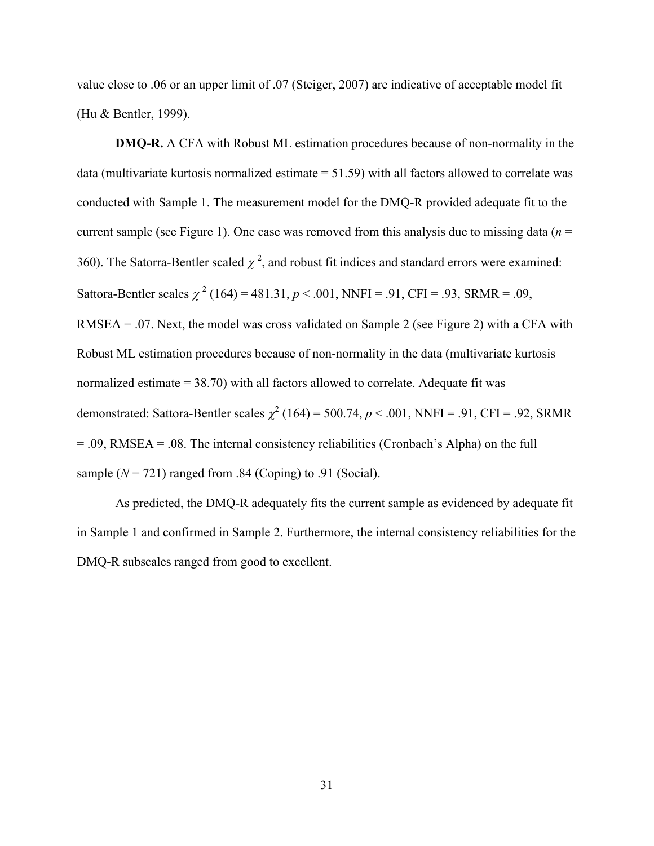value close to .06 or an upper limit of .07 (Steiger, 2007) are indicative of acceptable model fit (Hu & Bentler, 1999).

**DMQ-R.** A CFA with Robust ML estimation procedures because of non-normality in the data (multivariate kurtosis normalized estimate  $= 51.59$ ) with all factors allowed to correlate was conducted with Sample 1. The measurement model for the DMQ-R provided adequate fit to the current sample (see Figure 1). One case was removed from this analysis due to missing data (*n* = 360). The Satorra-Bentler scaled  $\chi^2$ , and robust fit indices and standard errors were examined: Sattora-Bentler scales  $\chi^2$  (164) = 481.31,  $p < .001$ , NNFI = .91, CFI = .93, SRMR = .09, RMSEA = .07. Next, the model was cross validated on Sample 2 (see Figure 2) with a CFA with Robust ML estimation procedures because of non-normality in the data (multivariate kurtosis normalized estimate = 38.70) with all factors allowed to correlate. Adequate fit was demonstrated: Sattora-Bentler scales  $\chi^2$  (164) = 500.74,  $p < .001$ , NNFI = .91, CFI = .92, SRMR = .09, RMSEA = .08. The internal consistency reliabilities (Cronbach's Alpha) on the full sample  $(N = 721)$  ranged from .84 (Coping) to .91 (Social).

As predicted, the DMQ-R adequately fits the current sample as evidenced by adequate fit in Sample 1 and confirmed in Sample 2. Furthermore, the internal consistency reliabilities for the DMQ-R subscales ranged from good to excellent.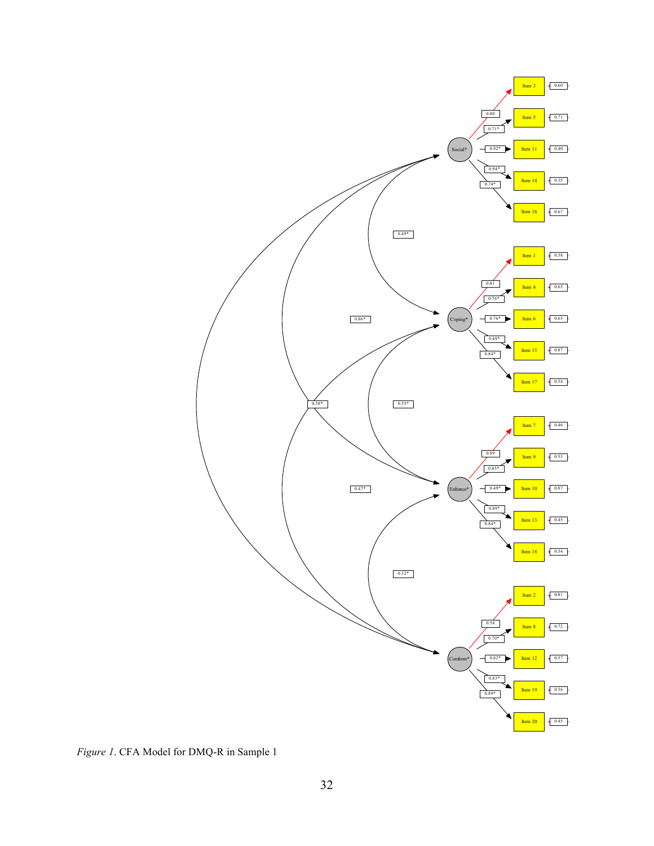

*Figure 1*. CFA Model for DMQ-R in Sample 1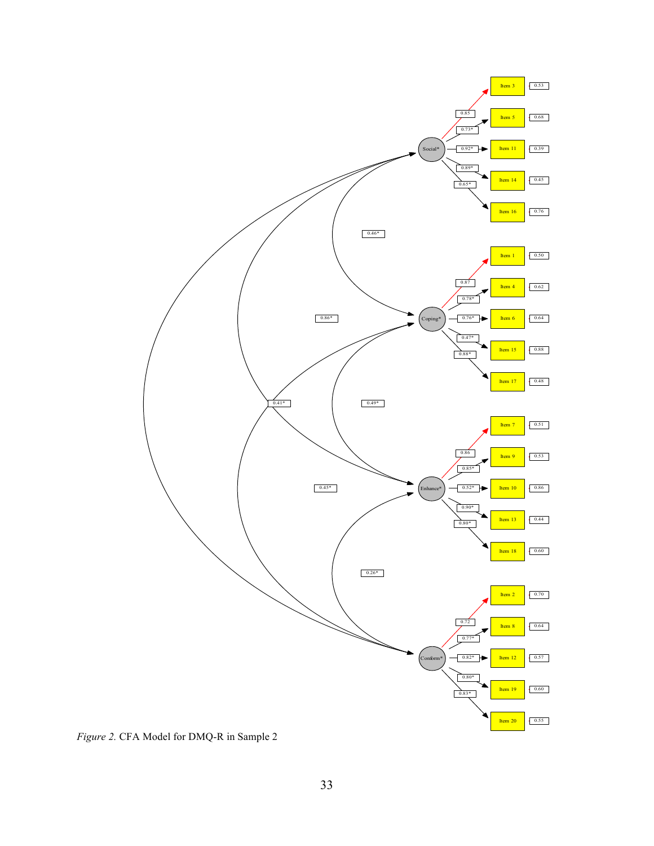

*Figure 2.* CFA Model for DMQ-R in Sample 2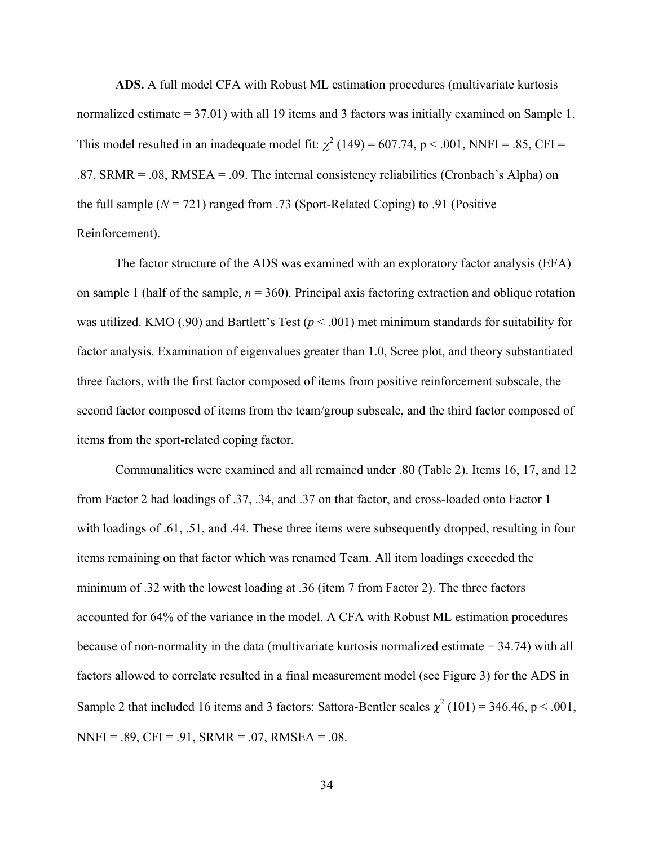**ADS.** A full model CFA with Robust ML estimation procedures (multivariate kurtosis normalized estimate = 37.01) with all 19 items and 3 factors was initially examined on Sample 1. This model resulted in an inadequate model fit:  $\chi^2$  (149) = 607.74, p < .001, NNFI = .85, CFI = .87, SRMR = .08, RMSEA = .09. The internal consistency reliabilities (Cronbach's Alpha) on the full sample  $(N = 721)$  ranged from .73 (Sport-Related Coping) to .91 (Positive Reinforcement).

The factor structure of the ADS was examined with an exploratory factor analysis (EFA) on sample 1 (half of the sample, *n* = 360). Principal axis factoring extraction and oblique rotation was utilized. KMO (.90) and Bartlett's Test (*p* < .001) met minimum standards for suitability for factor analysis. Examination of eigenvalues greater than 1.0, Scree plot, and theory substantiated three factors, with the first factor composed of items from positive reinforcement subscale, the second factor composed of items from the team/group subscale, and the third factor composed of items from the sport-related coping factor.

Communalities were examined and all remained under .80 (Table 2). Items 16, 17, and 12 from Factor 2 had loadings of .37, .34, and .37 on that factor, and cross-loaded onto Factor 1 with loadings of .61, .51, and .44. These three items were subsequently dropped, resulting in four items remaining on that factor which was renamed Team. All item loadings exceeded the minimum of .32 with the lowest loading at .36 (item 7 from Factor 2). The three factors accounted for 64% of the variance in the model. A CFA with Robust ML estimation procedures because of non-normality in the data (multivariate kurtosis normalized estimate = 34.74) with all factors allowed to correlate resulted in a final measurement model (see Figure 3) for the ADS in Sample 2 that included 16 items and 3 factors: Sattora-Bentler scales  $\chi^2$  (101) = 346.46, p < .001,  $NNFI = .89, CFI = .91, SRMR = .07, RMSEA = .08.$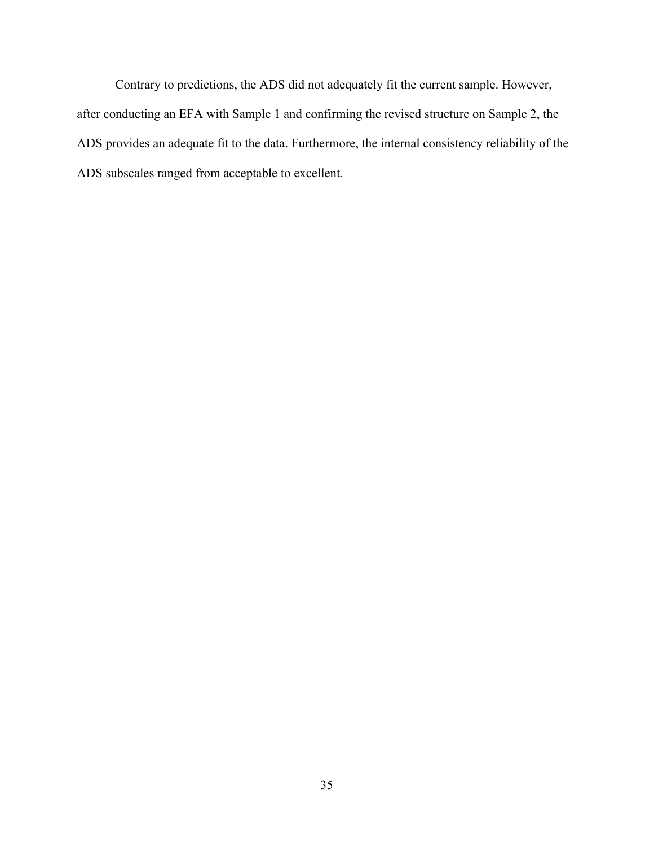Contrary to predictions, the ADS did not adequately fit the current sample. However, after conducting an EFA with Sample 1 and confirming the revised structure on Sample 2, the ADS provides an adequate fit to the data. Furthermore, the internal consistency reliability of the ADS subscales ranged from acceptable to excellent.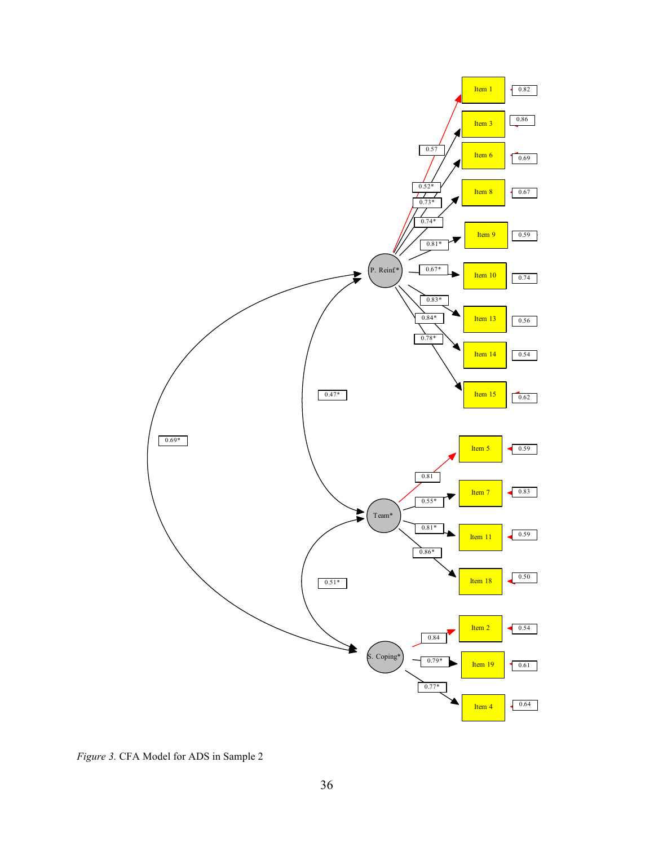

*Figure 3.* CFA Model for ADS in Sample 2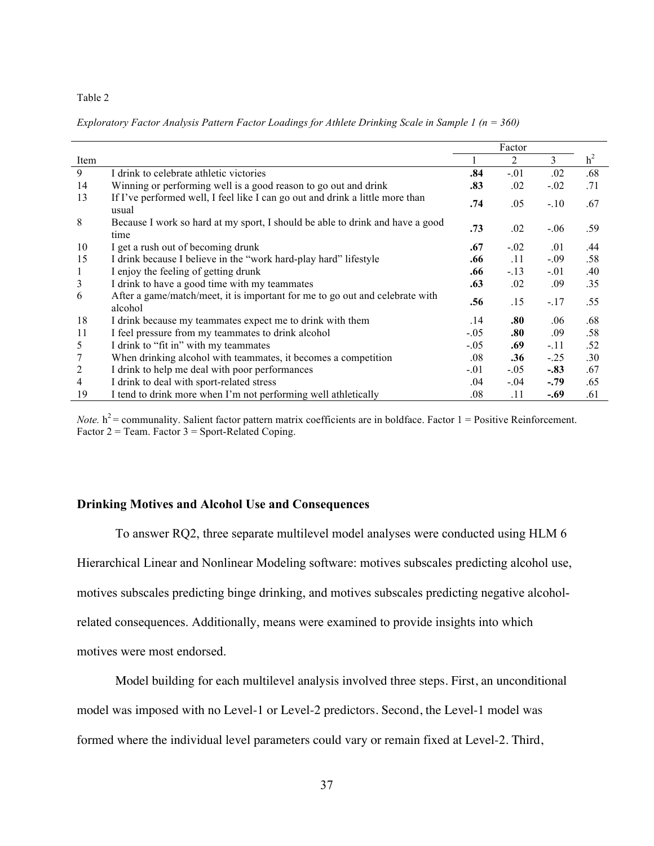#### Table 2

|      |                                                                                         |         | Factor  |         |                |
|------|-----------------------------------------------------------------------------------------|---------|---------|---------|----------------|
| Item |                                                                                         |         | 2       | 3       | h <sup>2</sup> |
| 9    | I drink to celebrate athletic victories                                                 | .84     | $-.01$  | .02     | .68            |
| 14   | Winning or performing well is a good reason to go out and drink                         | .83     | .02     | $-.02$  | .71            |
| 13   | If I've performed well, I feel like I can go out and drink a little more than<br>usual  | .74     | .05     | $-.10$  | .67            |
| 8    | Because I work so hard at my sport, I should be able to drink and have a good<br>time   | .73     | .02     | $-0.06$ | .59            |
| 10   | I get a rush out of becoming drunk                                                      | .67     | $-0.02$ | .01     | .44            |
| 15   | I drink because I believe in the "work hard-play hard" lifestyle                        | .66     | .11     | $-.09$  | .58            |
|      | I enjoy the feeling of getting drunk                                                    | .66     | $-.13$  | $-.01$  | .40            |
| 3    | I drink to have a good time with my teammates                                           | .63     | .02     | .09     | .35            |
| 6    | After a game/match/meet, it is important for me to go out and celebrate with<br>alcohol | .56     | .15     | $-.17$  | .55            |
| 18   | I drink because my teammates expect me to drink with them                               | .14     | .80     | .06     | .68            |
| 11   | I feel pressure from my teammates to drink alcohol                                      | $-.05$  | .80     | .09     | .58            |
| 5    | I drink to "fit in" with my teammates                                                   | $-.05$  | .69     | $-.11$  | .52            |
|      | When drinking alcohol with teammates, it becomes a competition                          | .08     | .36     | $-.25$  | .30            |
| 2    | I drink to help me deal with poor performances                                          | $-.01$  | $-.05$  | $-.83$  | .67            |
| 4    | I drink to deal with sport-related stress                                               | .04     | $-.04$  | $-.79$  | .65            |
| 19   | I tend to drink more when I'm not performing well athletically                          | $.08\,$ | .11     | -.69    | .61            |

*Exploratory Factor Analysis Pattern Factor Loadings for Athlete Drinking Scale in Sample 1 (n = 360)*

*Note.*  $h^2$  = communality. Salient factor pattern matrix coefficients are in boldface. Factor  $1$  = Positive Reinforcement. Factor  $2 =$  Team. Factor  $3 =$  Sport-Related Coping.

## **Drinking Motives and Alcohol Use and Consequences**

To answer RQ2, three separate multilevel model analyses were conducted using HLM 6 Hierarchical Linear and Nonlinear Modeling software: motives subscales predicting alcohol use, motives subscales predicting binge drinking, and motives subscales predicting negative alcoholrelated consequences. Additionally, means were examined to provide insights into which motives were most endorsed.

Model building for each multilevel analysis involved three steps. First, an unconditional model was imposed with no Level-1 or Level-2 predictors. Second, the Level-1 model was

formed where the individual level parameters could vary or remain fixed at Level-2. Third,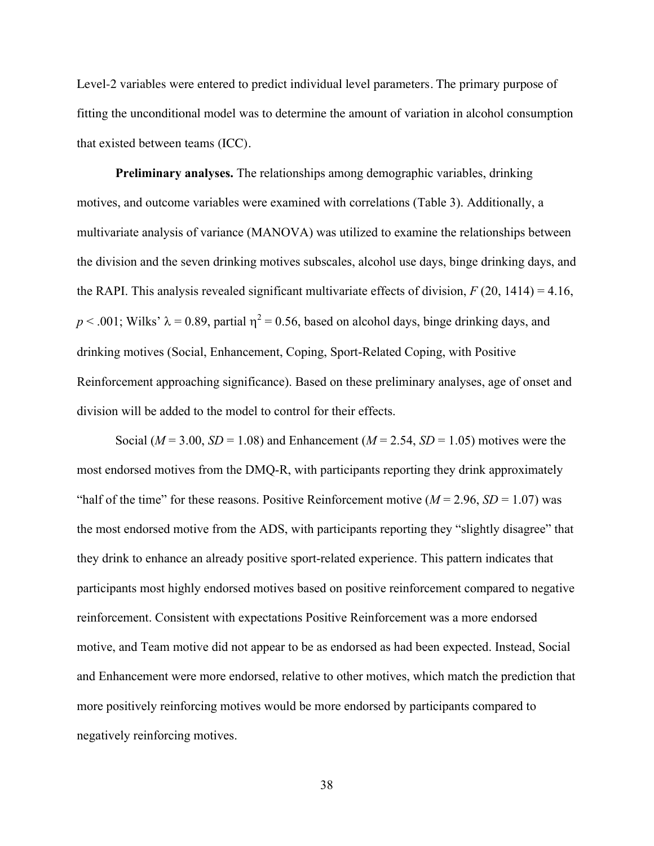Level-2 variables were entered to predict individual level parameters. The primary purpose of fitting the unconditional model was to determine the amount of variation in alcohol consumption that existed between teams (ICC).

**Preliminary analyses.** The relationships among demographic variables, drinking motives, and outcome variables were examined with correlations (Table 3). Additionally, a multivariate analysis of variance (MANOVA) was utilized to examine the relationships between the division and the seven drinking motives subscales, alcohol use days, binge drinking days, and the RAPI. This analysis revealed significant multivariate effects of division,  $F(20, 1414) = 4.16$ ,  $p < .001$ ; Wilks'  $\lambda = 0.89$ , partial  $\eta^2 = 0.56$ , based on alcohol days, binge drinking days, and drinking motives (Social, Enhancement, Coping, Sport-Related Coping, with Positive Reinforcement approaching significance). Based on these preliminary analyses, age of onset and division will be added to the model to control for their effects.

Social ( $M = 3.00$ ,  $SD = 1.08$ ) and Enhancement ( $M = 2.54$ ,  $SD = 1.05$ ) motives were the most endorsed motives from the DMQ-R, with participants reporting they drink approximately "half of the time" for these reasons. Positive Reinforcement motive  $(M = 2.96, SD = 1.07)$  was the most endorsed motive from the ADS, with participants reporting they "slightly disagree" that they drink to enhance an already positive sport-related experience. This pattern indicates that participants most highly endorsed motives based on positive reinforcement compared to negative reinforcement. Consistent with expectations Positive Reinforcement was a more endorsed motive, and Team motive did not appear to be as endorsed as had been expected. Instead, Social and Enhancement were more endorsed, relative to other motives, which match the prediction that more positively reinforcing motives would be more endorsed by participants compared to negatively reinforcing motives.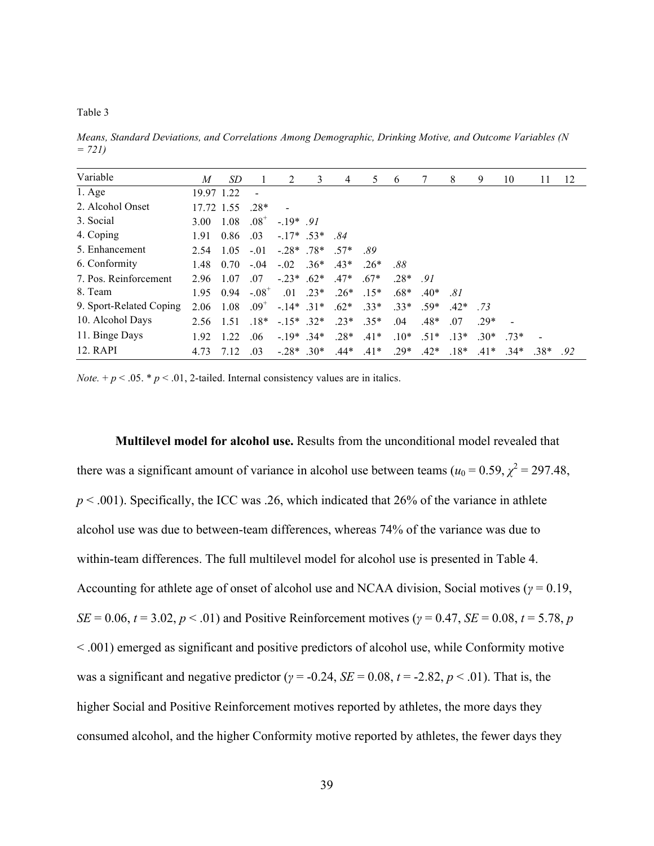#### Table 3

*Means, Standard Deviations, and Correlations Among Demographic, Drinking Motive, and Outcome Variables (N = 721)*

| Variable                | M          | SD   |                              | 2                         | 3            | 4      | 5      | 6      |        | 8      | 9      | 10     | 11     | 12  |
|-------------------------|------------|------|------------------------------|---------------------------|--------------|--------|--------|--------|--------|--------|--------|--------|--------|-----|
| $1.$ Age                | 19.97 1.22 |      |                              |                           |              |        |        |        |        |        |        |        |        |     |
| 2. Alcohol Onset        | 17.72 1.55 |      | $.28*$                       |                           |              |        |        |        |        |        |        |        |        |     |
| 3. Social               | 3.00       | 1.08 | $.08^{\scriptscriptstyle +}$ | $-19*$ 91                 |              |        |        |        |        |        |        |        |        |     |
| 4. Coping               | 1.91       | 0.86 | .03                          | $-17*$ 53*                |              | .84    |        |        |        |        |        |        |        |     |
| 5. Enhancement          | 2.54       | 1.05 | $-.01$                       | $-28*$ 78*                |              | $.57*$ | .89    |        |        |        |        |        |        |     |
| 6. Conformity           | 1.48       | 0.70 | $-.04$                       | $-0.02$ . 36 <sup>*</sup> |              | $43*$  | $.26*$ | .88    |        |        |        |        |        |     |
| 7. Pos. Reinforcement   | 2.96       | 1.07 | .07                          | $-23*62*$                 |              | $.47*$ | $.67*$ | $.28*$ | 91     |        |        |        |        |     |
| 8. Team                 | 195        | 0.94 | $-.08+$                      |                           | $.01$ $.23*$ | $.26*$ | $15*$  | $.68*$ | $.40*$ | .81    |        |        |        |     |
| 9. Sport-Related Coping | 2.06       | 1.08 | $.09^{+}$                    | $-14*$ 31*                |              | $.62*$ | $33*$  | $33*$  | $.59*$ | $42*$  | 73     |        |        |     |
| 10. Alcohol Days        | 2.56       | 1.51 | $18*$                        | $-15^*$ .32*              |              | $.23*$ | $35*$  | .04    | $.48*$ | .07    | 29*    |        |        |     |
| 11. Binge Days          | 1.92       | 1.22 | .06                          | $-19*$ .34*               |              | $.28*$ | $.41*$ | $.10*$ | $.51*$ | $.13*$ | $30*$  | $.73*$ |        |     |
| 12. RAPI                | 4.73       | 7.12 | .03                          | $-.28*$ .30*              |              | $.44*$ | $.41*$ | $.29*$ | $.42*$ | $.18*$ | $.41*$ | $34*$  | $.38*$ | .92 |

*Note.* +  $p < .05$ . \*  $p < .01$ , 2-tailed. Internal consistency values are in italics.

**Multilevel model for alcohol use.** Results from the unconditional model revealed that there was a significant amount of variance in alcohol use between teams ( $u_0 = 0.59$ ,  $\chi^2 = 297.48$ ,  $p < .001$ ). Specifically, the ICC was .26, which indicated that 26% of the variance in athlete alcohol use was due to between-team differences, whereas 74% of the variance was due to within-team differences. The full multilevel model for alcohol use is presented in Table 4. Accounting for athlete age of onset of alcohol use and NCAA division, Social motives ( $\gamma = 0.19$ , *SE* = 0.06, *t* = 3.02, *p* < .01) and Positive Reinforcement motives ( $\gamma$  = 0.47, *SE* = 0.08, *t* = 5.78, *p* < .001) emerged as significant and positive predictors of alcohol use, while Conformity motive was a significant and negative predictor ( $\gamma$  = -0.24, *SE* = 0.08, *t* = -2.82, *p* < .01). That is, the higher Social and Positive Reinforcement motives reported by athletes, the more days they consumed alcohol, and the higher Conformity motive reported by athletes, the fewer days they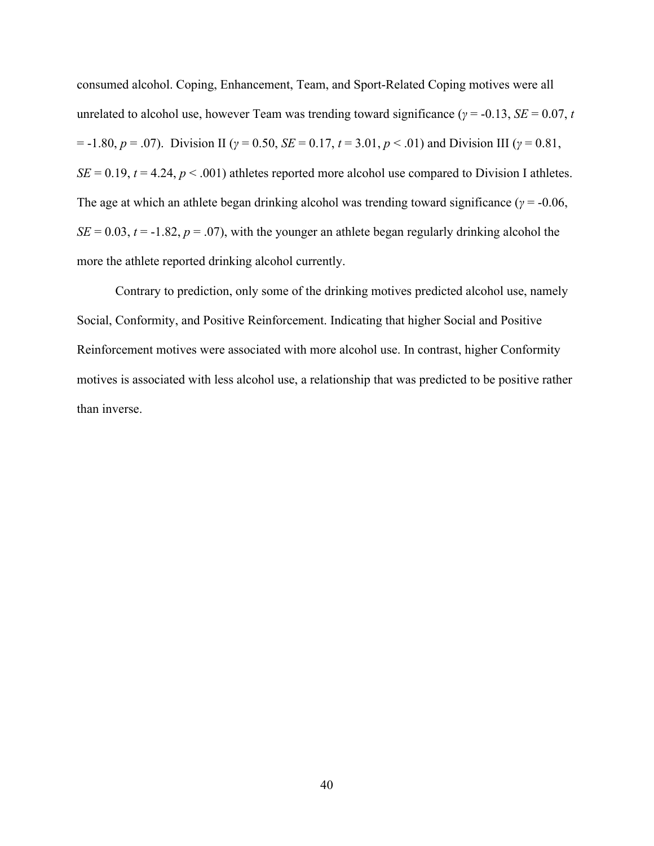consumed alcohol. Coping, Enhancement, Team, and Sport-Related Coping motives were all unrelated to alcohol use, however Team was trending toward significance ( $\gamma$  = -0.13, *SE* = 0.07, *t*  $p = -1.80, p = .07$ ). Division II ( $\gamma = 0.50, SE = 0.17, t = 3.01, p < .01$ ) and Division III ( $\gamma = 0.81,$  $SE = 0.19$ ,  $t = 4.24$ ,  $p < .001$ ) athletes reported more alcohol use compared to Division I athletes. The age at which an athlete began drinking alcohol was trending toward significance ( $\gamma$  = -0.06,  $SE = 0.03$ ,  $t = -1.82$ ,  $p = .07$ ), with the younger an athlete began regularly drinking alcohol the more the athlete reported drinking alcohol currently.

Contrary to prediction, only some of the drinking motives predicted alcohol use, namely Social, Conformity, and Positive Reinforcement. Indicating that higher Social and Positive Reinforcement motives were associated with more alcohol use. In contrast, higher Conformity motives is associated with less alcohol use, a relationship that was predicted to be positive rather than inverse.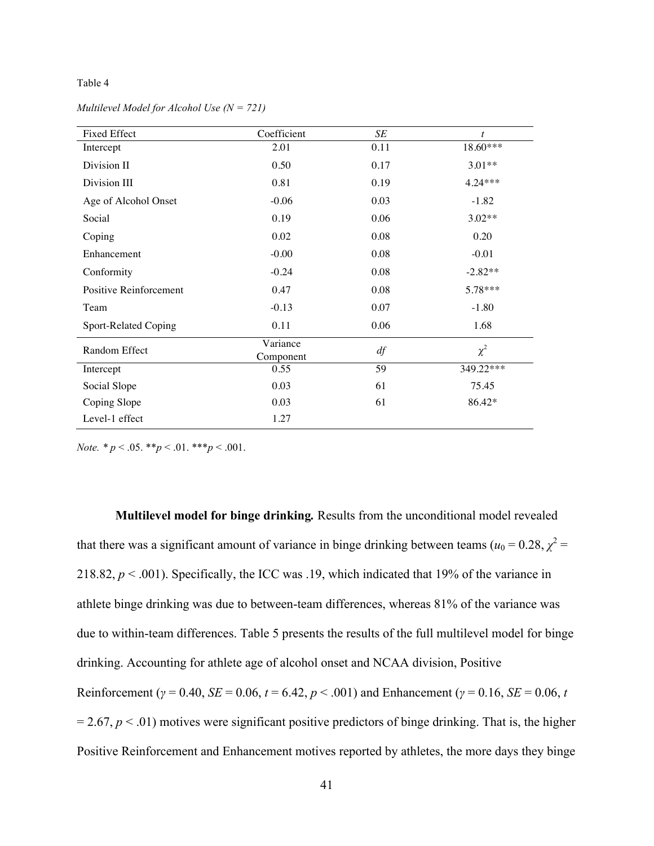#### Table 4

| <b>Fixed Effect</b>    | Coefficient           | SE   | t         |
|------------------------|-----------------------|------|-----------|
| Intercept              | 2.01                  | 0.11 | 18.60***  |
| Division II            | 0.50                  | 0.17 | $3.01**$  |
| Division III           | 0.81                  | 0.19 | $4.24***$ |
| Age of Alcohol Onset   | $-0.06$               | 0.03 | $-1.82$   |
| Social                 | 0.19                  | 0.06 | $3.02**$  |
| Coping                 | 0.02                  | 0.08 | 0.20      |
| Enhancement            | $-0.00$               | 0.08 | $-0.01$   |
| Conformity             | $-0.24$               | 0.08 | $-2.82**$ |
| Positive Reinforcement | 0.47                  | 0.08 | 5.78***   |
| Team                   | $-0.13$               | 0.07 | $-1.80$   |
| Sport-Related Coping   | 0.11                  | 0.06 | 1.68      |
| Random Effect          | Variance<br>Component | df   | $\chi^2$  |
| Intercept              | 0.55                  | 59   | 349.22*** |
| Social Slope           | 0.03                  | 61   | 75.45     |
| Coping Slope           | 0.03                  | 61   | 86.42*    |
| Level-1 effect         | 1.27                  |      |           |

*Multilevel Model for Alcohol Use (N = 721)*

*Note.*  $* p < .05$ .  $* p < .01$ .  $* * p < .001$ .

**Multilevel model for binge drinking***.* Results from the unconditional model revealed that there was a significant amount of variance in binge drinking between teams ( $u_0 = 0.28$ ,  $\chi^2 =$ 218.82,  $p < .001$ ). Specifically, the ICC was .19, which indicated that 19% of the variance in athlete binge drinking was due to between-team differences, whereas 81% of the variance was due to within-team differences. Table 5 presents the results of the full multilevel model for binge drinking. Accounting for athlete age of alcohol onset and NCAA division, Positive Reinforcement ( $\gamma$  = 0.40, *SE* = 0.06, *t* = 6.42, *p* < .001) and Enhancement ( $\gamma$  = 0.16, *SE* = 0.06, *t*  $= 2.67, p < .01$ ) motives were significant positive predictors of binge drinking. That is, the higher Positive Reinforcement and Enhancement motives reported by athletes, the more days they binge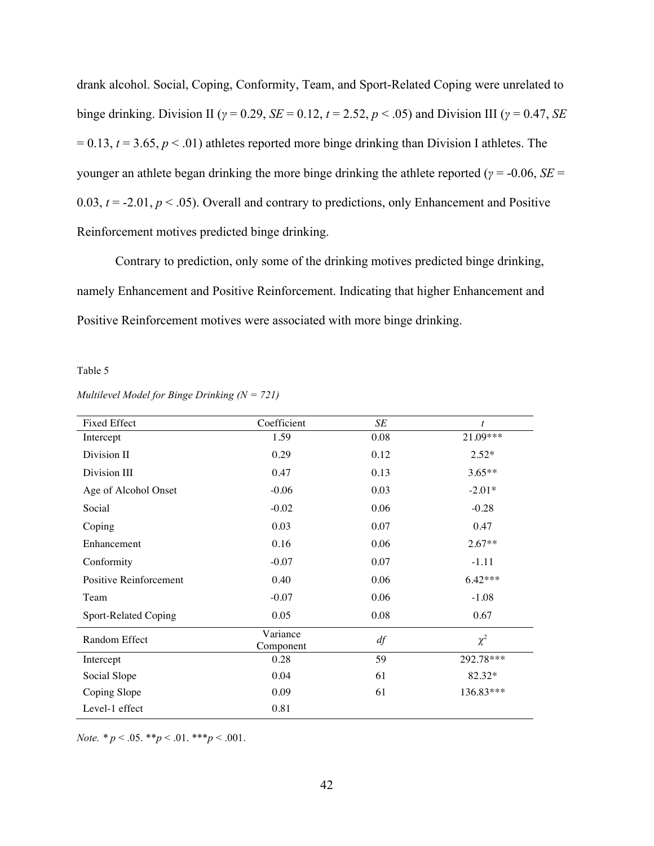drank alcohol. Social, Coping, Conformity, Team, and Sport-Related Coping were unrelated to binge drinking. Division II (*γ* = 0.29, *SE* = 0.12, *t* = 2.52, *p* < .05) and Division III (*γ* = 0.47, *SE*  $= 0.13$ ,  $t = 3.65$ ,  $p < .01$ ) athletes reported more binge drinking than Division I athletes. The younger an athlete began drinking the more binge drinking the athlete reported (*γ* = -0.06, *SE* = 0.03,  $t = -2.01$ ,  $p < .05$ ). Overall and contrary to predictions, only Enhancement and Positive Reinforcement motives predicted binge drinking.

Contrary to prediction, only some of the drinking motives predicted binge drinking, namely Enhancement and Positive Reinforcement. Indicating that higher Enhancement and Positive Reinforcement motives were associated with more binge drinking.

## Table 5

| <b>Fixed Effect</b>    | Coefficient           | SE   | $\boldsymbol{t}$ |
|------------------------|-----------------------|------|------------------|
| Intercept              | 1.59                  | 0.08 | 21.09***         |
| Division II            | 0.29                  | 0.12 | $2.52*$          |
| Division III           | 0.47                  | 0.13 | $3.65**$         |
| Age of Alcohol Onset   | $-0.06$               | 0.03 | $-2.01*$         |
| Social                 | $-0.02$               | 0.06 | $-0.28$          |
| Coping                 | 0.03                  | 0.07 | 0.47             |
| Enhancement            | 0.16                  | 0.06 | $2.67**$         |
| Conformity             | $-0.07$               | 0.07 | $-1.11$          |
| Positive Reinforcement | 0.40                  | 0.06 | $6.42***$        |
| Team                   | $-0.07$               | 0.06 | $-1.08$          |
| Sport-Related Coping   | 0.05                  | 0.08 | 0.67             |
| Random Effect          | Variance<br>Component | df   | $\chi^2$         |
| Intercept              | 0.28                  | 59   | 292.78***        |
| Social Slope           | 0.04                  | 61   | 82.32*           |
| Coping Slope           | 0.09                  | 61   | 136.83***        |
| Level-1 effect         | 0.81                  |      |                  |

*Multilevel Model for Binge Drinking (N = 721)*

*Note.*  $* p < .05. \cdot * p < .01. \cdot * * p < .001.$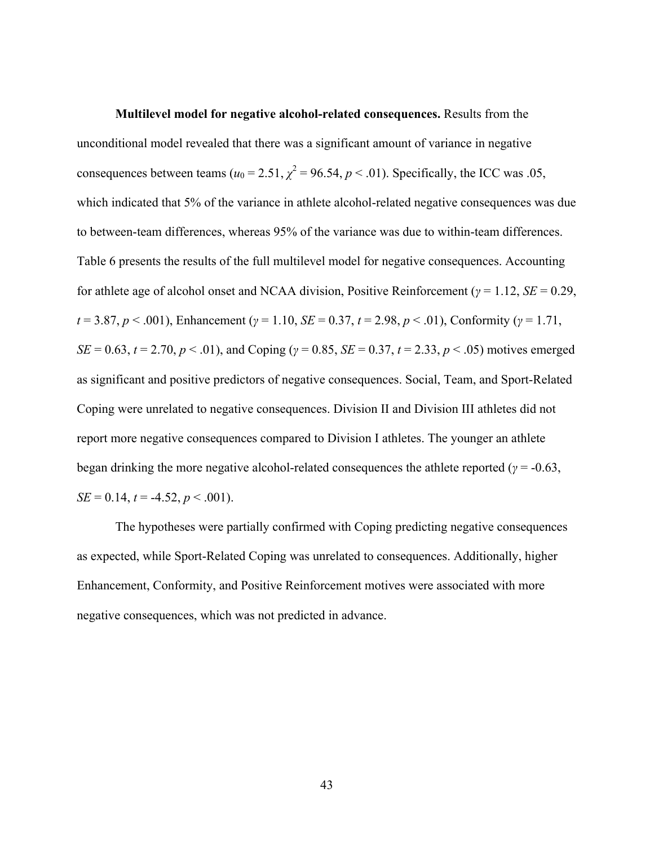**Multilevel model for negative alcohol-related consequences.** Results from the unconditional model revealed that there was a significant amount of variance in negative consequences between teams ( $u_0 = 2.51$ ,  $\chi^2 = 96.54$ ,  $p < .01$ ). Specifically, the ICC was .05, which indicated that 5% of the variance in athlete alcohol-related negative consequences was due to between-team differences, whereas 95% of the variance was due to within-team differences. Table 6 presents the results of the full multilevel model for negative consequences. Accounting for athlete age of alcohol onset and NCAA division, Positive Reinforcement (*γ* = 1.12, *SE* = 0.29, *t* = 3.87, *p* < .001), Enhancement (*γ* = 1.10, *SE* = 0.37, *t* = 2.98, *p* < .01), Conformity (*γ* = 1.71, *SE* = 0.63, *t* = 2.70, *p* < .01), and Coping (*γ* = 0.85, *SE* = 0.37, *t* = 2.33, *p* < .05) motives emerged as significant and positive predictors of negative consequences. Social, Team, and Sport-Related Coping were unrelated to negative consequences. Division II and Division III athletes did not report more negative consequences compared to Division I athletes. The younger an athlete began drinking the more negative alcohol-related consequences the athlete reported ( $\gamma$  = -0.63,  $SE = 0.14$ ,  $t = -4.52$ ,  $p < .001$ ).

The hypotheses were partially confirmed with Coping predicting negative consequences as expected, while Sport-Related Coping was unrelated to consequences. Additionally, higher Enhancement, Conformity, and Positive Reinforcement motives were associated with more negative consequences, which was not predicted in advance.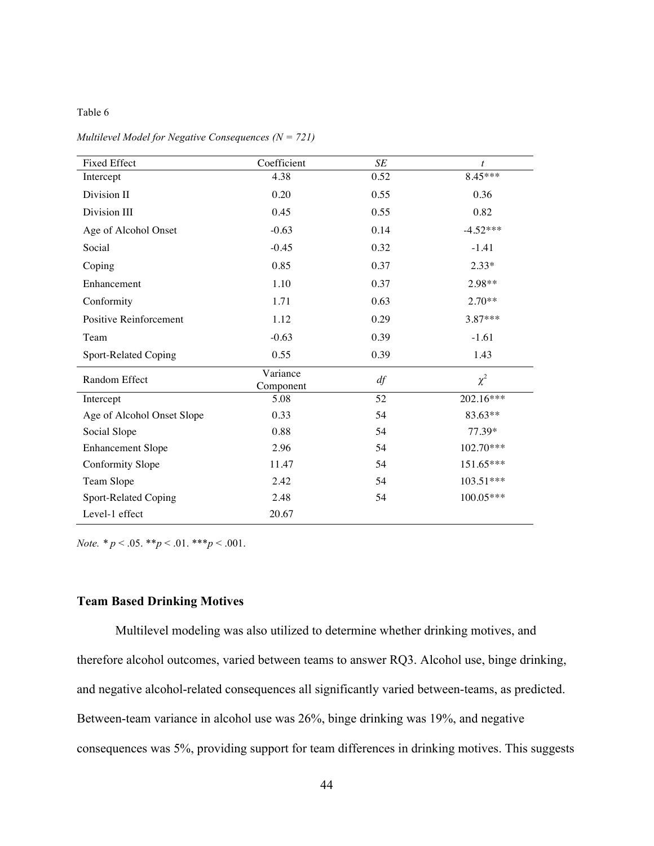## Table 6

| <b>Fixed Effect</b>        | Coefficient           | $\cal SE$ | $\boldsymbol{t}$ |
|----------------------------|-----------------------|-----------|------------------|
| Intercept                  | 4.38                  | 0.52      | 8.45***          |
| Division II                | 0.20                  | 0.55      | 0.36             |
| Division III               | 0.45                  | 0.55      | 0.82             |
| Age of Alcohol Onset       | $-0.63$               | 0.14      | $-4.52***$       |
| Social                     | $-0.45$               | 0.32      | $-1.41$          |
| Coping                     | 0.85                  | 0.37      | $2.33*$          |
| Enhancement                | 1.10                  | 0.37      | 2.98**           |
| Conformity                 | 1.71                  | 0.63      | $2.70**$         |
| Positive Reinforcement     | 1.12                  | 0.29      | $3.87***$        |
| Team                       | $-0.63$               | 0.39      | $-1.61$          |
| Sport-Related Coping       | 0.55                  | 0.39      | 1.43             |
| Random Effect              | Variance<br>Component | df        | $\chi^2$         |
| Intercept                  | 5.08                  | 52        | 202.16***        |
| Age of Alcohol Onset Slope | 0.33                  | 54        | 83.63**          |
| Social Slope               | 0.88                  | 54        | 77.39*           |
| <b>Enhancement Slope</b>   | 2.96                  | 54        |                  |
| Conformity Slope           | 11.47                 | 54        | 151.65***        |
| Team Slope                 | 2.42                  | 54        | $103.51***$      |
| Sport-Related Coping       | 2.48                  | 54        | $100.05***$      |
| Level-1 effect             | 20.67                 |           |                  |

*Multilevel Model for Negative Consequences (N = 721)*

*Note. \* p* < .05. \*\**p* < .01. \*\*\**p* < .001.

# **Team Based Drinking Motives**

Multilevel modeling was also utilized to determine whether drinking motives, and therefore alcohol outcomes, varied between teams to answer RQ3. Alcohol use, binge drinking, and negative alcohol-related consequences all significantly varied between-teams, as predicted. Between-team variance in alcohol use was 26%, binge drinking was 19%, and negative consequences was 5%, providing support for team differences in drinking motives. This suggests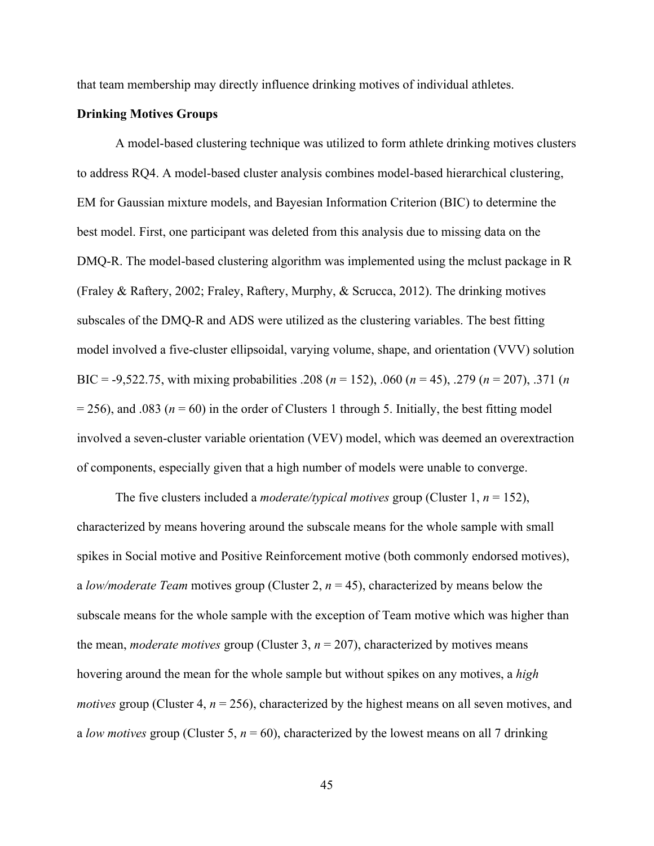that team membership may directly influence drinking motives of individual athletes.

## **Drinking Motives Groups**

A model-based clustering technique was utilized to form athlete drinking motives clusters to address RQ4. A model-based cluster analysis combines model-based hierarchical clustering, EM for Gaussian mixture models, and Bayesian Information Criterion (BIC) to determine the best model. First, one participant was deleted from this analysis due to missing data on the DMQ-R. The model-based clustering algorithm was implemented using the mclust package in R (Fraley & Raftery, 2002; Fraley, Raftery, Murphy, & Scrucca, 2012). The drinking motives subscales of the DMQ-R and ADS were utilized as the clustering variables. The best fitting model involved a five-cluster ellipsoidal, varying volume, shape, and orientation (VVV) solution BIC = -9,522.75, with mixing probabilities .208 (*n* = 152), .060 (*n* = 45), .279 (*n* = 207), .371 (*n*  $= 256$ ), and .083 ( $n = 60$ ) in the order of Clusters 1 through 5. Initially, the best fitting model involved a seven-cluster variable orientation (VEV) model, which was deemed an overextraction of components, especially given that a high number of models were unable to converge.

The five clusters included a *moderate/typical motives* group (Cluster 1,  $n = 152$ ), characterized by means hovering around the subscale means for the whole sample with small spikes in Social motive and Positive Reinforcement motive (both commonly endorsed motives), a *low/moderate Team* motives group (Cluster 2, *n* = 45), characterized by means below the subscale means for the whole sample with the exception of Team motive which was higher than the mean, *moderate motives* group (Cluster 3,  $n = 207$ ), characterized by motives means hovering around the mean for the whole sample but without spikes on any motives, a *high motives* group (Cluster 4,  $n = 256$ ), characterized by the highest means on all seven motives, and a *low motives* group (Cluster 5, *n* = 60), characterized by the lowest means on all 7 drinking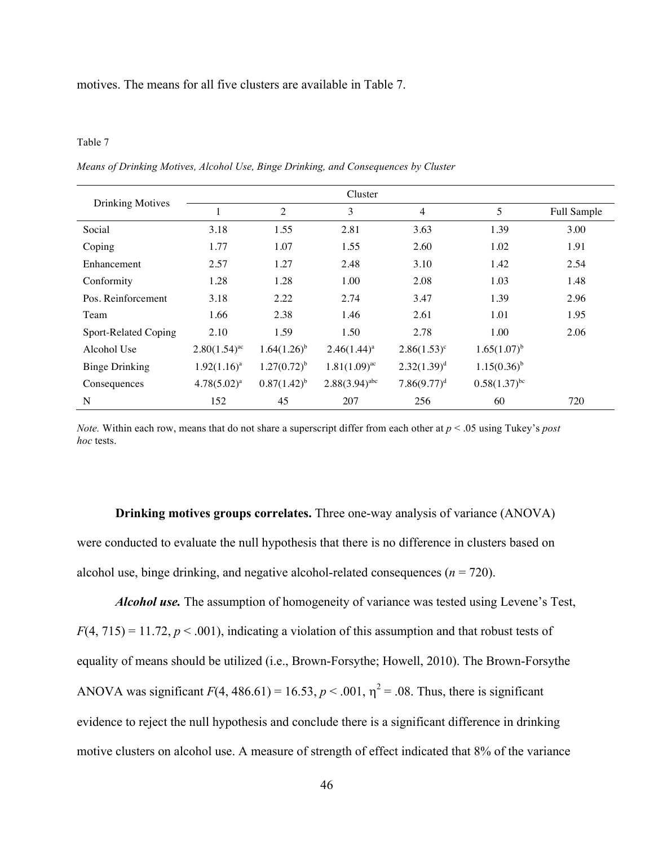motives. The means for all five clusters are available in Table 7.

#### Table 7

*Means of Drinking Motives, Alcohol Use, Binge Drinking, and Consequences by Cluster*

|                         |                   |                  | Cluster            |                  |                            |             |
|-------------------------|-------------------|------------------|--------------------|------------------|----------------------------|-------------|
| <b>Drinking Motives</b> |                   | $\overline{2}$   | 3                  | 4                | 5                          | Full Sample |
| Social                  | 3.18              | 1.55             | 2.81               | 3.63             | 1.39                       | 3.00        |
| Coping                  | 1.77              | 1.07             | 1.55               | 2.60             | 1.02                       | 1.91        |
| Enhancement             | 2.57              | 1.27             | 2.48               | 3.10             | 1.42                       | 2.54        |
| Conformity              | 1.28              | 1.28             | 1.00               | 2.08             | 1.03                       | 1.48        |
| Pos. Reinforcement      | 3.18              | 2.22             | 2.74               | 3.47             | 1.39                       | 2.96        |
| Team                    | 1.66              | 2.38             | 1.46               | 2.61             | 1.01                       | 1.95        |
| Sport-Related Coping    | 2.10              | 1.59             | 1.50               | 2.78             | 1.00                       | 2.06        |
| Alcohol Use             | $2.80(1.54)^{ac}$ | $1.64(1.26)^{b}$ | $2.46(1.44)^a$     | $2.86(1.53)^c$   | $1.65(1.07)^{b}$           |             |
| <b>Binge Drinking</b>   | $1.92(1.16)^a$    | $1.27(0.72)^{b}$ | $1.81(1.09)^{ac}$  | $2.32(1.39)^d$   | $1.15(0.36)^{b}$           |             |
| Consequences            | $4.78(5.02)^a$    | $0.87(1.42)^{b}$ | $2.88(3.94)^{abc}$ | $7.86(9.77)^{d}$ | $0.58(1.37)$ <sup>bc</sup> |             |
| N                       | 152               | 45               | 207                | 256              | 60                         | 720         |

*Note.* Within each row, means that do not share a superscript differ from each other at *p* < .05 using Tukey's *post hoc* tests.

**Drinking motives groups correlates.** Three one-way analysis of variance (ANOVA) were conducted to evaluate the null hypothesis that there is no difference in clusters based on alcohol use, binge drinking, and negative alcohol-related consequences  $(n = 720)$ .

*Alcohol use.* The assumption of homogeneity of variance was tested using Levene's Test,  $F(4, 715) = 11.72$ ,  $p < .001$ ), indicating a violation of this assumption and that robust tests of equality of means should be utilized (i.e., Brown-Forsythe; Howell, 2010). The Brown-Forsythe ANOVA was significant  $F(4, 486.61) = 16.53$ ,  $p < .001$ ,  $\eta^2 = .08$ . Thus, there is significant evidence to reject the null hypothesis and conclude there is a significant difference in drinking motive clusters on alcohol use. A measure of strength of effect indicated that 8% of the variance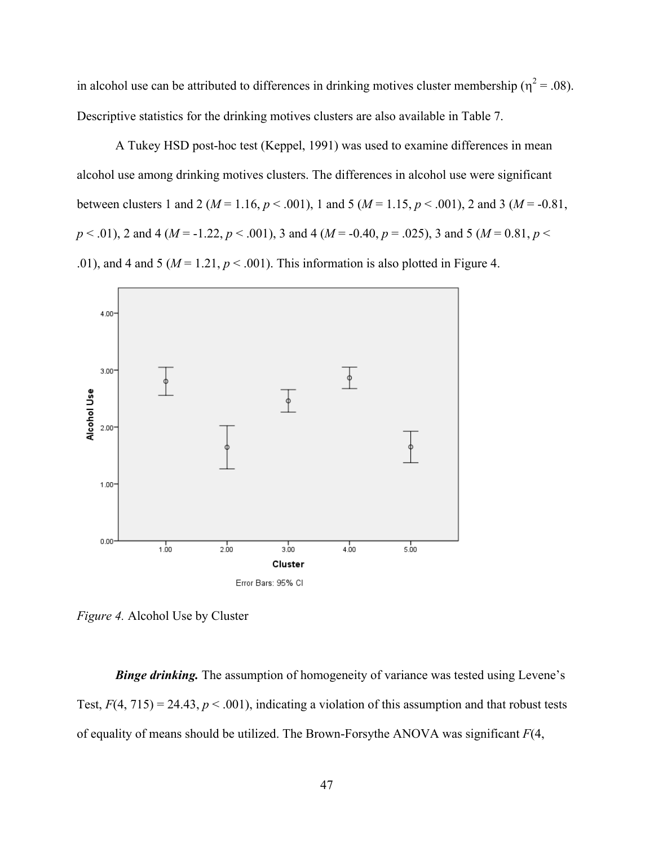in alcohol use can be attributed to differences in drinking motives cluster membership ( $\eta^2$  = .08). Descriptive statistics for the drinking motives clusters are also available in Table 7.

A Tukey HSD post-hoc test (Keppel, 1991) was used to examine differences in mean alcohol use among drinking motives clusters. The differences in alcohol use were significant between clusters 1 and 2 ( $M = 1.16$ ,  $p < .001$ ), 1 and 5 ( $M = 1.15$ ,  $p < .001$ ), 2 and 3 ( $M = .0.81$ , *p* < .01), 2 and 4 (*M* = -1.22, *p* < .001), 3 and 4 (*M* = -0.40, *p* = .025), 3 and 5 (*M* = 0.81, *p* < .01), and 4 and 5 ( $M = 1.21$ ,  $p < .001$ ). This information is also plotted in Figure 4.



*Figure 4.* Alcohol Use by Cluster

**Binge drinking.** The assumption of homogeneity of variance was tested using Levene's Test,  $F(4, 715) = 24.43$ ,  $p < .001$ ), indicating a violation of this assumption and that robust tests of equality of means should be utilized. The Brown-Forsythe ANOVA was significant *F*(4,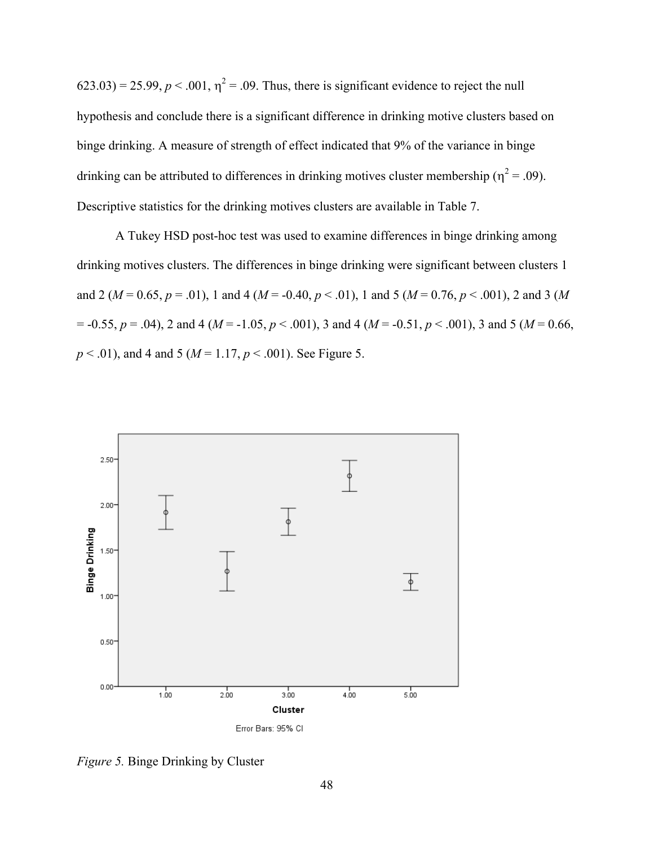$(623.03) = 25.99$ ,  $p < .001$ ,  $\eta^2 = .09$ . Thus, there is significant evidence to reject the null hypothesis and conclude there is a significant difference in drinking motive clusters based on binge drinking. A measure of strength of effect indicated that 9% of the variance in binge drinking can be attributed to differences in drinking motives cluster membership ( $\eta^2$  = .09). Descriptive statistics for the drinking motives clusters are available in Table 7.

A Tukey HSD post-hoc test was used to examine differences in binge drinking among drinking motives clusters. The differences in binge drinking were significant between clusters 1 and 2 ( $M = 0.65$ ,  $p = .01$ ), 1 and 4 ( $M = -0.40$ ,  $p < .01$ ), 1 and 5 ( $M = 0.76$ ,  $p < .001$ ), 2 and 3 ( $M$  $p = -0.55$ ,  $p = .04$ ), 2 and 4 ( $M = -1.05$ ,  $p < .001$ ), 3 and 4 ( $M = -0.51$ ,  $p < .001$ ), 3 and 5 ( $M = 0.66$ , *p* < .01), and 4 and 5 (*M* = 1.17, *p* < .001). See Figure 5.



*Figure 5.* Binge Drinking by Cluster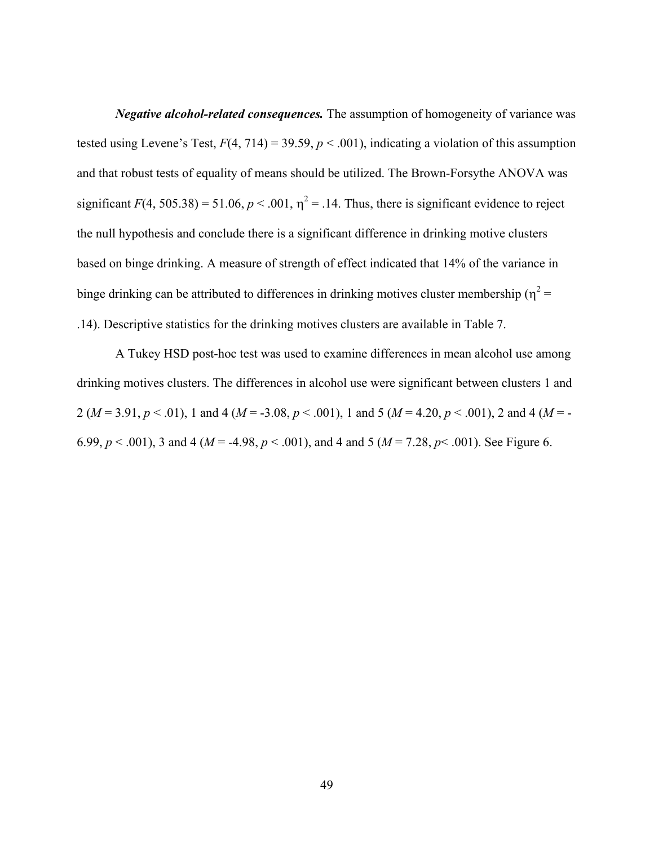*Negative alcohol-related consequences.* The assumption of homogeneity of variance was tested using Levene's Test,  $F(4, 714) = 39.59$ ,  $p < .001$ ), indicating a violation of this assumption and that robust tests of equality of means should be utilized. The Brown-Forsythe ANOVA was significant  $F(4, 505.38) = 51.06$ ,  $p < .001$ ,  $\eta^2 = .14$ . Thus, there is significant evidence to reject the null hypothesis and conclude there is a significant difference in drinking motive clusters based on binge drinking. A measure of strength of effect indicated that 14% of the variance in binge drinking can be attributed to differences in drinking motives cluster membership ( $\eta^2$  = .14). Descriptive statistics for the drinking motives clusters are available in Table 7.

A Tukey HSD post-hoc test was used to examine differences in mean alcohol use among drinking motives clusters. The differences in alcohol use were significant between clusters 1 and 2 ( $M = 3.91, p < .01$ ), 1 and 4 ( $M = -3.08, p < .001$ ), 1 and 5 ( $M = 4.20, p < .001$ ), 2 and 4 ( $M = -1$ ) 6.99,  $p < .001$ ), 3 and 4 ( $M = -4.98$ ,  $p < .001$ ), and 4 and 5 ( $M = 7.28$ ,  $p < .001$ ). See Figure 6.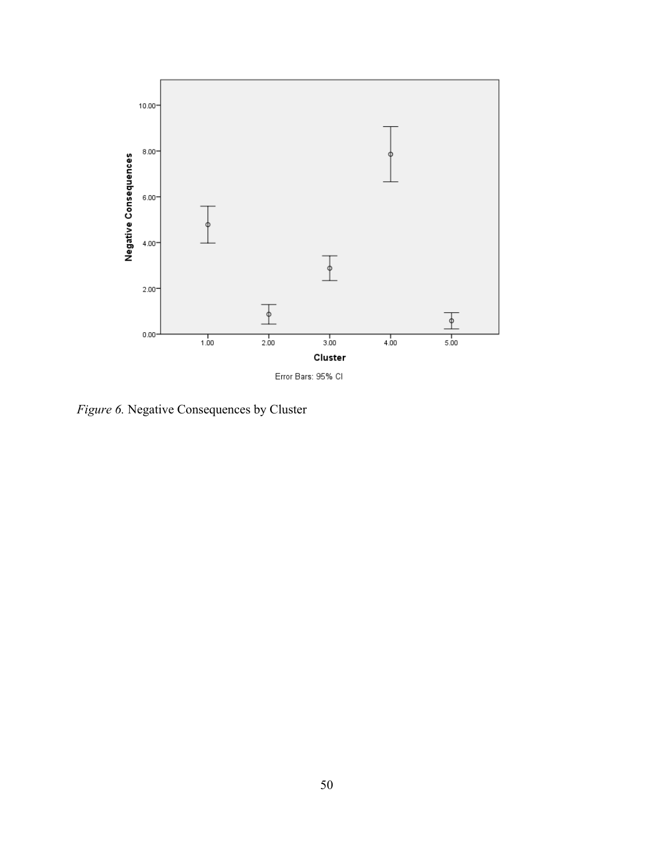

*Figure 6.* Negative Consequences by Cluster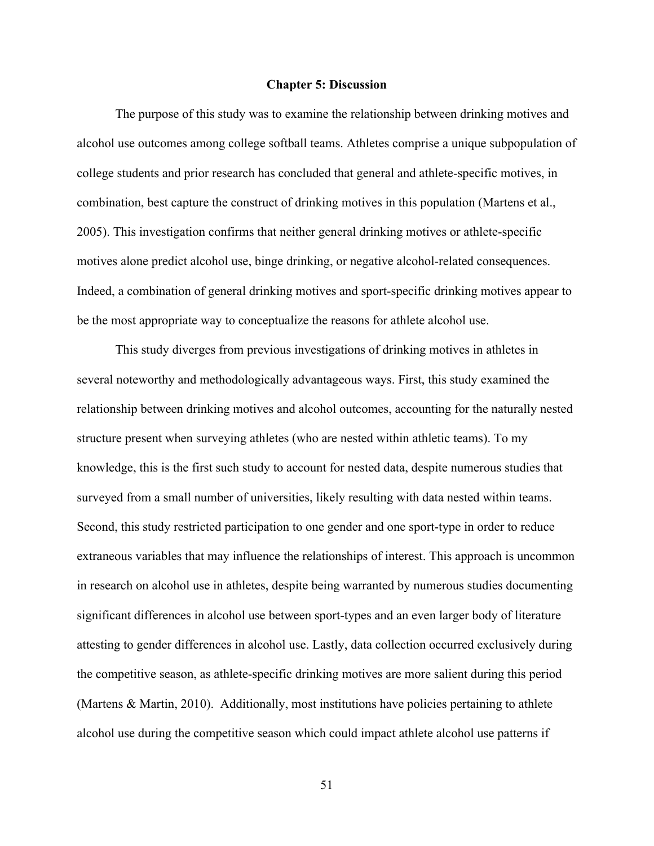#### **Chapter 5: Discussion**

The purpose of this study was to examine the relationship between drinking motives and alcohol use outcomes among college softball teams. Athletes comprise a unique subpopulation of college students and prior research has concluded that general and athlete-specific motives, in combination, best capture the construct of drinking motives in this population (Martens et al., 2005). This investigation confirms that neither general drinking motives or athlete-specific motives alone predict alcohol use, binge drinking, or negative alcohol-related consequences. Indeed, a combination of general drinking motives and sport-specific drinking motives appear to be the most appropriate way to conceptualize the reasons for athlete alcohol use.

This study diverges from previous investigations of drinking motives in athletes in several noteworthy and methodologically advantageous ways. First, this study examined the relationship between drinking motives and alcohol outcomes, accounting for the naturally nested structure present when surveying athletes (who are nested within athletic teams). To my knowledge, this is the first such study to account for nested data, despite numerous studies that surveyed from a small number of universities, likely resulting with data nested within teams. Second, this study restricted participation to one gender and one sport-type in order to reduce extraneous variables that may influence the relationships of interest. This approach is uncommon in research on alcohol use in athletes, despite being warranted by numerous studies documenting significant differences in alcohol use between sport-types and an even larger body of literature attesting to gender differences in alcohol use. Lastly, data collection occurred exclusively during the competitive season, as athlete-specific drinking motives are more salient during this period (Martens & Martin, 2010). Additionally, most institutions have policies pertaining to athlete alcohol use during the competitive season which could impact athlete alcohol use patterns if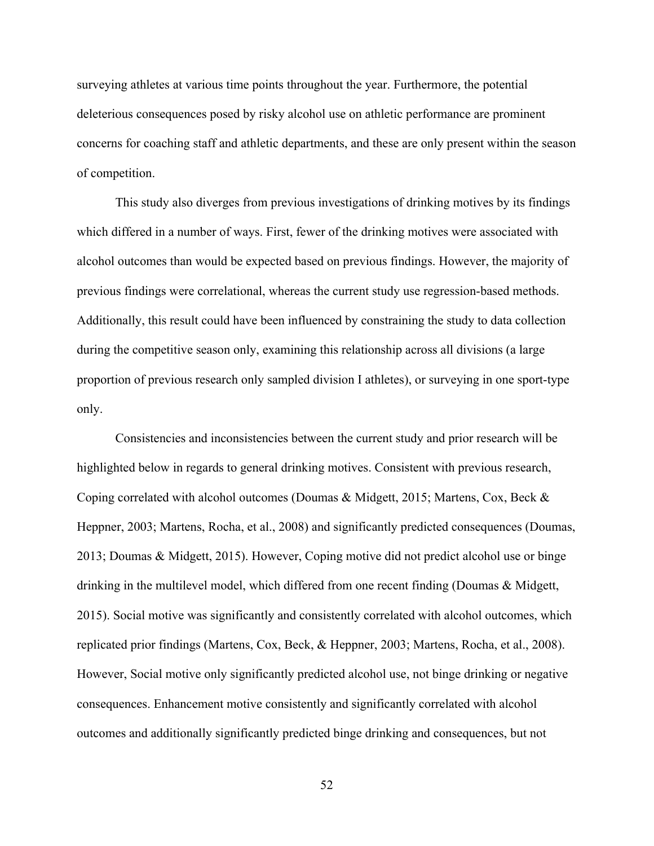surveying athletes at various time points throughout the year. Furthermore, the potential deleterious consequences posed by risky alcohol use on athletic performance are prominent concerns for coaching staff and athletic departments, and these are only present within the season of competition.

This study also diverges from previous investigations of drinking motives by its findings which differed in a number of ways. First, fewer of the drinking motives were associated with alcohol outcomes than would be expected based on previous findings. However, the majority of previous findings were correlational, whereas the current study use regression-based methods. Additionally, this result could have been influenced by constraining the study to data collection during the competitive season only, examining this relationship across all divisions (a large proportion of previous research only sampled division I athletes), or surveying in one sport-type only.

Consistencies and inconsistencies between the current study and prior research will be highlighted below in regards to general drinking motives. Consistent with previous research, Coping correlated with alcohol outcomes (Doumas & Midgett, 2015; Martens, Cox, Beck & Heppner, 2003; Martens, Rocha, et al., 2008) and significantly predicted consequences (Doumas, 2013; Doumas & Midgett, 2015). However, Coping motive did not predict alcohol use or binge drinking in the multilevel model, which differed from one recent finding (Doumas & Midgett, 2015). Social motive was significantly and consistently correlated with alcohol outcomes, which replicated prior findings (Martens, Cox, Beck, & Heppner, 2003; Martens, Rocha, et al., 2008). However, Social motive only significantly predicted alcohol use, not binge drinking or negative consequences. Enhancement motive consistently and significantly correlated with alcohol outcomes and additionally significantly predicted binge drinking and consequences, but not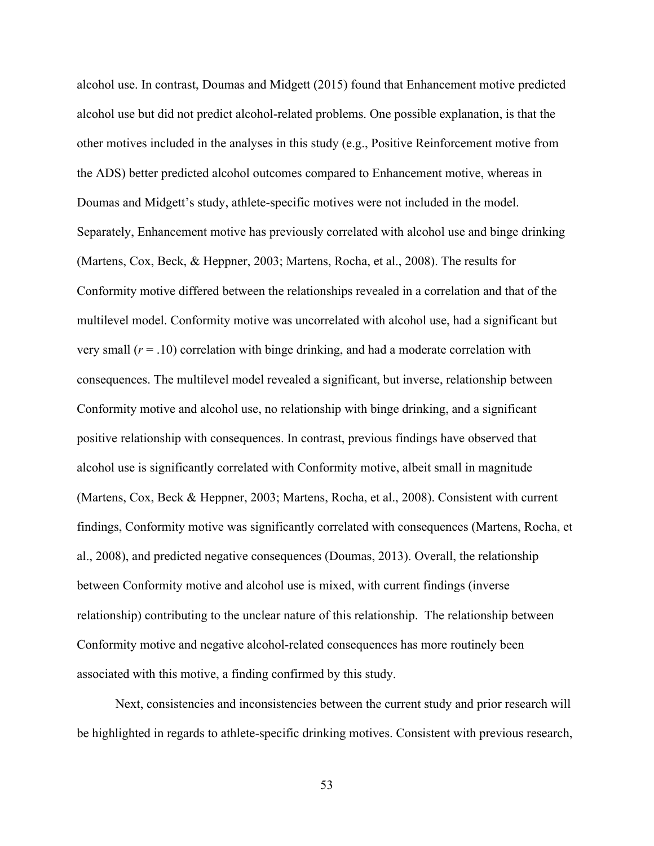alcohol use. In contrast, Doumas and Midgett (2015) found that Enhancement motive predicted alcohol use but did not predict alcohol-related problems. One possible explanation, is that the other motives included in the analyses in this study (e.g., Positive Reinforcement motive from the ADS) better predicted alcohol outcomes compared to Enhancement motive, whereas in Doumas and Midgett's study, athlete-specific motives were not included in the model. Separately, Enhancement motive has previously correlated with alcohol use and binge drinking (Martens, Cox, Beck, & Heppner, 2003; Martens, Rocha, et al., 2008). The results for Conformity motive differed between the relationships revealed in a correlation and that of the multilevel model. Conformity motive was uncorrelated with alcohol use, had a significant but very small (*r* = .10) correlation with binge drinking, and had a moderate correlation with consequences. The multilevel model revealed a significant, but inverse, relationship between Conformity motive and alcohol use, no relationship with binge drinking, and a significant positive relationship with consequences. In contrast, previous findings have observed that alcohol use is significantly correlated with Conformity motive, albeit small in magnitude (Martens, Cox, Beck & Heppner, 2003; Martens, Rocha, et al., 2008). Consistent with current findings, Conformity motive was significantly correlated with consequences (Martens, Rocha, et al., 2008), and predicted negative consequences (Doumas, 2013). Overall, the relationship between Conformity motive and alcohol use is mixed, with current findings (inverse relationship) contributing to the unclear nature of this relationship. The relationship between Conformity motive and negative alcohol-related consequences has more routinely been associated with this motive, a finding confirmed by this study.

Next, consistencies and inconsistencies between the current study and prior research will be highlighted in regards to athlete-specific drinking motives. Consistent with previous research,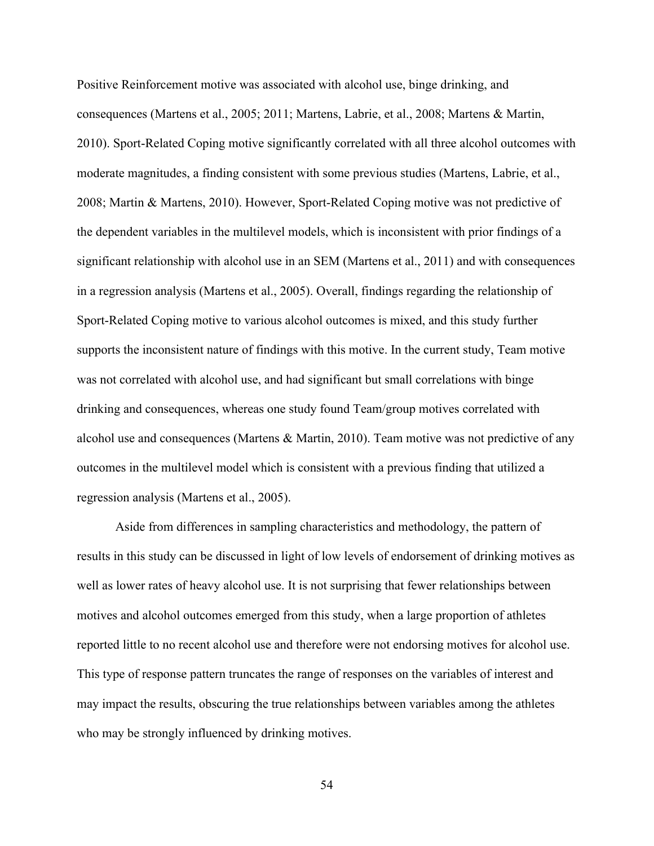Positive Reinforcement motive was associated with alcohol use, binge drinking, and consequences (Martens et al., 2005; 2011; Martens, Labrie, et al., 2008; Martens & Martin, 2010). Sport-Related Coping motive significantly correlated with all three alcohol outcomes with moderate magnitudes, a finding consistent with some previous studies (Martens, Labrie, et al., 2008; Martin & Martens, 2010). However, Sport-Related Coping motive was not predictive of the dependent variables in the multilevel models, which is inconsistent with prior findings of a significant relationship with alcohol use in an SEM (Martens et al., 2011) and with consequences in a regression analysis (Martens et al., 2005). Overall, findings regarding the relationship of Sport-Related Coping motive to various alcohol outcomes is mixed, and this study further supports the inconsistent nature of findings with this motive. In the current study, Team motive was not correlated with alcohol use, and had significant but small correlations with binge drinking and consequences, whereas one study found Team/group motives correlated with alcohol use and consequences (Martens & Martin, 2010). Team motive was not predictive of any outcomes in the multilevel model which is consistent with a previous finding that utilized a regression analysis (Martens et al., 2005).

Aside from differences in sampling characteristics and methodology, the pattern of results in this study can be discussed in light of low levels of endorsement of drinking motives as well as lower rates of heavy alcohol use. It is not surprising that fewer relationships between motives and alcohol outcomes emerged from this study, when a large proportion of athletes reported little to no recent alcohol use and therefore were not endorsing motives for alcohol use. This type of response pattern truncates the range of responses on the variables of interest and may impact the results, obscuring the true relationships between variables among the athletes who may be strongly influenced by drinking motives.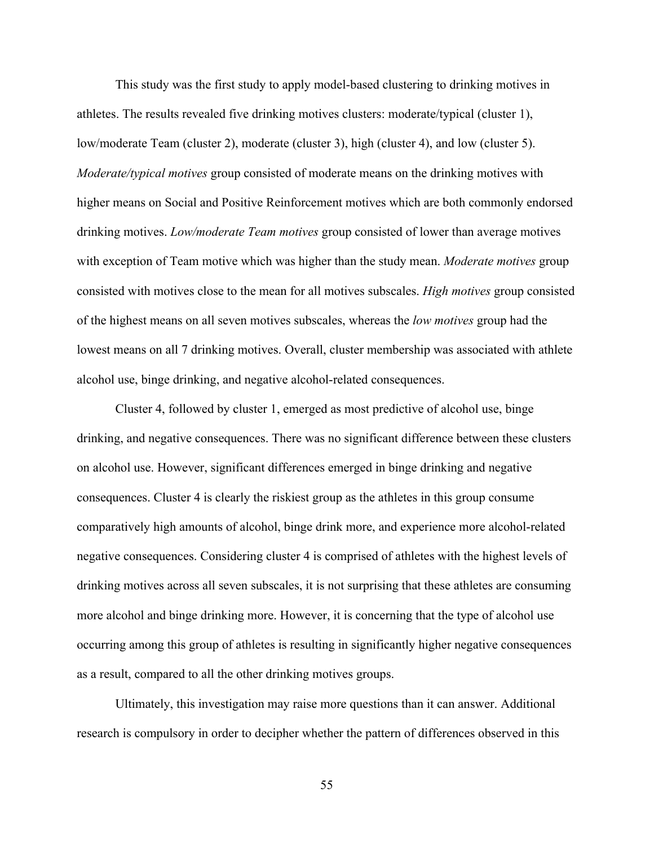This study was the first study to apply model-based clustering to drinking motives in athletes. The results revealed five drinking motives clusters: moderate/typical (cluster 1), low/moderate Team (cluster 2), moderate (cluster 3), high (cluster 4), and low (cluster 5). *Moderate/typical motives* group consisted of moderate means on the drinking motives with higher means on Social and Positive Reinforcement motives which are both commonly endorsed drinking motives. *Low/moderate Team motives* group consisted of lower than average motives with exception of Team motive which was higher than the study mean. *Moderate motives* group consisted with motives close to the mean for all motives subscales. *High motives* group consisted of the highest means on all seven motives subscales, whereas the *low motives* group had the lowest means on all 7 drinking motives. Overall, cluster membership was associated with athlete alcohol use, binge drinking, and negative alcohol-related consequences.

Cluster 4, followed by cluster 1, emerged as most predictive of alcohol use, binge drinking, and negative consequences. There was no significant difference between these clusters on alcohol use. However, significant differences emerged in binge drinking and negative consequences. Cluster 4 is clearly the riskiest group as the athletes in this group consume comparatively high amounts of alcohol, binge drink more, and experience more alcohol-related negative consequences. Considering cluster 4 is comprised of athletes with the highest levels of drinking motives across all seven subscales, it is not surprising that these athletes are consuming more alcohol and binge drinking more. However, it is concerning that the type of alcohol use occurring among this group of athletes is resulting in significantly higher negative consequences as a result, compared to all the other drinking motives groups.

Ultimately, this investigation may raise more questions than it can answer. Additional research is compulsory in order to decipher whether the pattern of differences observed in this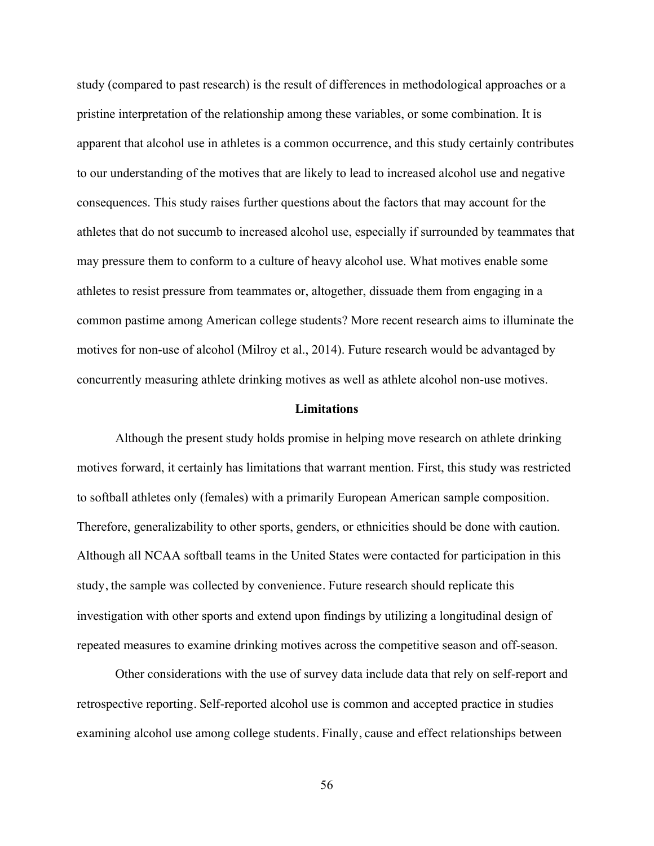study (compared to past research) is the result of differences in methodological approaches or a pristine interpretation of the relationship among these variables, or some combination. It is apparent that alcohol use in athletes is a common occurrence, and this study certainly contributes to our understanding of the motives that are likely to lead to increased alcohol use and negative consequences. This study raises further questions about the factors that may account for the athletes that do not succumb to increased alcohol use, especially if surrounded by teammates that may pressure them to conform to a culture of heavy alcohol use. What motives enable some athletes to resist pressure from teammates or, altogether, dissuade them from engaging in a common pastime among American college students? More recent research aims to illuminate the motives for non-use of alcohol (Milroy et al., 2014). Future research would be advantaged by concurrently measuring athlete drinking motives as well as athlete alcohol non-use motives.

#### **Limitations**

Although the present study holds promise in helping move research on athlete drinking motives forward, it certainly has limitations that warrant mention. First, this study was restricted to softball athletes only (females) with a primarily European American sample composition. Therefore, generalizability to other sports, genders, or ethnicities should be done with caution. Although all NCAA softball teams in the United States were contacted for participation in this study, the sample was collected by convenience. Future research should replicate this investigation with other sports and extend upon findings by utilizing a longitudinal design of repeated measures to examine drinking motives across the competitive season and off-season.

Other considerations with the use of survey data include data that rely on self-report and retrospective reporting. Self-reported alcohol use is common and accepted practice in studies examining alcohol use among college students. Finally, cause and effect relationships between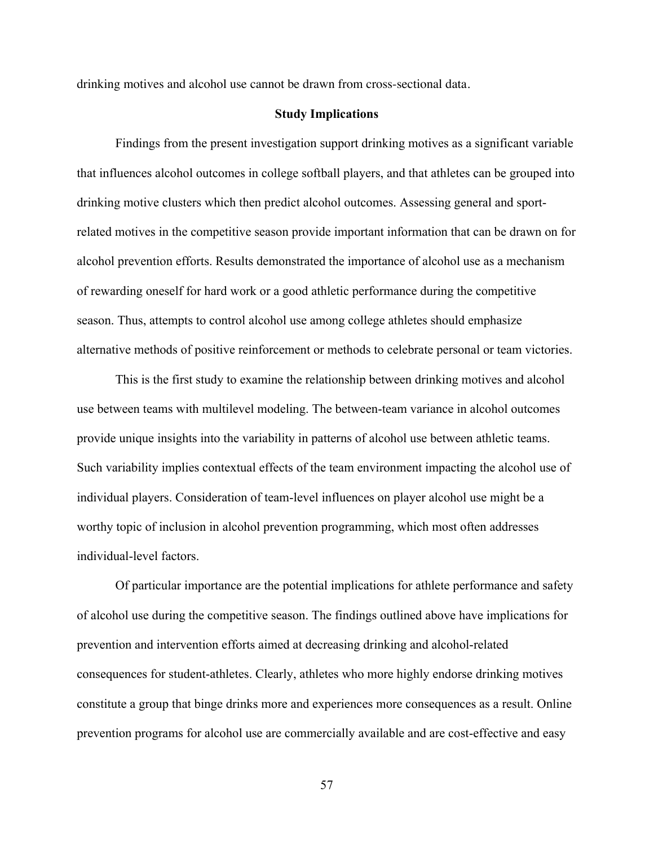drinking motives and alcohol use cannot be drawn from cross-sectional data.

## **Study Implications**

Findings from the present investigation support drinking motives as a significant variable that influences alcohol outcomes in college softball players, and that athletes can be grouped into drinking motive clusters which then predict alcohol outcomes. Assessing general and sportrelated motives in the competitive season provide important information that can be drawn on for alcohol prevention efforts. Results demonstrated the importance of alcohol use as a mechanism of rewarding oneself for hard work or a good athletic performance during the competitive season. Thus, attempts to control alcohol use among college athletes should emphasize alternative methods of positive reinforcement or methods to celebrate personal or team victories.

This is the first study to examine the relationship between drinking motives and alcohol use between teams with multilevel modeling. The between-team variance in alcohol outcomes provide unique insights into the variability in patterns of alcohol use between athletic teams. Such variability implies contextual effects of the team environment impacting the alcohol use of individual players. Consideration of team-level influences on player alcohol use might be a worthy topic of inclusion in alcohol prevention programming, which most often addresses individual-level factors.

Of particular importance are the potential implications for athlete performance and safety of alcohol use during the competitive season. The findings outlined above have implications for prevention and intervention efforts aimed at decreasing drinking and alcohol-related consequences for student-athletes. Clearly, athletes who more highly endorse drinking motives constitute a group that binge drinks more and experiences more consequences as a result. Online prevention programs for alcohol use are commercially available and are cost-effective and easy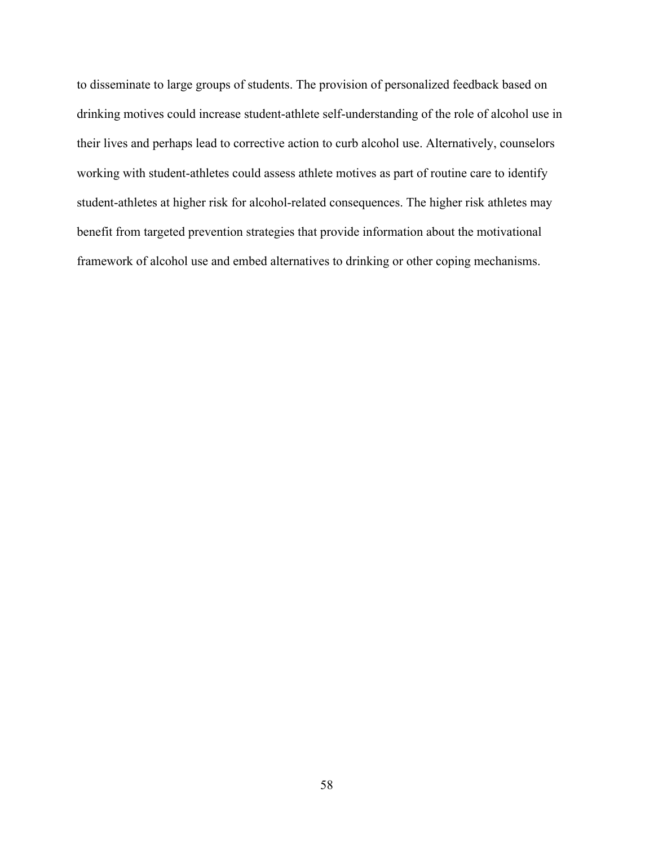to disseminate to large groups of students. The provision of personalized feedback based on drinking motives could increase student-athlete self-understanding of the role of alcohol use in their lives and perhaps lead to corrective action to curb alcohol use. Alternatively, counselors working with student-athletes could assess athlete motives as part of routine care to identify student-athletes at higher risk for alcohol-related consequences. The higher risk athletes may benefit from targeted prevention strategies that provide information about the motivational framework of alcohol use and embed alternatives to drinking or other coping mechanisms.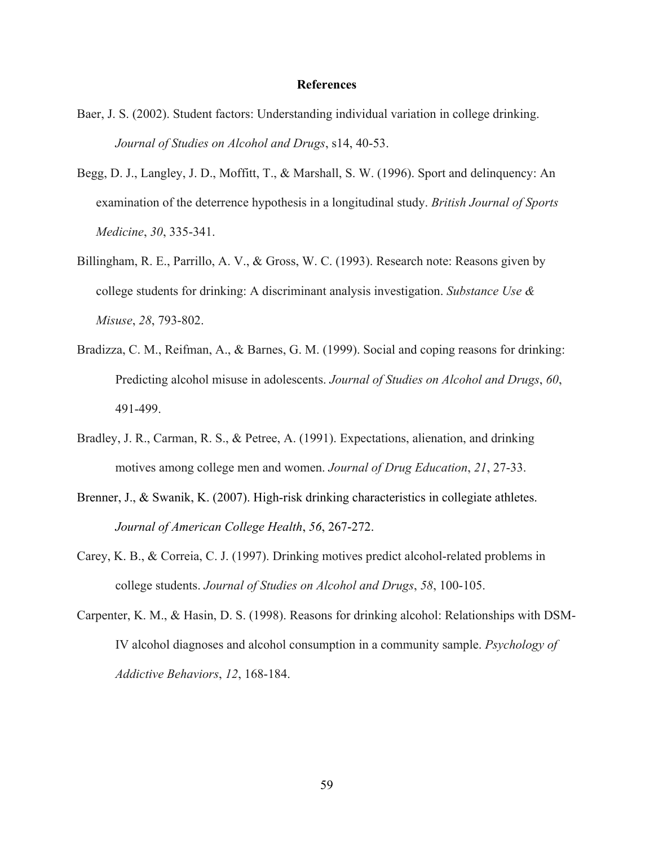## **References**

- Baer, J. S. (2002). Student factors: Understanding individual variation in college drinking. *Journal of Studies on Alcohol and Drugs*, s14, 40-53.
- Begg, D. J., Langley, J. D., Moffitt, T., & Marshall, S. W. (1996). Sport and delinquency: An examination of the deterrence hypothesis in a longitudinal study. *British Journal of Sports Medicine*, *30*, 335-341.
- Billingham, R. E., Parrillo, A. V., & Gross, W. C. (1993). Research note: Reasons given by college students for drinking: A discriminant analysis investigation. *Substance Use & Misuse*, *28*, 793-802.
- Bradizza, C. M., Reifman, A., & Barnes, G. M. (1999). Social and coping reasons for drinking: Predicting alcohol misuse in adolescents. *Journal of Studies on Alcohol and Drugs*, *60*, 491-499.
- Bradley, J. R., Carman, R. S., & Petree, A. (1991). Expectations, alienation, and drinking motives among college men and women. *Journal of Drug Education*, *21*, 27-33.
- Brenner, J., & Swanik, K. (2007). High-risk drinking characteristics in collegiate athletes. *Journal of American College Health*, *56*, 267-272.
- Carey, K. B., & Correia, C. J. (1997). Drinking motives predict alcohol-related problems in college students. *Journal of Studies on Alcohol and Drugs*, *58*, 100-105.
- Carpenter, K. M., & Hasin, D. S. (1998). Reasons for drinking alcohol: Relationships with DSM-IV alcohol diagnoses and alcohol consumption in a community sample. *Psychology of Addictive Behaviors*, *12*, 168-184.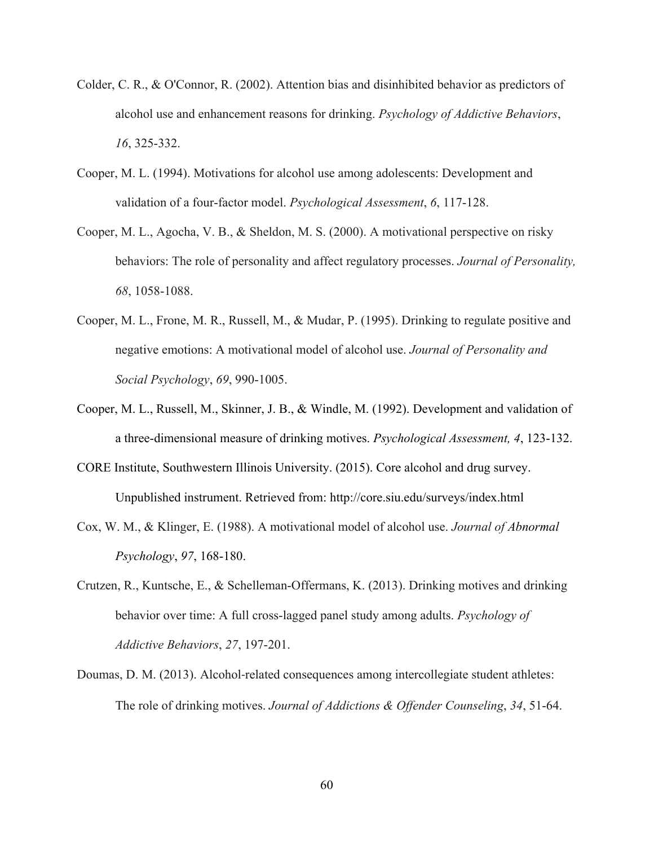- Colder, C. R., & O'Connor, R. (2002). Attention bias and disinhibited behavior as predictors of alcohol use and enhancement reasons for drinking. *Psychology of Addictive Behaviors*, *16*, 325-332.
- Cooper, M. L. (1994). Motivations for alcohol use among adolescents: Development and validation of a four-factor model. *Psychological Assessment*, *6*, 117-128.
- Cooper, M. L., Agocha, V. B., & Sheldon, M. S. (2000). A motivational perspective on risky behaviors: The role of personality and affect regulatory processes. *Journal of Personality, 68*, 1058-1088.
- Cooper, M. L., Frone, M. R., Russell, M., & Mudar, P. (1995). Drinking to regulate positive and negative emotions: A motivational model of alcohol use. *Journal of Personality and Social Psychology*, *69*, 990-1005.
- Cooper, M. L., Russell, M., Skinner, J. B., & Windle, M. (1992). Development and validation of a three-dimensional measure of drinking motives. *Psychological Assessment, 4*, 123-132.
- CORE Institute, Southwestern Illinois University. (2015). Core alcohol and drug survey. Unpublished instrument. Retrieved from: http://core.siu.edu/surveys/index.html
- Cox, W. M., & Klinger, E. (1988). A motivational model of alcohol use. *Journal of Abnormal Psychology*, *97*, 168-180.
- Crutzen, R., Kuntsche, E., & Schelleman-Offermans, K. (2013). Drinking motives and drinking behavior over time: A full cross-lagged panel study among adults. *Psychology of Addictive Behaviors*, *27*, 197-201.
- Doumas, D. M. (2013). Alcohol-related consequences among intercollegiate student athletes: The role of drinking motives. *Journal of Addictions & Offender Counseling*, *34*, 51-64.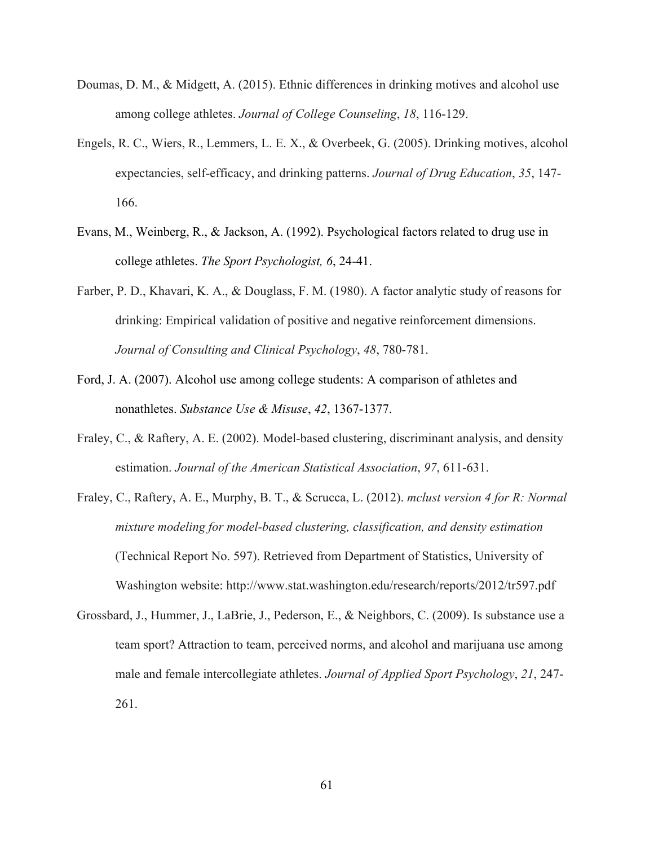- Doumas, D. M., & Midgett, A. (2015). Ethnic differences in drinking motives and alcohol use among college athletes. *Journal of College Counseling*, *18*, 116-129.
- Engels, R. C., Wiers, R., Lemmers, L. E. X., & Overbeek, G. (2005). Drinking motives, alcohol expectancies, self-efficacy, and drinking patterns. *Journal of Drug Education*, *35*, 147- 166.
- Evans, M., Weinberg, R., & Jackson, A. (1992). Psychological factors related to drug use in college athletes. *The Sport Psychologist, 6*, 24-41.
- Farber, P. D., Khavari, K. A., & Douglass, F. M. (1980). A factor analytic study of reasons for drinking: Empirical validation of positive and negative reinforcement dimensions. *Journal of Consulting and Clinical Psychology*, *48*, 780-781.
- Ford, J. A. (2007). Alcohol use among college students: A comparison of athletes and nonathletes. *Substance Use & Misuse*, *42*, 1367-1377.
- Fraley, C., & Raftery, A. E. (2002). Model-based clustering, discriminant analysis, and density estimation. *Journal of the American Statistical Association*, *97*, 611-631.
- Fraley, C., Raftery, A. E., Murphy, B. T., & Scrucca, L. (2012). *mclust version 4 for R: Normal mixture modeling for model-based clustering, classification, and density estimation* (Technical Report No. 597). Retrieved from Department of Statistics, University of Washington website: http://www.stat.washington.edu/research/reports/2012/tr597.pdf
- Grossbard, J., Hummer, J., LaBrie, J., Pederson, E., & Neighbors, C. (2009). Is substance use a team sport? Attraction to team, perceived norms, and alcohol and marijuana use among male and female intercollegiate athletes. *Journal of Applied Sport Psychology*, *21*, 247- 261.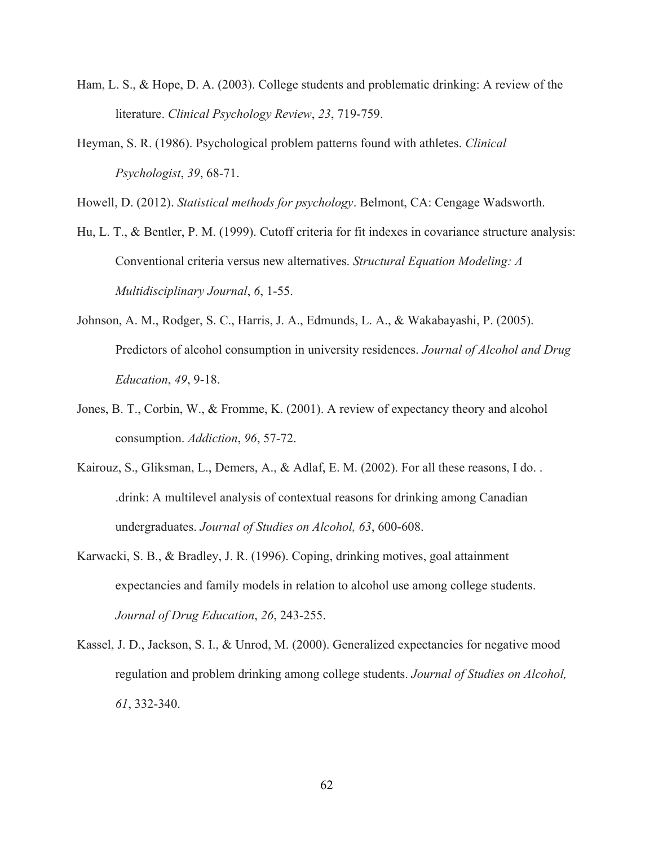- Ham, L. S., & Hope, D. A. (2003). College students and problematic drinking: A review of the literature. *Clinical Psychology Review*, *23*, 719-759.
- Heyman, S. R. (1986). Psychological problem patterns found with athletes. *Clinical Psychologist*, *39*, 68-71.

Howell, D. (2012). *Statistical methods for psychology*. Belmont, CA: Cengage Wadsworth.

- Hu, L. T., & Bentler, P. M. (1999). Cutoff criteria for fit indexes in covariance structure analysis: Conventional criteria versus new alternatives. *Structural Equation Modeling: A Multidisciplinary Journal*, *6*, 1-55.
- Johnson, A. M., Rodger, S. C., Harris, J. A., Edmunds, L. A., & Wakabayashi, P. (2005). Predictors of alcohol consumption in university residences. *Journal of Alcohol and Drug Education*, *49*, 9-18.
- Jones, B. T., Corbin, W., & Fromme, K. (2001). A review of expectancy theory and alcohol consumption. *Addiction*, *96*, 57-72.
- Kairouz, S., Gliksman, L., Demers, A., & Adlaf, E. M. (2002). For all these reasons, I do. . .drink: A multilevel analysis of contextual reasons for drinking among Canadian undergraduates. *Journal of Studies on Alcohol, 63*, 600-608.
- Karwacki, S. B., & Bradley, J. R. (1996). Coping, drinking motives, goal attainment expectancies and family models in relation to alcohol use among college students. *Journal of Drug Education*, *26*, 243-255.
- Kassel, J. D., Jackson, S. I., & Unrod, M. (2000). Generalized expectancies for negative mood regulation and problem drinking among college students. *Journal of Studies on Alcohol, 61*, 332-340.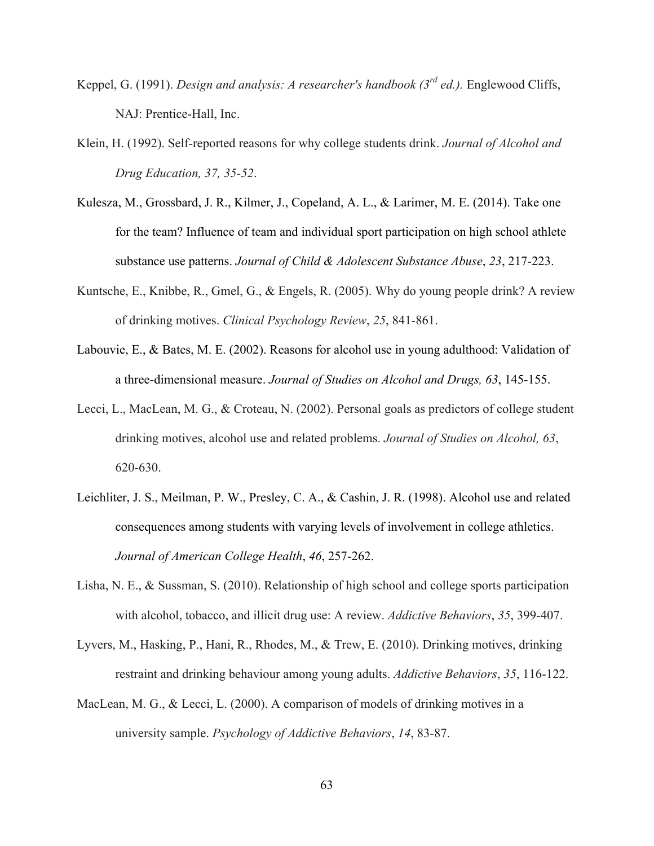- Keppel, G. (1991). *Design and analysis: A researcher's handbook (3rd ed.).* Englewood Cliffs, NAJ: Prentice-Hall, Inc.
- Klein, H. (1992). Self-reported reasons for why college students drink. *Journal of Alcohol and Drug Education, 37, 35-52*.
- Kulesza, M., Grossbard, J. R., Kilmer, J., Copeland, A. L., & Larimer, M. E. (2014). Take one for the team? Influence of team and individual sport participation on high school athlete substance use patterns. *Journal of Child & Adolescent Substance Abuse*, *23*, 217-223.
- Kuntsche, E., Knibbe, R., Gmel, G., & Engels, R. (2005). Why do young people drink? A review of drinking motives. *Clinical Psychology Review*, *25*, 841-861.
- Labouvie, E., & Bates, M. E. (2002). Reasons for alcohol use in young adulthood: Validation of a three-dimensional measure. *Journal of Studies on Alcohol and Drugs, 63*, 145-155.
- Lecci, L., MacLean, M. G., & Croteau, N. (2002). Personal goals as predictors of college student drinking motives, alcohol use and related problems. *Journal of Studies on Alcohol, 63*, 620-630.
- Leichliter, J. S., Meilman, P. W., Presley, C. A., & Cashin, J. R. (1998). Alcohol use and related consequences among students with varying levels of involvement in college athletics. *Journal of American College Health*, *46*, 257-262.
- Lisha, N. E., & Sussman, S. (2010). Relationship of high school and college sports participation with alcohol, tobacco, and illicit drug use: A review. *Addictive Behaviors*, *35*, 399-407.
- Lyvers, M., Hasking, P., Hani, R., Rhodes, M., & Trew, E. (2010). Drinking motives, drinking restraint and drinking behaviour among young adults. *Addictive Behaviors*, *35*, 116-122.
- MacLean, M. G., & Lecci, L. (2000). A comparison of models of drinking motives in a university sample. *Psychology of Addictive Behaviors*, *14*, 83-87.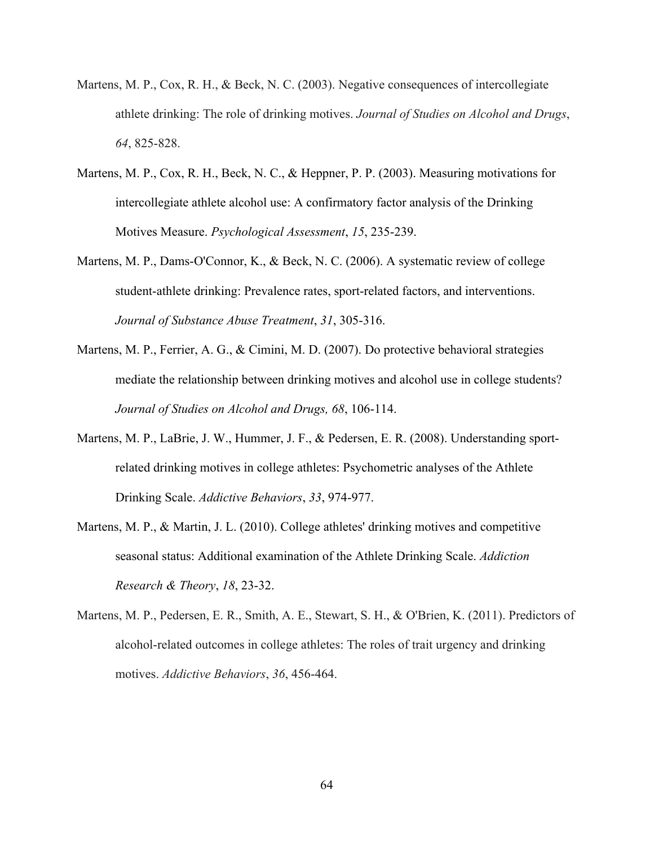- Martens, M. P., Cox, R. H., & Beck, N. C. (2003). Negative consequences of intercollegiate athlete drinking: The role of drinking motives. *Journal of Studies on Alcohol and Drugs*, *64*, 825-828.
- Martens, M. P., Cox, R. H., Beck, N. C., & Heppner, P. P. (2003). Measuring motivations for intercollegiate athlete alcohol use: A confirmatory factor analysis of the Drinking Motives Measure. *Psychological Assessment*, *15*, 235-239.
- Martens, M. P., Dams-O'Connor, K., & Beck, N. C. (2006). A systematic review of college student-athlete drinking: Prevalence rates, sport-related factors, and interventions. *Journal of Substance Abuse Treatment*, *31*, 305-316.
- Martens, M. P., Ferrier, A. G., & Cimini, M. D. (2007). Do protective behavioral strategies mediate the relationship between drinking motives and alcohol use in college students? *Journal of Studies on Alcohol and Drugs, 68*, 106-114.
- Martens, M. P., LaBrie, J. W., Hummer, J. F., & Pedersen, E. R. (2008). Understanding sportrelated drinking motives in college athletes: Psychometric analyses of the Athlete Drinking Scale. *Addictive Behaviors*, *33*, 974-977.
- Martens, M. P., & Martin, J. L. (2010). College athletes' drinking motives and competitive seasonal status: Additional examination of the Athlete Drinking Scale. *Addiction Research & Theory*, *18*, 23-32.
- Martens, M. P., Pedersen, E. R., Smith, A. E., Stewart, S. H., & O'Brien, K. (2011). Predictors of alcohol-related outcomes in college athletes: The roles of trait urgency and drinking motives. *Addictive Behaviors*, *36*, 456-464.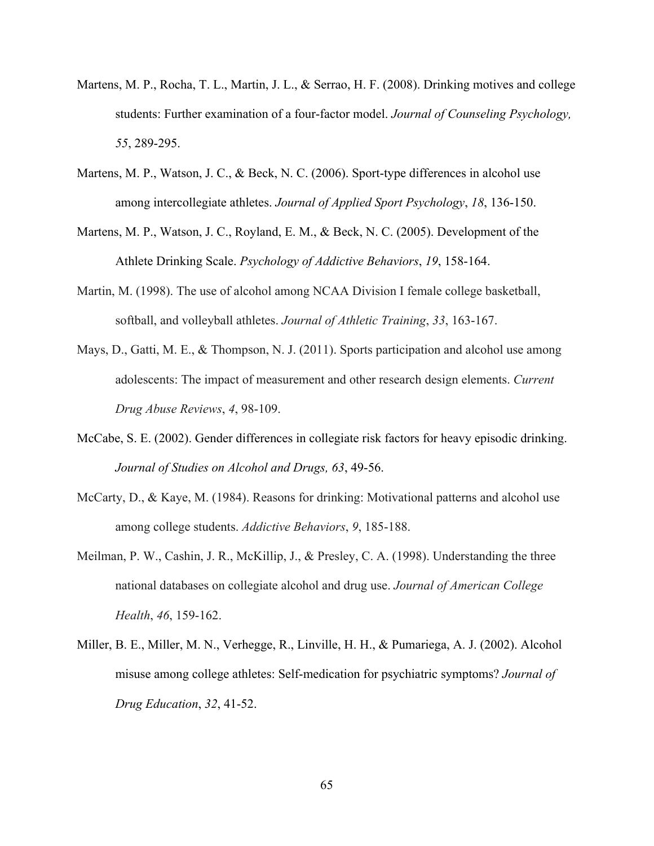- Martens, M. P., Rocha, T. L., Martin, J. L., & Serrao, H. F. (2008). Drinking motives and college students: Further examination of a four-factor model. *Journal of Counseling Psychology, 55*, 289-295.
- Martens, M. P., Watson, J. C., & Beck, N. C. (2006). Sport-type differences in alcohol use among intercollegiate athletes. *Journal of Applied Sport Psychology*, *18*, 136-150.
- Martens, M. P., Watson, J. C., Royland, E. M., & Beck, N. C. (2005). Development of the Athlete Drinking Scale. *Psychology of Addictive Behaviors*, *19*, 158-164.
- Martin, M. (1998). The use of alcohol among NCAA Division I female college basketball, softball, and volleyball athletes. *Journal of Athletic Training*, *33*, 163-167.
- Mays, D., Gatti, M. E., & Thompson, N. J. (2011). Sports participation and alcohol use among adolescents: The impact of measurement and other research design elements. *Current Drug Abuse Reviews*, *4*, 98-109.
- McCabe, S. E. (2002). Gender differences in collegiate risk factors for heavy episodic drinking. *Journal of Studies on Alcohol and Drugs, 63*, 49-56.
- McCarty, D., & Kaye, M. (1984). Reasons for drinking: Motivational patterns and alcohol use among college students. *Addictive Behaviors*, *9*, 185-188.
- Meilman, P. W., Cashin, J. R., McKillip, J., & Presley, C. A. (1998). Understanding the three national databases on collegiate alcohol and drug use. *Journal of American College Health*, *46*, 159-162.
- Miller, B. E., Miller, M. N., Verhegge, R., Linville, H. H., & Pumariega, A. J. (2002). Alcohol misuse among college athletes: Self-medication for psychiatric symptoms? *Journal of Drug Education*, *32*, 41-52.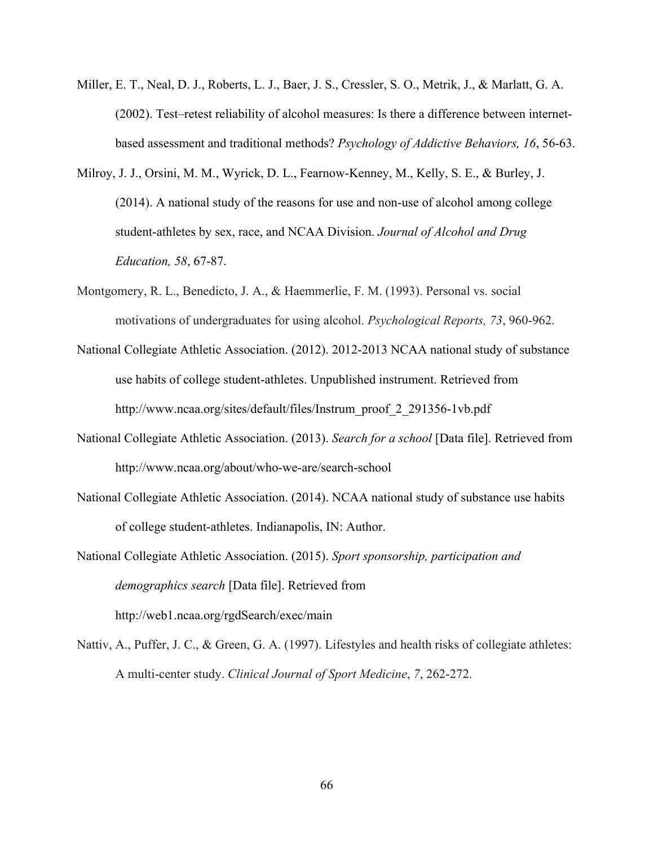- Miller, E. T., Neal, D. J., Roberts, L. J., Baer, J. S., Cressler, S. O., Metrik, J., & Marlatt, G. A. (2002). Test–retest reliability of alcohol measures: Is there a difference between internetbased assessment and traditional methods? *Psychology of Addictive Behaviors, 16*, 56-63.
- Milroy, J. J., Orsini, M. M., Wyrick, D. L., Fearnow-Kenney, M., Kelly, S. E., & Burley, J. (2014). A national study of the reasons for use and non-use of alcohol among college student-athletes by sex, race, and NCAA Division. *Journal of Alcohol and Drug Education, 58*, 67-87.
- Montgomery, R. L., Benedicto, J. A., & Haemmerlie, F. M. (1993). Personal vs. social motivations of undergraduates for using alcohol. *Psychological Reports, 73*, 960-962.
- National Collegiate Athletic Association. (2012). 2012-2013 NCAA national study of substance use habits of college student-athletes. Unpublished instrument. Retrieved from http://www.ncaa.org/sites/default/files/Instrum\_proof\_2\_291356-1vb.pdf
- National Collegiate Athletic Association. (2013). *Search for a school* [Data file]. Retrieved from http://www.ncaa.org/about/who-we-are/search-school
- National Collegiate Athletic Association. (2014). NCAA national study of substance use habits of college student-athletes. Indianapolis, IN: Author.
- National Collegiate Athletic Association. (2015). *Sport sponsorship, participation and demographics search* [Data file]. Retrieved from http://web1.ncaa.org/rgdSearch/exec/main
- Nattiv, A., Puffer, J. C., & Green, G. A. (1997). Lifestyles and health risks of collegiate athletes: A multi-center study. *Clinical Journal of Sport Medicine*, *7*, 262-272.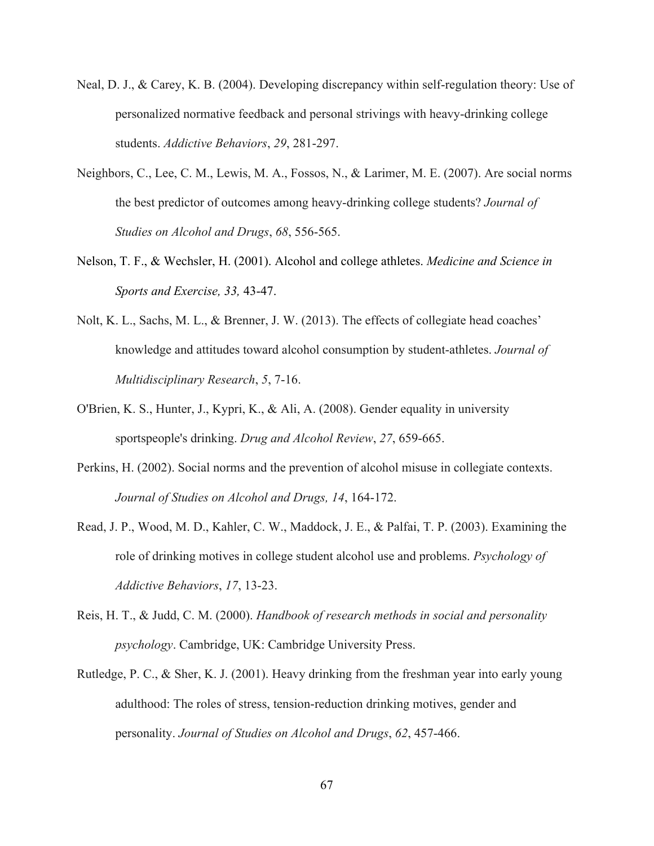- Neal, D. J., & Carey, K. B. (2004). Developing discrepancy within self-regulation theory: Use of personalized normative feedback and personal strivings with heavy-drinking college students. *Addictive Behaviors*, *29*, 281-297.
- Neighbors, C., Lee, C. M., Lewis, M. A., Fossos, N., & Larimer, M. E. (2007). Are social norms the best predictor of outcomes among heavy-drinking college students? *Journal of Studies on Alcohol and Drugs*, *68*, 556-565.
- Nelson, T. F., & Wechsler, H. (2001). Alcohol and college athletes. *Medicine and Science in Sports and Exercise, 33,* 43-47.
- Nolt, K. L., Sachs, M. L., & Brenner, J. W. (2013). The effects of collegiate head coaches' knowledge and attitudes toward alcohol consumption by student-athletes. *Journal of Multidisciplinary Research*, *5*, 7-16.
- O'Brien, K. S., Hunter, J., Kypri, K., & Ali, A. (2008). Gender equality in university sportspeople's drinking. *Drug and Alcohol Review*, *27*, 659-665.
- Perkins, H. (2002). Social norms and the prevention of alcohol misuse in collegiate contexts. *Journal of Studies on Alcohol and Drugs, 14*, 164-172.
- Read, J. P., Wood, M. D., Kahler, C. W., Maddock, J. E., & Palfai, T. P. (2003). Examining the role of drinking motives in college student alcohol use and problems. *Psychology of Addictive Behaviors*, *17*, 13-23.
- Reis, H. T., & Judd, C. M. (2000). *Handbook of research methods in social and personality psychology*. Cambridge, UK: Cambridge University Press.
- Rutledge, P. C., & Sher, K. J. (2001). Heavy drinking from the freshman year into early young adulthood: The roles of stress, tension-reduction drinking motives, gender and personality. *Journal of Studies on Alcohol and Drugs*, *62*, 457-466.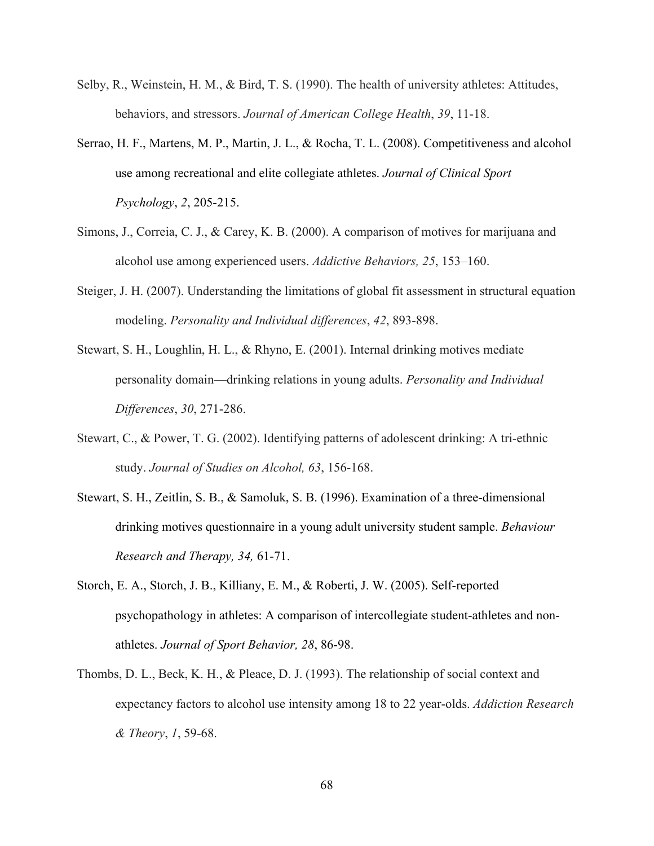- Selby, R., Weinstein, H. M., & Bird, T. S. (1990). The health of university athletes: Attitudes, behaviors, and stressors. *Journal of American College Health*, *39*, 11-18.
- Serrao, H. F., Martens, M. P., Martin, J. L., & Rocha, T. L. (2008). Competitiveness and alcohol use among recreational and elite collegiate athletes. *Journal of Clinical Sport Psychology*, *2*, 205-215.
- Simons, J., Correia, C. J., & Carey, K. B. (2000). A comparison of motives for marijuana and alcohol use among experienced users. *Addictive Behaviors, 25*, 153–160.
- Steiger, J. H. (2007). Understanding the limitations of global fit assessment in structural equation modeling. *Personality and Individual differences*, *42*, 893-898.
- Stewart, S. H., Loughlin, H. L., & Rhyno, E. (2001). Internal drinking motives mediate personality domain—drinking relations in young adults. *Personality and Individual Differences*, *30*, 271-286.
- Stewart, C., & Power, T. G. (2002). Identifying patterns of adolescent drinking: A tri-ethnic study. *Journal of Studies on Alcohol, 63*, 156-168.
- Stewart, S. H., Zeitlin, S. B., & Samoluk, S. B. (1996). Examination of a three-dimensional drinking motives questionnaire in a young adult university student sample. *Behaviour Research and Therapy, 34,* 61-71.
- Storch, E. A., Storch, J. B., Killiany, E. M., & Roberti, J. W. (2005). Self-reported psychopathology in athletes: A comparison of intercollegiate student-athletes and nonathletes. *Journal of Sport Behavior, 28*, 86-98.
- Thombs, D. L., Beck, K. H., & Pleace, D. J. (1993). The relationship of social context and expectancy factors to alcohol use intensity among 18 to 22 year-olds. *Addiction Research & Theory*, *1*, 59-68.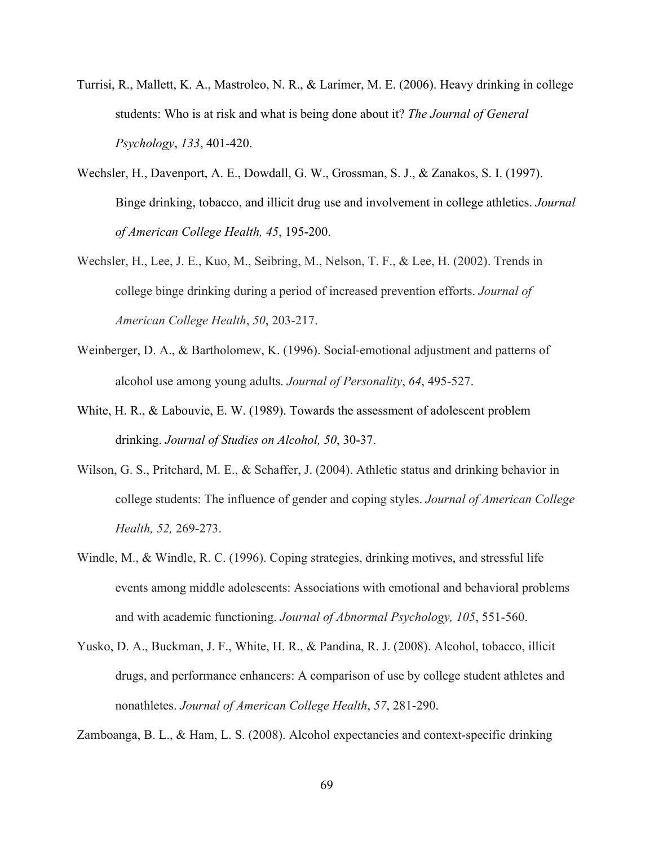- Turrisi, R., Mallett, K. A., Mastroleo, N. R., & Larimer, M. E. (2006). Heavy drinking in college students: Who is at risk and what is being done about it? *The Journal of General Psychology*, *133*, 401-420.
- Wechsler, H., Davenport, A. E., Dowdall, G. W., Grossman, S. J., & Zanakos, S. I. (1997). Binge drinking, tobacco, and illicit drug use and involvement in college athletics. *Journal of American College Health, 45*, 195-200.
- Wechsler, H., Lee, J. E., Kuo, M., Seibring, M., Nelson, T. F., & Lee, H. (2002). Trends in college binge drinking during a period of increased prevention efforts. *Journal of American College Health*, *50*, 203-217.
- Weinberger, D. A., & Bartholomew, K. (1996). Social-emotional adjustment and patterns of alcohol use among young adults. *Journal of Personality*, *64*, 495-527.
- White, H. R., & Labouvie, E. W. (1989). Towards the assessment of adolescent problem drinking. *Journal of Studies on Alcohol, 50*, 30-37.
- Wilson, G. S., Pritchard, M. E., & Schaffer, J. (2004). Athletic status and drinking behavior in college students: The influence of gender and coping styles. *Journal of American College Health, 52,* 269-273.
- Windle, M., & Windle, R. C. (1996). Coping strategies, drinking motives, and stressful life events among middle adolescents: Associations with emotional and behavioral problems and with academic functioning. *Journal of Abnormal Psychology, 105*, 551-560.
- Yusko, D. A., Buckman, J. F., White, H. R., & Pandina, R. J. (2008). Alcohol, tobacco, illicit drugs, and performance enhancers: A comparison of use by college student athletes and nonathletes. *Journal of American College Health*, *57*, 281-290.

Zamboanga, B. L., & Ham, L. S. (2008). Alcohol expectancies and context-specific drinking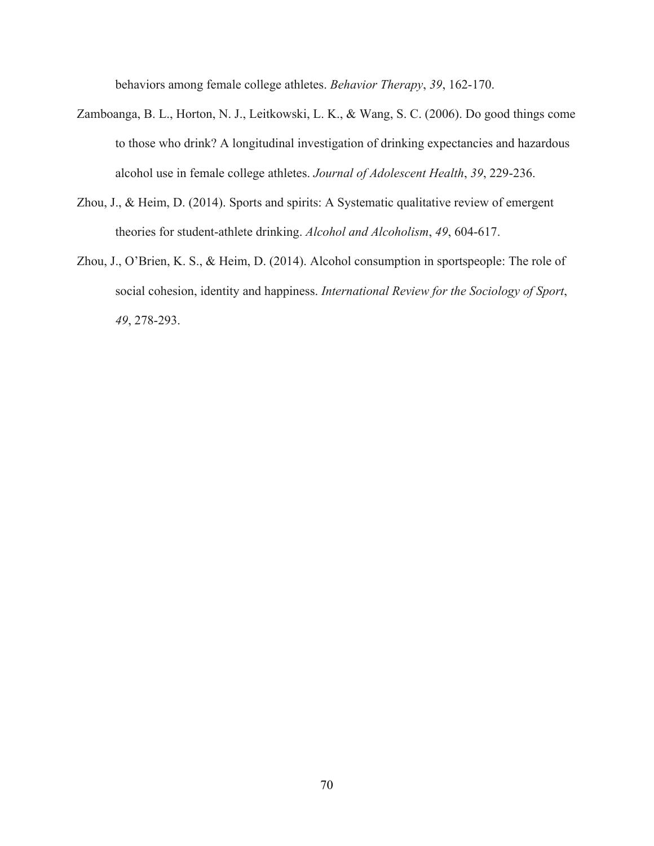behaviors among female college athletes. *Behavior Therapy*, *39*, 162-170.

- Zamboanga, B. L., Horton, N. J., Leitkowski, L. K., & Wang, S. C. (2006). Do good things come to those who drink? A longitudinal investigation of drinking expectancies and hazardous alcohol use in female college athletes. *Journal of Adolescent Health*, *39*, 229-236.
- Zhou, J., & Heim, D. (2014). Sports and spirits: A Systematic qualitative review of emergent theories for student-athlete drinking. *Alcohol and Alcoholism*, *49*, 604-617.
- Zhou, J., O'Brien, K. S., & Heim, D. (2014). Alcohol consumption in sportspeople: The role of social cohesion, identity and happiness. *International Review for the Sociology of Sport*, *49*, 278-293.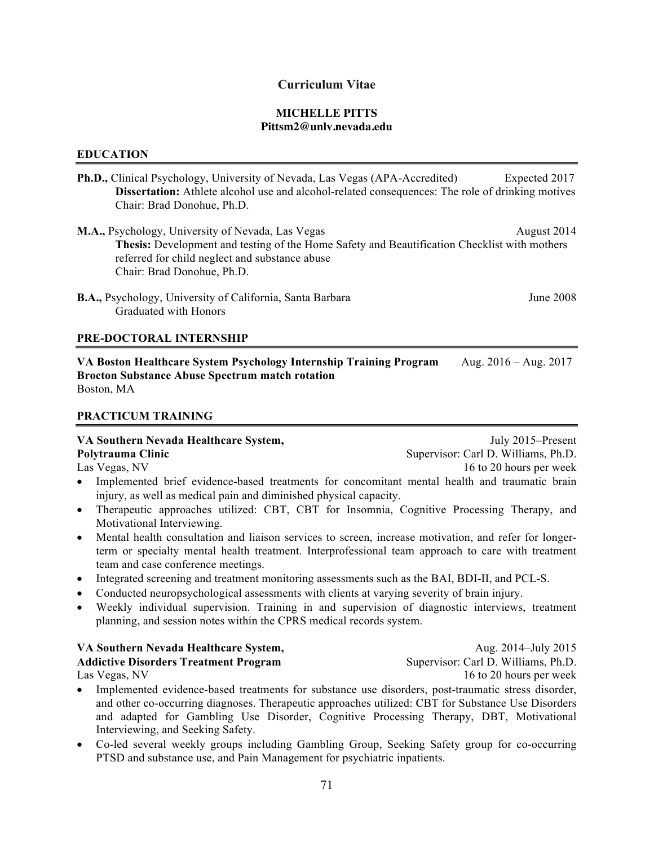## **Curriculum Vitae**

#### **MICHELLE PITTS Pittsm2@unlv.nevada.edu**

#### **EDUCATION**

- **Ph.D.,** Clinical Psychology, University of Nevada, Las Vegas (APA-Accredited)Expected 2017 **Dissertation:** Athlete alcohol use and alcohol-related consequences: The role of drinking motives Chair: Brad Donohue, Ph.D.
- **M.A.,** Psychology, University of Nevada, Las Vegas August 2014 **Thesis:** Development and testing of the Home Safety and Beautification Checklist with mothers referred for child neglect and substance abuse Chair: Brad Donohue, Ph.D.
- **B.A.,** Psychology, University of California, Santa Barbara June 2008 Graduated with Honors

#### **PRE-DOCTORAL INTERNSHIP**

**VA Boston Healthcare System Psychology Internship Training Program** Aug. 2016 – Aug. 2017 **Brocton Substance Abuse Spectrum match rotation** Boston, MA

#### **PRACTICUM TRAINING**

#### **VA Southern Nevada Healthcare System,** July 2015–Present

**Polytrauma Clinic** Supervisor: Carl D. Williams, Ph.D.

- Las Vegas, NV 16 to 20 hours per week
- Implemented brief evidence-based treatments for concomitant mental health and traumatic brain injury, as well as medical pain and diminished physical capacity.
- Therapeutic approaches utilized: CBT, CBT for Insomnia, Cognitive Processing Therapy, and Motivational Interviewing.
- Mental health consultation and liaison services to screen, increase motivation, and refer for longerterm or specialty mental health treatment. Interprofessional team approach to care with treatment team and case conference meetings.
- Integrated screening and treatment monitoring assessments such as the BAI, BDI-II, and PCL-S.
- Conducted neuropsychological assessments with clients at varying severity of brain injury.
- Weekly individual supervision. Training in and supervision of diagnostic interviews, treatment planning, and session notes within the CPRS medical records system.

# **VA Southern Nevada Healthcare System,** Aug. 2014–July 2015

**Addictive Disorders Treatment Program** Supervisor: Carl D. Williams, Ph.D.

- Implemented evidence-based treatments for substance use disorders, post-traumatic stress disorder, and other co-occurring diagnoses. Therapeutic approaches utilized: CBT for Substance Use Disorders and adapted for Gambling Use Disorder, Cognitive Processing Therapy, DBT, Motivational Interviewing, and Seeking Safety.
- Co-led several weekly groups including Gambling Group, Seeking Safety group for co-occurring PTSD and substance use, and Pain Management for psychiatric inpatients.

Las Vegas, NV 16 to 20 hours per week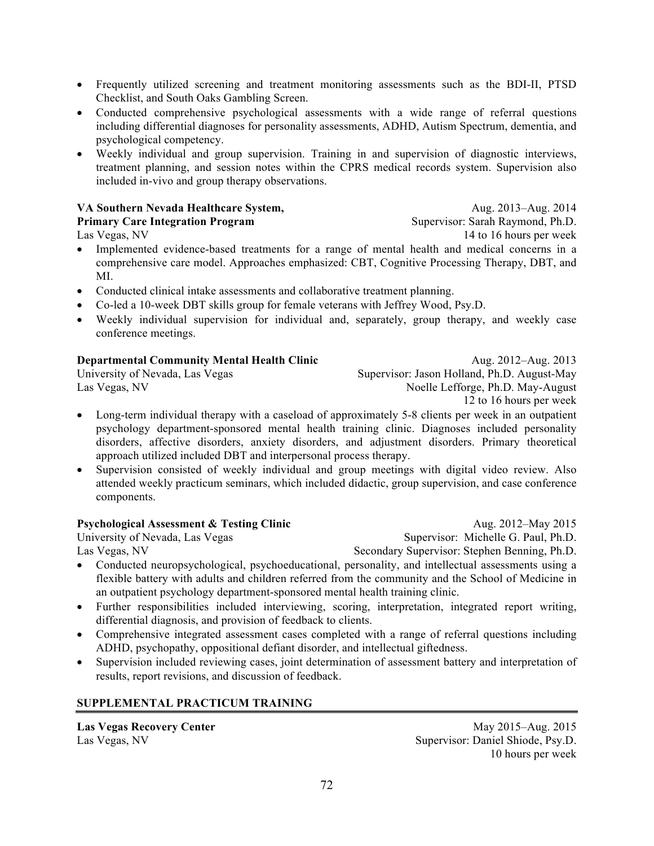- Frequently utilized screening and treatment monitoring assessments such as the BDI-II, PTSD Checklist, and South Oaks Gambling Screen.
- Conducted comprehensive psychological assessments with a wide range of referral questions including differential diagnoses for personality assessments, ADHD, Autism Spectrum, dementia, and psychological competency.
- Weekly individual and group supervision. Training in and supervision of diagnostic interviews, treatment planning, and session notes within the CPRS medical records system. Supervision also included in-vivo and group therapy observations.

### **VA Southern Nevada Healthcare System,** Aug. 2013–Aug. 2014 **Primary Care Integration Program** Supervisor: Sarah Raymond, Ph.D.

- 
- Implemented evidence-based treatments for a range of mental health and medical concerns in a comprehensive care model. Approaches emphasized: CBT, Cognitive Processing Therapy, DBT, and MI.
- Conducted clinical intake assessments and collaborative treatment planning.
- Co-led a 10-week DBT skills group for female veterans with Jeffrey Wood, Psy.D.
- Weekly individual supervision for individual and, separately, group therapy, and weekly case conference meetings.

# **Departmental Community Mental Health Clinic Community Aug. 2012–Aug. 2013**

University of Nevada, Las Vegas Supervisor: Jason Holland, Ph.D. August-May Las Vegas, NV Noelle Lefforge, Ph.D. May-August

12 to 16 hours per week

- Long-term individual therapy with a caseload of approximately 5-8 clients per week in an outpatient psychology department-sponsored mental health training clinic. Diagnoses included personality disorders, affective disorders, anxiety disorders, and adjustment disorders. Primary theoretical approach utilized included DBT and interpersonal process therapy.
- Supervision consisted of weekly individual and group meetings with digital video review. Also attended weekly practicum seminars, which included didactic, group supervision, and case conference components.

# **Psychological Assessment & Testing Clinic Aug. 2012–May 2015**

Las Vegas, NV Secondary Supervisor: Stephen Benning, Ph.D.

- University of Nevada, Las Vegas Supervisor: Michelle G. Paul, Ph.D.
- Conducted neuropsychological, psychoeducational, personality, and intellectual assessments using a flexible battery with adults and children referred from the community and the School of Medicine in an outpatient psychology department-sponsored mental health training clinic.
- Further responsibilities included interviewing, scoring, interpretation, integrated report writing, differential diagnosis, and provision of feedback to clients.
- Comprehensive integrated assessment cases completed with a range of referral questions including ADHD, psychopathy, oppositional defiant disorder, and intellectual giftedness.
- Supervision included reviewing cases, joint determination of assessment battery and interpretation of results, report revisions, and discussion of feedback.

# **SUPPLEMENTAL PRACTICUM TRAINING**

**Las Vegas Recovery Center** May 2015–Aug. 2015 Las Vegas, NV Supervisor: Daniel Shiode, Psy.D. 10 hours per week

Las Vegas, NV 14 to 16 hours per week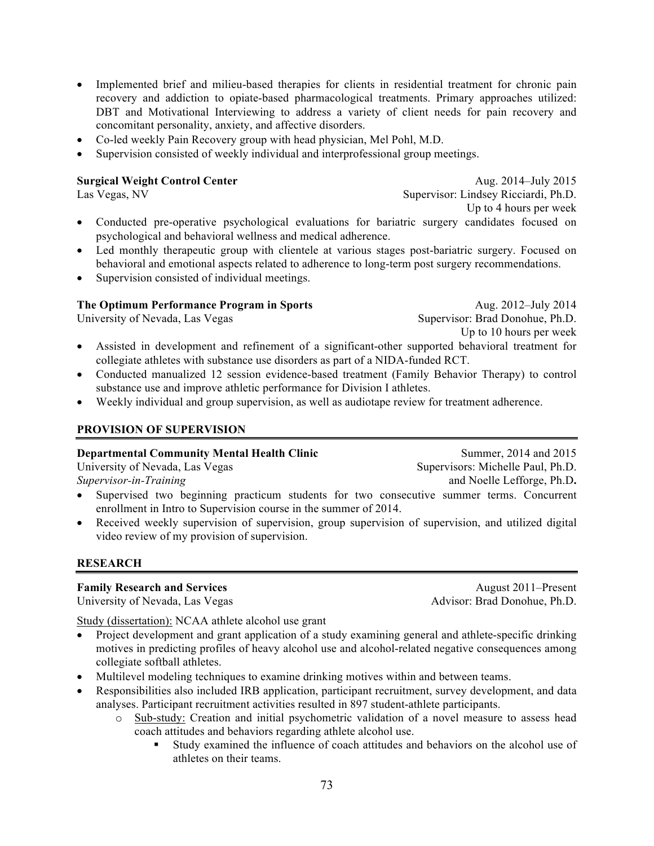- Implemented brief and milieu-based therapies for clients in residential treatment for chronic pain recovery and addiction to opiate-based pharmacological treatments. Primary approaches utilized: DBT and Motivational Interviewing to address a variety of client needs for pain recovery and concomitant personality, anxiety, and affective disorders.
- Co-led weekly Pain Recovery group with head physician, Mel Pohl, M.D.
- Supervision consisted of weekly individual and interprofessional group meetings.

**Surgical Weight Control Center Aug. 2014–July 2015** Las Vegas, NV Supervisor: Lindsey Ricciardi, Ph.D. Up to 4 hours per week

- Conducted pre-operative psychological evaluations for bariatric surgery candidates focused on psychological and behavioral wellness and medical adherence.
- Led monthly therapeutic group with clientele at various stages post-bariatric surgery. Focused on behavioral and emotional aspects related to adherence to long-term post surgery recommendations.
- Supervision consisted of individual meetings.

## **The Optimum Performance Program in Sports** Aug. 2012–July 2014

University of Nevada, Las Vegas Supervisor: Brad Donohue, Ph.D. Up to 10 hours per week

- Assisted in development and refinement of a significant-other supported behavioral treatment for collegiate athletes with substance use disorders as part of a NIDA-funded RCT.
- Conducted manualized 12 session evidence-based treatment (Family Behavior Therapy) to control substance use and improve athletic performance for Division I athletes.
- Weekly individual and group supervision, as well as audiotape review for treatment adherence.

## **PROVISION OF SUPERVISION**

### **Departmental Community Mental Health Clinic**

University of Nevada, Las Vegas *Supervisor-in-Training*

- Supervised two beginning practicum students for two consecutive summer terms. Concurrent enrollment in Intro to Supervision course in the summer of 2014.
- Received weekly supervision of supervision, group supervision of supervision, and utilized digital video review of my provision of supervision.

## **RESEARCH**

## **Family Research and Services** August 2011–Present

University of Nevada, Las Vegas Advisor: Brad Donohue, Ph.D.

Summer, 2014 and 2015

Supervisors: Michelle Paul, Ph.D. and Noelle Lefforge, Ph.D**.** 

Study (dissertation): NCAA athlete alcohol use grant

- Project development and grant application of a study examining general and athlete-specific drinking motives in predicting profiles of heavy alcohol use and alcohol-related negative consequences among collegiate softball athletes.
- Multilevel modeling techniques to examine drinking motives within and between teams.
- Responsibilities also included IRB application, participant recruitment, survey development, and data analyses. Participant recruitment activities resulted in 897 student-athlete participants.
	- o Sub-study: Creation and initial psychometric validation of a novel measure to assess head coach attitudes and behaviors regarding athlete alcohol use.
		- § Study examined the influence of coach attitudes and behaviors on the alcohol use of athletes on their teams.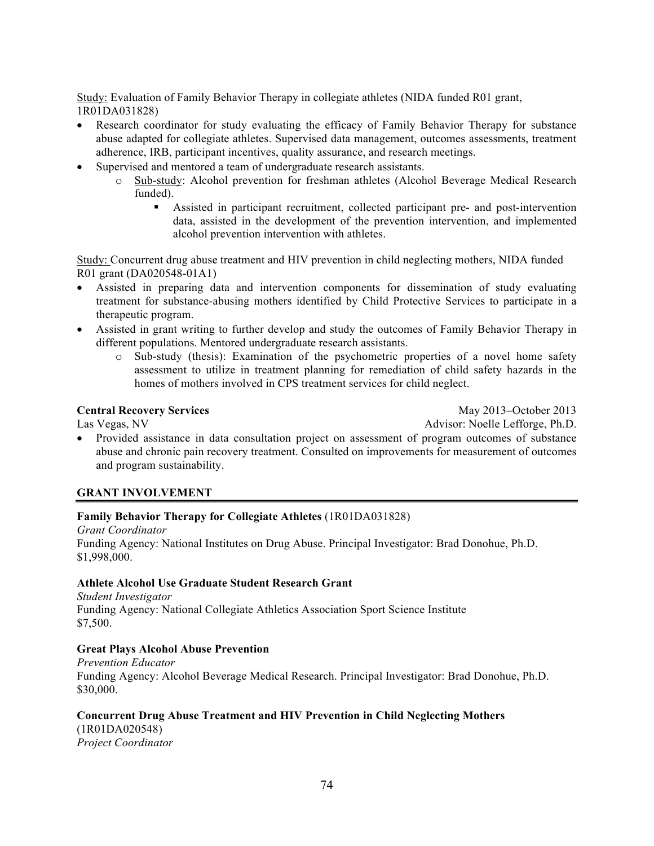Study: Evaluation of Family Behavior Therapy in collegiate athletes (NIDA funded R01 grant, 1R01DA031828)

- Research coordinator for study evaluating the efficacy of Family Behavior Therapy for substance abuse adapted for collegiate athletes. Supervised data management, outcomes assessments, treatment adherence, IRB, participant incentives, quality assurance, and research meetings.
- Supervised and mentored a team of undergraduate research assistants.
	- o Sub-study: Alcohol prevention for freshman athletes (Alcohol Beverage Medical Research funded).
		- § Assisted in participant recruitment, collected participant pre- and post-intervention data, assisted in the development of the prevention intervention, and implemented alcohol prevention intervention with athletes.

Study: Concurrent drug abuse treatment and HIV prevention in child neglecting mothers, NIDA funded R01 grant (DA020548-01A1)

- Assisted in preparing data and intervention components for dissemination of study evaluating treatment for substance-abusing mothers identified by Child Protective Services to participate in a therapeutic program.
- Assisted in grant writing to further develop and study the outcomes of Family Behavior Therapy in different populations. Mentored undergraduate research assistants.
	- o Sub-study (thesis): Examination of the psychometric properties of a novel home safety assessment to utilize in treatment planning for remediation of child safety hazards in the homes of mothers involved in CPS treatment services for child neglect.

**Central Recovery Services** May 2013–October 2013 Las Vegas, NV Advisor: Noelle Lefforge, Ph.D.

• Provided assistance in data consultation project on assessment of program outcomes of substance abuse and chronic pain recovery treatment. Consulted on improvements for measurement of outcomes and program sustainability.

### **GRANT INVOLVEMENT**

### **Family Behavior Therapy for Collegiate Athletes** (1R01DA031828)

*Grant Coordinator* Funding Agency: National Institutes on Drug Abuse. Principal Investigator: Brad Donohue, Ph.D. \$1,998,000.

## **Athlete Alcohol Use Graduate Student Research Grant**

*Student Investigator*  Funding Agency: National Collegiate Athletics Association Sport Science Institute \$7,500.

### **Great Plays Alcohol Abuse Prevention**

*Prevention Educator* Funding Agency: Alcohol Beverage Medical Research. Principal Investigator: Brad Donohue, Ph.D. \$30,000.

### **Concurrent Drug Abuse Treatment and HIV Prevention in Child Neglecting Mothers**

(1R01DA020548) *Project Coordinator*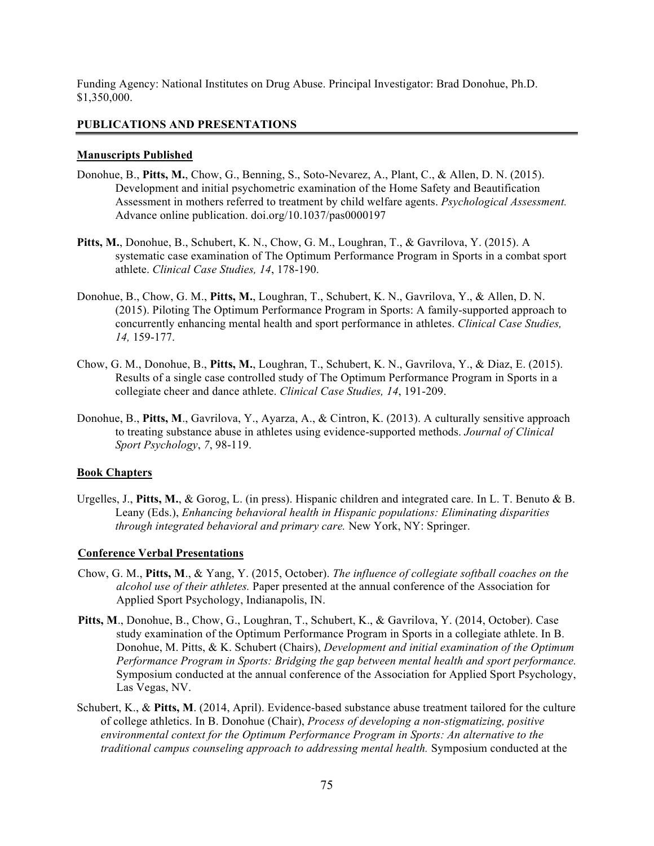Funding Agency: National Institutes on Drug Abuse. Principal Investigator: Brad Donohue, Ph.D. \$1,350,000.

#### **PUBLICATIONS AND PRESENTATIONS**

#### **Manuscripts Published**

- Donohue, B., **Pitts, M.**, Chow, G., Benning, S., Soto-Nevarez, A., Plant, C., & Allen, D. N. (2015). Development and initial psychometric examination of the Home Safety and Beautification Assessment in mothers referred to treatment by child welfare agents. *Psychological Assessment.* Advance online publication. doi.org/10.1037/pas0000197
- **Pitts, M.**, Donohue, B., Schubert, K. N., Chow, G. M., Loughran, T., & Gavrilova, Y. (2015). A systematic case examination of The Optimum Performance Program in Sports in a combat sport athlete. *Clinical Case Studies, 14*, 178-190.
- Donohue, B., Chow, G. M., **Pitts, M.**, Loughran, T., Schubert, K. N., Gavrilova, Y., & Allen, D. N. (2015). Piloting The Optimum Performance Program in Sports: A family-supported approach to concurrently enhancing mental health and sport performance in athletes. *Clinical Case Studies, 14,* 159-177.
- Chow, G. M., Donohue, B., **Pitts, M.**, Loughran, T., Schubert, K. N., Gavrilova, Y., & Diaz, E. (2015). Results of a single case controlled study of The Optimum Performance Program in Sports in a collegiate cheer and dance athlete. *Clinical Case Studies, 14*, 191-209.
- Donohue, B., **Pitts, M**., Gavrilova, Y., Ayarza, A., & Cintron, K. (2013). A culturally sensitive approach to treating substance abuse in athletes using evidence-supported methods. *Journal of Clinical Sport Psychology*, *7*, 98-119.

#### **Book Chapters**

Urgelles, J., **Pitts, M.**, & Gorog, L. (in press). Hispanic children and integrated care. In L. T. Benuto & B. Leany (Eds.), *Enhancing behavioral health in Hispanic populations: Eliminating disparities through integrated behavioral and primary care.* New York, NY: Springer.

#### **Conference Verbal Presentations**

- Chow, G. M., **Pitts, M**., & Yang, Y. (2015, October). *The influence of collegiate softball coaches on the alcohol use of their athletes.* Paper presented at the annual conference of the Association for Applied Sport Psychology, Indianapolis, IN.
- **Pitts, M**., Donohue, B., Chow, G., Loughran, T., Schubert, K., & Gavrilova, Y. (2014, October). Case study examination of the Optimum Performance Program in Sports in a collegiate athlete. In B. Donohue, M. Pitts, & K. Schubert (Chairs), *Development and initial examination of the Optimum Performance Program in Sports: Bridging the gap between mental health and sport performance.* Symposium conducted at the annual conference of the Association for Applied Sport Psychology, Las Vegas, NV.
- Schubert, K., & **Pitts, M**. (2014, April). Evidence-based substance abuse treatment tailored for the culture of college athletics. In B. Donohue (Chair), *Process of developing a non-stigmatizing, positive environmental context for the Optimum Performance Program in Sports: An alternative to the traditional campus counseling approach to addressing mental health.* Symposium conducted at the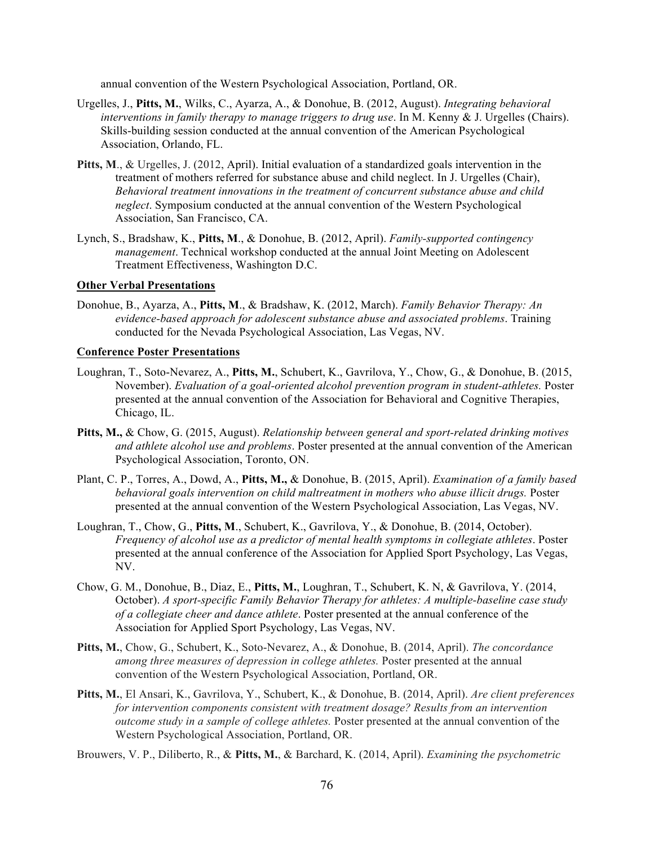annual convention of the Western Psychological Association, Portland, OR.

- Urgelles, J., **Pitts, M.**, Wilks, C., Ayarza, A., & Donohue, B. (2012, August). *Integrating behavioral interventions in family therapy to manage triggers to drug use*. In M. Kenny & J. Urgelles (Chairs). Skills-building session conducted at the annual convention of the American Psychological Association, Orlando, FL.
- Pitts, M., & Urgelles, J. (2012, April). Initial evaluation of a standardized goals intervention in the treatment of mothers referred for substance abuse and child neglect. In J. Urgelles (Chair), *Behavioral treatment innovations in the treatment of concurrent substance abuse and child neglect*. Symposium conducted at the annual convention of the Western Psychological Association, San Francisco, CA.
- Lynch, S., Bradshaw, K., **Pitts, M**., & Donohue, B. (2012, April). *Family-supported contingency management*. Technical workshop conducted at the annual Joint Meeting on Adolescent Treatment Effectiveness, Washington D.C.

#### **Other Verbal Presentations**

Donohue, B., Ayarza, A., **Pitts, M**., & Bradshaw, K. (2012, March). *Family Behavior Therapy: An evidence-based approach for adolescent substance abuse and associated problems*. Training conducted for the Nevada Psychological Association, Las Vegas, NV.

#### **Conference Poster Presentations**

- Loughran, T., Soto-Nevarez, A., **Pitts, M.**, Schubert, K., Gavrilova, Y., Chow, G., & Donohue, B. (2015, November). *Evaluation of a goal-oriented alcohol prevention program in student-athletes.* Poster presented at the annual convention of the Association for Behavioral and Cognitive Therapies, Chicago, IL.
- **Pitts, M.,** & Chow, G. (2015, August). *Relationship between general and sport-related drinking motives and athlete alcohol use and problems*. Poster presented at the annual convention of the American Psychological Association, Toronto, ON.
- Plant, C. P., Torres, A., Dowd, A., **Pitts, M.,** & Donohue, B. (2015, April). *Examination of a family based behavioral goals intervention on child maltreatment in mothers who abuse illicit drugs.* Poster presented at the annual convention of the Western Psychological Association, Las Vegas, NV.
- Loughran, T., Chow, G., **Pitts, M**., Schubert, K., Gavrilova, Y., & Donohue, B. (2014, October). *Frequency of alcohol use as a predictor of mental health symptoms in collegiate athletes*. Poster presented at the annual conference of the Association for Applied Sport Psychology, Las Vegas, NV.
- Chow, G. M., Donohue, B., Diaz, E., **Pitts, M.**, Loughran, T., Schubert, K. N, & Gavrilova, Y. (2014, October). *A sport-specific Family Behavior Therapy for athletes: A multiple-baseline case study of a collegiate cheer and dance athlete*. Poster presented at the annual conference of the Association for Applied Sport Psychology, Las Vegas, NV.
- **Pitts, M.**, Chow, G., Schubert, K., Soto-Nevarez, A., & Donohue, B. (2014, April). *The concordance among three measures of depression in college athletes.* Poster presented at the annual convention of the Western Psychological Association, Portland, OR.
- **Pitts, M.**, El Ansari, K., Gavrilova, Y., Schubert, K., & Donohue, B. (2014, April). *Are client preferences for intervention components consistent with treatment dosage? Results from an intervention outcome study in a sample of college athletes.* Poster presented at the annual convention of the Western Psychological Association, Portland, OR.

Brouwers, V. P., Diliberto, R., & **Pitts, M.**, & Barchard, K. (2014, April). *Examining the psychometric*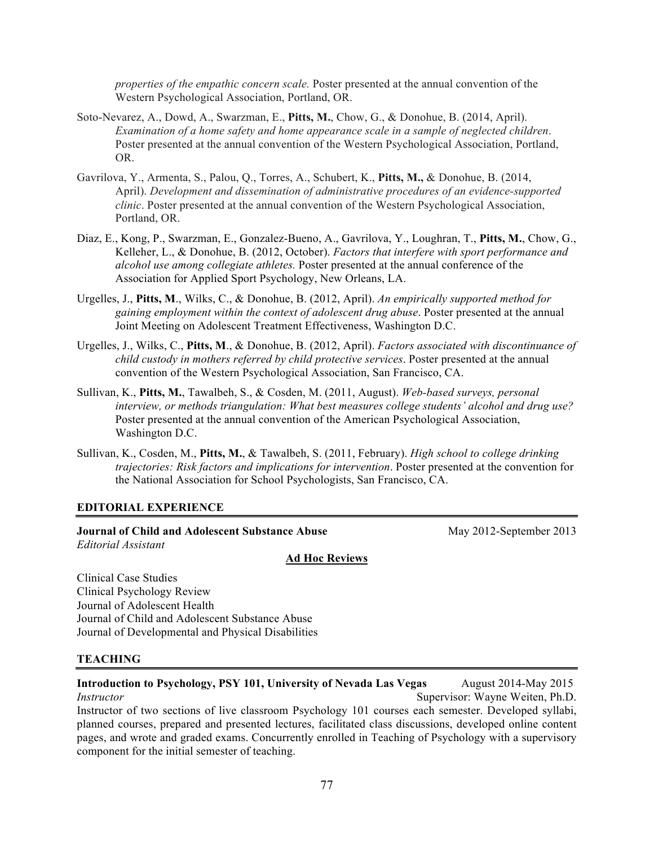*properties of the empathic concern scale.* Poster presented at the annual convention of the Western Psychological Association, Portland, OR.

- Soto-Nevarez, A., Dowd, A., Swarzman, E., **Pitts, M.**, Chow, G., & Donohue, B. (2014, April). *Examination of a home safety and home appearance scale in a sample of neglected children*. Poster presented at the annual convention of the Western Psychological Association, Portland, OR.
- Gavrilova, Y., Armenta, S., Palou, Q., Torres, A., Schubert, K., **Pitts, M.,** & Donohue, B. (2014, April). *Development and dissemination of administrative procedures of an evidence-supported clinic*. Poster presented at the annual convention of the Western Psychological Association, Portland, OR.
- Diaz, E., Kong, P., Swarzman, E., Gonzalez-Bueno, A., Gavrilova, Y., Loughran, T., **Pitts, M.**, Chow, G., Kelleher, L., & Donohue, B. (2012, October). *Factors that interfere with sport performance and alcohol use among collegiate athletes.* Poster presented at the annual conference of the Association for Applied Sport Psychology, New Orleans, LA.
- Urgelles, J., **Pitts, M**., Wilks, C., & Donohue, B. (2012, April). *An empirically supported method for gaining employment within the context of adolescent drug abuse*. Poster presented at the annual Joint Meeting on Adolescent Treatment Effectiveness, Washington D.C.
- Urgelles, J., Wilks, C., **Pitts, M**., & Donohue, B. (2012, April). *Factors associated with discontinuance of child custody in mothers referred by child protective services*. Poster presented at the annual convention of the Western Psychological Association, San Francisco, CA.
- Sullivan, K., **Pitts, M.**, Tawalbeh, S., & Cosden, M. (2011, August). *Web-based surveys, personal interview, or methods triangulation: What best measures college students' alcohol and drug use?* Poster presented at the annual convention of the American Psychological Association, Washington D.C.
- Sullivan, K., Cosden, M., **Pitts, M.**, & Tawalbeh, S. (2011, February). *High school to college drinking trajectories: Risk factors and implications for intervention*. Poster presented at the convention for the National Association for School Psychologists, San Francisco, CA.

#### **EDITORIAL EXPERIENCE**

#### **Journal of Child and Adolescent Substance Abuse 1996 12 May 2012-September 2013** *Editorial Assistant*

#### **Ad Hoc Reviews**

Clinical Case Studies Clinical Psychology Review Journal of Adolescent Health Journal of Child and Adolescent Substance Abuse Journal of Developmental and Physical Disabilities

#### **TEACHING**

#### **Introduction to Psychology, PSY 101, University of Nevada Las Vegas** August 2014-May 2015 *Instructor* Supervisor: Wayne Weiten, Ph.D. Instructor of two sections of live classroom Psychology 101 courses each semester. Developed syllabi, planned courses, prepared and presented lectures, facilitated class discussions, developed online content pages, and wrote and graded exams. Concurrently enrolled in Teaching of Psychology with a supervisory component for the initial semester of teaching.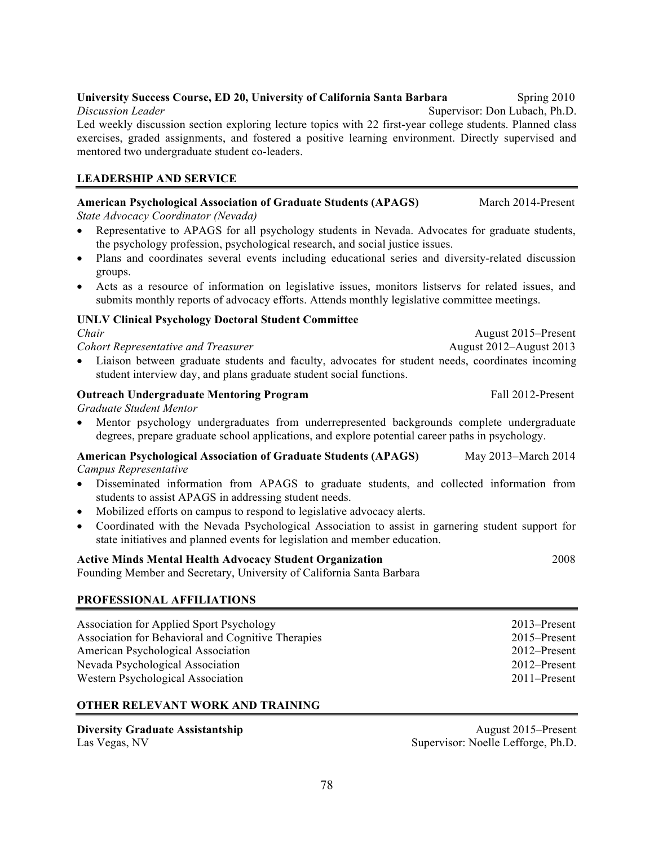#### **University Success Course, ED 20, University of California Santa Barbara** Spring 2010 *Discussion Leader* **Supervisor: Don Lubach, Ph.D.** Supervisor: Don Lubach, Ph.D.

Led weekly discussion section exploring lecture topics with 22 first-year college students. Planned class exercises, graded assignments, and fostered a positive learning environment. Directly supervised and mentored two undergraduate student co-leaders.

# **LEADERSHIP AND SERVICE**

# **American Psychological Association of Graduate Students (APAGS)**

*State Advocacy Coordinator (Nevada)*

- Representative to APAGS for all psychology students in Nevada. Advocates for graduate students, the psychology profession, psychological research, and social justice issues.
- Plans and coordinates several events including educational series and diversity-related discussion groups.
- Acts as a resource of information on legislative issues, monitors listservs for related issues, and submits monthly reports of advocacy efforts. Attends monthly legislative committee meetings.

# **UNLV Clinical Psychology Doctoral Student Committee**

## *Chair*

*Cohort Representative and Treasurer*

August 2012–August 2013 • Liaison between graduate students and faculty, advocates for student needs, coordinates incoming student interview day, and plans graduate student social functions.

# **Outreach Undergraduate Mentoring Program** Fall 2012-Present

*Graduate Student Mentor*

• Mentor psychology undergraduates from underrepresented backgrounds complete undergraduate degrees, prepare graduate school applications, and explore potential career paths in psychology.

#### **American Psychological Association of Graduate Students (APAGS)** *Campus Representative* May 2013–March 2014

- Disseminated information from APAGS to graduate students, and collected information from students to assist APAGS in addressing student needs.
- Mobilized efforts on campus to respond to legislative advocacy alerts.
- Coordinated with the Nevada Psychological Association to assist in garnering student support for state initiatives and planned events for legislation and member education.

# **Active Minds Mental Health Advocacy Student Organization**

Founding Member and Secretary, University of California Santa Barbara

# **PROFESSIONAL AFFILIATIONS**

| Association for Applied Sport Psychology           | 2013–Present    |
|----------------------------------------------------|-----------------|
| Association for Behavioral and Cognitive Therapies | 2015–Present    |
| American Psychological Association                 | 2012–Present    |
| Nevada Psychological Association                   | 2012–Present    |
| Western Psychological Association                  | $2011$ -Present |

# **OTHER RELEVANT WORK AND TRAINING**

| <b>Diversity Graduate Assistantship</b> |  |
|-----------------------------------------|--|
| Las Vegas, NV                           |  |

August 2015–Present Supervisor: Noelle Lefforge, Ph.D.

2008

August 2015–Present

March 2014-Present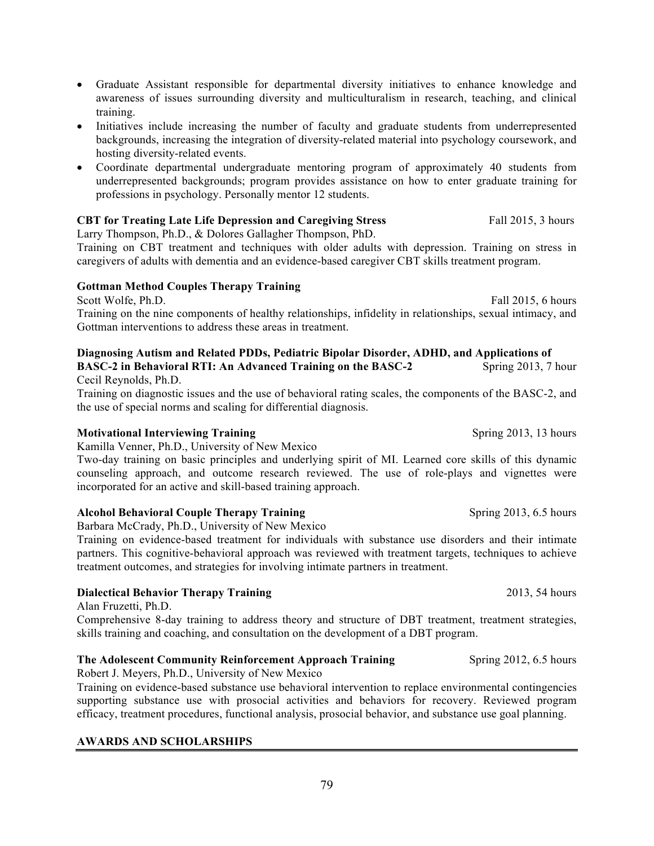- Graduate Assistant responsible for departmental diversity initiatives to enhance knowledge and awareness of issues surrounding diversity and multiculturalism in research, teaching, and clinical training.
- Initiatives include increasing the number of faculty and graduate students from underrepresented backgrounds, increasing the integration of diversity-related material into psychology coursework, and hosting diversity-related events.
- Coordinate departmental undergraduate mentoring program of approximately 40 students from underrepresented backgrounds; program provides assistance on how to enter graduate training for professions in psychology. Personally mentor 12 students.

# **CBT for Treating Late Life Depression and Caregiving Stress Fall 2015, 3 hours**

Larry Thompson, Ph.D., & Dolores Gallagher Thompson, PhD.

Training on CBT treatment and techniques with older adults with depression. Training on stress in caregivers of adults with dementia and an evidence-based caregiver CBT skills treatment program.

# **Gottman Method Couples Therapy Training**

Scott Wolfe, Ph.D. Fall 2015, 6 hours Training on the nine components of healthy relationships, infidelity in relationships, sexual intimacy, and Gottman interventions to address these areas in treatment.

# **Diagnosing Autism and Related PDDs, Pediatric Bipolar Disorder, ADHD, and Applications of**

**BASC-2 in Behavioral RTI: An Advanced Training on the BASC-2** Spring 2013, 7 hour Cecil Reynolds, Ph.D.

Training on diagnostic issues and the use of behavioral rating scales, the components of the BASC-2, and the use of special norms and scaling for differential diagnosis.

# **Motivational Interviewing Training Spring 2013, 13 hours** Spring 2013, 13 hours

Kamilla Venner, Ph.D., University of New Mexico

Two-day training on basic principles and underlying spirit of MI. Learned core skills of this dynamic counseling approach, and outcome research reviewed. The use of role-plays and vignettes were incorporated for an active and skill-based training approach.

# **Alcohol Behavioral Couple Therapy Training Spring 2013, 6.5 hours** Spring 2013, 6.5 hours

Barbara McCrady, Ph.D., University of New Mexico

Training on evidence-based treatment for individuals with substance use disorders and their intimate partners. This cognitive-behavioral approach was reviewed with treatment targets, techniques to achieve treatment outcomes, and strategies for involving intimate partners in treatment.

# **Dialectical Behavior Therapy Training** 2013, 54 hours

Alan Fruzetti, Ph.D.

Comprehensive 8-day training to address theory and structure of DBT treatment, treatment strategies, skills training and coaching, and consultation on the development of a DBT program.

# **The Adolescent Community Reinforcement Approach Training Spring 2012, 6.5 hours**

Robert J. Meyers, Ph.D., University of New Mexico

Training on evidence-based substance use behavioral intervention to replace environmental contingencies supporting substance use with prosocial activities and behaviors for recovery. Reviewed program efficacy, treatment procedures, functional analysis, prosocial behavior, and substance use goal planning.

# **AWARDS AND SCHOLARSHIPS**